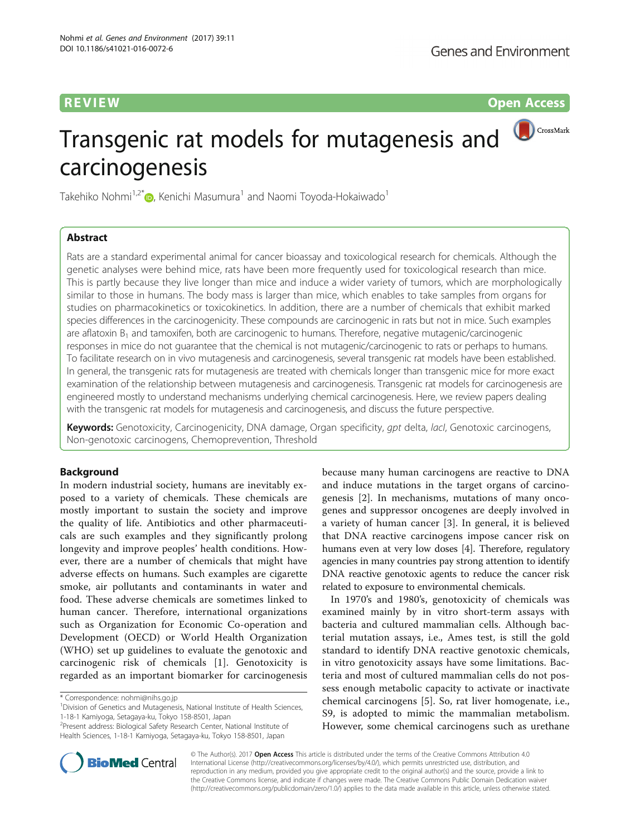**REVIEW CONSIDERING CONSIDERING CONSIDERING CONSIDERING CONSIDERING CONSIDERING CONSIDERING CONSIDERING CONSIDERING CONSIDERING CONSIDERING CONSIDERING CONSIDERING CONSIDERING CONSIDERING CONSIDERING CONSIDERING CONSIDER** 

CrossMark

# Transgenic rat models for mutagenesis and carcinogenesis

Takehiko Nohmi<sup>1,2\*</sup> , Kenichi Masumura<sup>1</sup> and Naomi Toyoda-Hokaiwado<sup>1</sup>

# Abstract

Rats are a standard experimental animal for cancer bioassay and toxicological research for chemicals. Although the genetic analyses were behind mice, rats have been more frequently used for toxicological research than mice. This is partly because they live longer than mice and induce a wider variety of tumors, which are morphologically similar to those in humans. The body mass is larger than mice, which enables to take samples from organs for studies on pharmacokinetics or toxicokinetics. In addition, there are a number of chemicals that exhibit marked species differences in the carcinogenicity. These compounds are carcinogenic in rats but not in mice. Such examples are aflatoxin  $B_1$  and tamoxifen, both are carcinogenic to humans. Therefore, negative mutagenic/carcinogenic responses in mice do not guarantee that the chemical is not mutagenic/carcinogenic to rats or perhaps to humans. To facilitate research on in vivo mutagenesis and carcinogenesis, several transgenic rat models have been established. In general, the transgenic rats for mutagenesis are treated with chemicals longer than transgenic mice for more exact examination of the relationship between mutagenesis and carcinogenesis. Transgenic rat models for carcinogenesis are engineered mostly to understand mechanisms underlying chemical carcinogenesis. Here, we review papers dealing with the transgenic rat models for mutagenesis and carcinogenesis, and discuss the future perspective.

Keywords: Genotoxicity, Carcinogenicity, DNA damage, Organ specificity, gpt delta, lacl, Genotoxic carcinogens, Non-genotoxic carcinogens, Chemoprevention, Threshold

# Background

In modern industrial society, humans are inevitably exposed to a variety of chemicals. These chemicals are mostly important to sustain the society and improve the quality of life. Antibiotics and other pharmaceuticals are such examples and they significantly prolong longevity and improve peoples' health conditions. However, there are a number of chemicals that might have adverse effects on humans. Such examples are cigarette smoke, air pollutants and contaminants in water and food. These adverse chemicals are sometimes linked to human cancer. Therefore, international organizations such as Organization for Economic Co-operation and Development (OECD) or World Health Organization (WHO) set up guidelines to evaluate the genotoxic and carcinogenic risk of chemicals [[1\]](#page-27-0). Genotoxicity is regarded as an important biomarker for carcinogenesis

because many human carcinogens are reactive to DNA and induce mutations in the target organs of carcinogenesis [[2](#page-27-0)]. In mechanisms, mutations of many oncogenes and suppressor oncogenes are deeply involved in a variety of human cancer [[3\]](#page-27-0). In general, it is believed that DNA reactive carcinogens impose cancer risk on humans even at very low doses [\[4](#page-27-0)]. Therefore, regulatory agencies in many countries pay strong attention to identify DNA reactive genotoxic agents to reduce the cancer risk related to exposure to environmental chemicals.

In 1970's and 1980's, genotoxicity of chemicals was examined mainly by in vitro short-term assays with bacteria and cultured mammalian cells. Although bacterial mutation assays, i.e., Ames test, is still the gold standard to identify DNA reactive genotoxic chemicals, in vitro genotoxicity assays have some limitations. Bacteria and most of cultured mammalian cells do not possess enough metabolic capacity to activate or inactivate chemical carcinogens [\[5](#page-27-0)]. So, rat liver homogenate, i.e., S9, is adopted to mimic the mammalian metabolism. However, some chemical carcinogens such as urethane



© The Author(s). 2017 Open Access This article is distributed under the terms of the Creative Commons Attribution 4.0 International License [\(http://creativecommons.org/licenses/by/4.0/](http://creativecommons.org/licenses/by/4.0/)), which permits unrestricted use, distribution, and reproduction in any medium, provided you give appropriate credit to the original author(s) and the source, provide a link to the Creative Commons license, and indicate if changes were made. The Creative Commons Public Domain Dedication waiver [\(http://creativecommons.org/publicdomain/zero/1.0/](http://creativecommons.org/publicdomain/zero/1.0/)) applies to the data made available in this article, unless otherwise stated.

<sup>\*</sup> Correspondence: [nohmi@nihs.go.jp](mailto:nohmi@nihs.go.jp) <sup>1</sup>

<sup>&</sup>lt;sup>1</sup> Division of Genetics and Mutagenesis, National Institute of Health Sciences, 1-18-1 Kamiyoga, Setagaya-ku, Tokyo 158-8501, Japan

<sup>&</sup>lt;sup>2</sup> Present address: Biological Safety Research Center, National Institute of Health Sciences, 1-18-1 Kamiyoga, Setagaya-ku, Tokyo 158-8501, Japan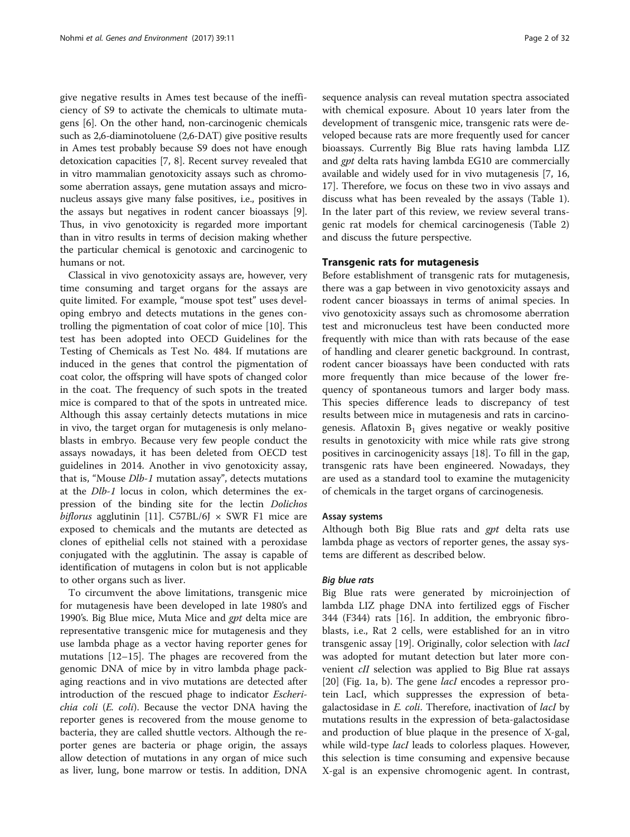give negative results in Ames test because of the inefficiency of S9 to activate the chemicals to ultimate mutagens [\[6](#page-27-0)]. On the other hand, non-carcinogenic chemicals such as 2,6-diaminotoluene (2,6-DAT) give positive results in Ames test probably because S9 does not have enough detoxication capacities [\[7](#page-27-0), [8](#page-27-0)]. Recent survey revealed that in vitro mammalian genotoxicity assays such as chromosome aberration assays, gene mutation assays and micronucleus assays give many false positives, i.e., positives in the assays but negatives in rodent cancer bioassays [[9](#page-27-0)]. Thus, in vivo genotoxicity is regarded more important than in vitro results in terms of decision making whether the particular chemical is genotoxic and carcinogenic to humans or not.

Classical in vivo genotoxicity assays are, however, very time consuming and target organs for the assays are quite limited. For example, "mouse spot test" uses developing embryo and detects mutations in the genes controlling the pigmentation of coat color of mice [\[10](#page-27-0)]. This test has been adopted into OECD Guidelines for the Testing of Chemicals as Test No. 484. If mutations are induced in the genes that control the pigmentation of coat color, the offspring will have spots of changed color in the coat. The frequency of such spots in the treated mice is compared to that of the spots in untreated mice. Although this assay certainly detects mutations in mice in vivo, the target organ for mutagenesis is only melanoblasts in embryo. Because very few people conduct the assays nowadays, it has been deleted from OECD test guidelines in 2014. Another in vivo genotoxicity assay, that is, "Mouse Dlb-1 mutation assay", detects mutations at the Dlb-1 locus in colon, which determines the expression of the binding site for the lectin Dolichos biflorus agglutinin [\[11\]](#page-27-0). C57BL/6J  $\times$  SWR F1 mice are exposed to chemicals and the mutants are detected as clones of epithelial cells not stained with a peroxidase conjugated with the agglutinin. The assay is capable of identification of mutagens in colon but is not applicable to other organs such as liver.

To circumvent the above limitations, transgenic mice for mutagenesis have been developed in late 1980's and 1990's. Big Blue mice, Muta Mice and *gpt* delta mice are representative transgenic mice for mutagenesis and they use lambda phage as a vector having reporter genes for mutations [\[12](#page-27-0)–[15\]](#page-27-0). The phages are recovered from the genomic DNA of mice by in vitro lambda phage packaging reactions and in vivo mutations are detected after introduction of the rescued phage to indicator Escherichia coli (E. coli). Because the vector DNA having the reporter genes is recovered from the mouse genome to bacteria, they are called shuttle vectors. Although the reporter genes are bacteria or phage origin, the assays allow detection of mutations in any organ of mice such as liver, lung, bone marrow or testis. In addition, DNA sequence analysis can reveal mutation spectra associated with chemical exposure. About 10 years later from the development of transgenic mice, transgenic rats were developed because rats are more frequently used for cancer bioassays. Currently Big Blue rats having lambda LIZ and gpt delta rats having lambda EG10 are commercially available and widely used for in vivo mutagenesis [\[7](#page-27-0), [16](#page-27-0), [17\]](#page-27-0). Therefore, we focus on these two in vivo assays and discuss what has been revealed by the assays (Table [1](#page-2-0)). In the later part of this review, we review several transgenic rat models for chemical carcinogenesis (Table [2](#page-17-0)) and discuss the future perspective.

## Transgenic rats for mutagenesis

Before establishment of transgenic rats for mutagenesis, there was a gap between in vivo genotoxicity assays and rodent cancer bioassays in terms of animal species. In vivo genotoxicity assays such as chromosome aberration test and micronucleus test have been conducted more frequently with mice than with rats because of the ease of handling and clearer genetic background. In contrast, rodent cancer bioassays have been conducted with rats more frequently than mice because of the lower frequency of spontaneous tumors and larger body mass. This species difference leads to discrepancy of test results between mice in mutagenesis and rats in carcinogenesis. Aflatoxin  $B_1$  gives negative or weakly positive results in genotoxicity with mice while rats give strong positives in carcinogenicity assays [\[18\]](#page-27-0). To fill in the gap, transgenic rats have been engineered. Nowadays, they are used as a standard tool to examine the mutagenicity of chemicals in the target organs of carcinogenesis.

#### Assay systems

Although both Big Blue rats and gpt delta rats use lambda phage as vectors of reporter genes, the assay systems are different as described below.

# Big blue rats

Big Blue rats were generated by microinjection of lambda LIZ phage DNA into fertilized eggs of Fischer 344 (F344) rats [\[16](#page-27-0)]. In addition, the embryonic fibroblasts, i.e., Rat 2 cells, were established for an in vitro transgenic assay [\[19](#page-27-0)]. Originally, color selection with lacI was adopted for mutant detection but later more convenient *cII* selection was applied to Big Blue rat assays [[20\]](#page-27-0) (Fig. [1a, b\)](#page-18-0). The gene *lacI* encodes a repressor protein LacI, which suppresses the expression of betagalactosidase in *E. coli*. Therefore, inactivation of *lacI* by mutations results in the expression of beta-galactosidase and production of blue plaque in the presence of X-gal, while wild-type *lacI* leads to colorless plaques. However, this selection is time consuming and expensive because X-gal is an expensive chromogenic agent. In contrast,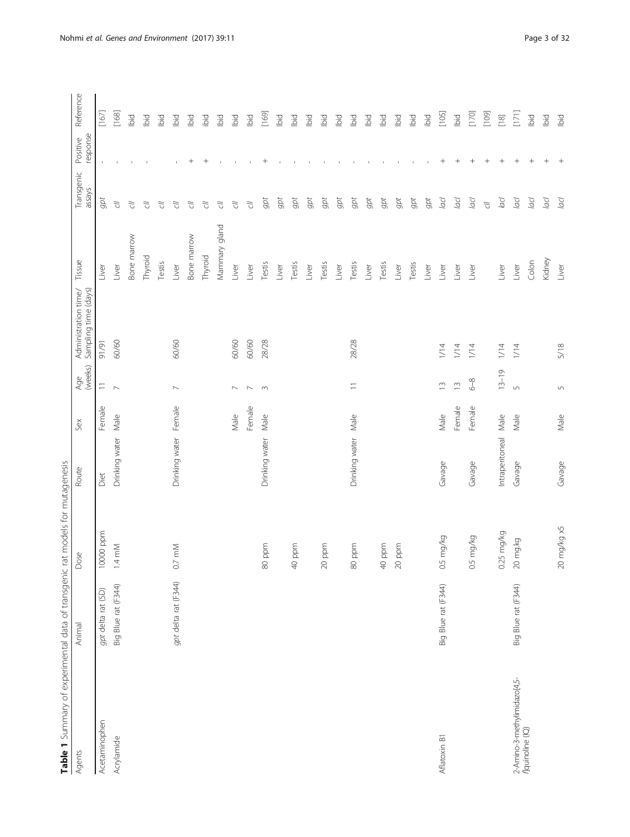<span id="page-2-0"></span>

| Agents                                                   | Animal               | Dose                 | Route                 | Sex    | (weeks)<br>Age           | Sampling time (days)<br>Administration time/ | Tissue        | Transgenic<br>assays | response<br>Positive | Reference |
|----------------------------------------------------------|----------------------|----------------------|-----------------------|--------|--------------------------|----------------------------------------------|---------------|----------------------|----------------------|-----------|
| Acetaminophen                                            | gpt delta rat (SD)   | 10000 ppm            | Diet                  | Female | $\equiv$                 | 91/91                                        | Liver         | gpt                  | $\mathbf I$          | $[167]$   |
| Acrylamide                                               | Big Blue rat (F344)  | $1.4 \text{ mM}$     | Drinking water        | Male   | $\sim$                   | 60/60                                        | Liver         | $\tilde{\sigma}$     |                      | [168]     |
|                                                          |                      |                      |                       |        |                          |                                              | Bone marrow   | 了<br>C               |                      | Ibid      |
|                                                          |                      |                      |                       |        |                          |                                              | Thyroid       | う<br>こ               |                      | bid       |
|                                                          |                      |                      |                       |        |                          |                                              | Testis        | F)                   |                      | lbid      |
|                                                          | gpt delta rat (F344) | 0.7 mM               | Drinking water Female |        | $\sim$                   | 60/60                                        | Liver         | F)                   |                      | Ibid      |
|                                                          |                      |                      |                       |        |                          |                                              | Bone marrow   | F)                   | $^{+}$               | Ibid      |
|                                                          |                      |                      |                       |        |                          |                                              | Thyroid       | $\tilde{\omega}$     | $^{+}$               | ibid      |
|                                                          |                      |                      |                       |        |                          |                                              | Mammary gland | 了<br>C               | $\mathbf{I}$         | Ibid      |
|                                                          |                      |                      |                       | Male   | $\overline{\phantom{0}}$ | 60/60                                        | Liver         | $\tilde{\sigma}$     |                      | bid       |
|                                                          |                      |                      |                       | Female | $\sim$                   | 60/60                                        | Liver         | $\tilde{\sigma}$     |                      | Ibid      |
|                                                          |                      | ppm<br>80            | Drinking water        | Male   | $\sim$                   | 28/28                                        | Testis        | gpt                  | $^{+}$               | [169]     |
|                                                          |                      |                      |                       |        |                          |                                              | Liver         | gpt                  | $\mathbf{I}$         | Ibid      |
|                                                          |                      | ppm<br>$\triangleq$  |                       |        |                          |                                              | Testis        | gpt                  |                      | Ibid      |
|                                                          |                      |                      |                       |        |                          |                                              | Liver         | gpt                  |                      | lbid      |
|                                                          |                      | ppm<br>$\approx$     |                       |        |                          |                                              | Testis        | gpt                  |                      | bid       |
|                                                          |                      |                      |                       |        |                          |                                              | Liver         | gpt                  |                      | Ibid      |
|                                                          |                      | ppm<br>80            | Drinking water        | Male   | $\equiv$                 | 28/28                                        | Testis        | gpt                  |                      | lbid      |
|                                                          |                      |                      |                       |        |                          |                                              | Liver         | $gpt$                |                      | Ibid      |
|                                                          |                      | ppm<br>$\triangleq$  |                       |        |                          |                                              | Testis        | gpt                  |                      | bid       |
|                                                          |                      | ppm<br>$\approx$     |                       |        |                          |                                              | Liver         | $gpt$                |                      | bid       |
|                                                          |                      |                      |                       |        |                          |                                              | Testis        | gpt                  | $\mathbf{I}$         | Ibid      |
|                                                          |                      |                      |                       |        |                          |                                              | Liver         | gpt                  |                      | ibid      |
| Aflatoxin B1                                             | Big Blue rat (F344)  | 0.5 mg/kg            | Gavage                | Male   | $\widetilde{\Box}$       | 1/14                                         | Liver         | pp                   | $^{+}$               | $[105]$   |
|                                                          |                      |                      |                       | Female | $\bar{c}$                | 1/14                                         | Liver         | pp                   | $^{+}$               | lbid      |
|                                                          |                      | 0.5 mg/kg            | Gavage                | Female | $6-8$                    | 1/14                                         | Liver         | lacl                 | $^{+}$               | $[170]$   |
|                                                          |                      |                      |                       |        |                          |                                              |               | $\overline{c}$       | $\! + \!\!\!\!$      | [109]     |
|                                                          |                      | $0.25 \text{ mg/kg}$ | Intraperitoneal       | Male   | $13 - 19$                | 1/14                                         | Liver         | lacl                 | $\qquad \qquad +$    | $[18]$    |
| 2-Amino-3-methylimidazo[4,5-<br><i>f</i> ]quinoline (IQ) | Big Blue rat (F344)  | 20 mg.kg             | Gavage                | Male   | $\sqrt{2}$               | 1/14                                         | Liver         | lacl                 | $\qquad \qquad +$    | [171]     |
|                                                          |                      |                      |                       |        |                          |                                              | Colon         | $\overline{a}$ cl    | $^{+}$               | bid       |
|                                                          |                      |                      |                       |        |                          |                                              | Kidney        | OD                   | $^{+}$               | lbid      |
|                                                          |                      | 20 mg/kg x5          | Gavage                | Male   | $\sqrt{2}$               | 5/18                                         | Liver         | lacl                 | $^{+}$               | Ibid      |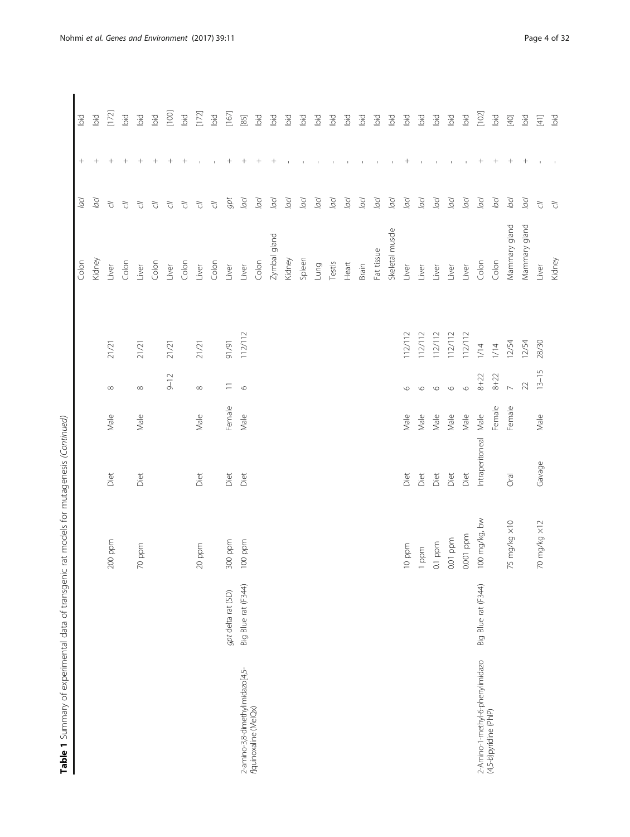|                                  |                     |               |                 |        |                |         | Colon           | lacl             | $^{+}$                           | lbid           |
|----------------------------------|---------------------|---------------|-----------------|--------|----------------|---------|-----------------|------------------|----------------------------------|----------------|
|                                  |                     |               |                 |        |                |         | Kidney          | lacl             | $^+$                             | Ibid           |
|                                  |                     | $200$ ppm     | Diet            | Male   | ${}^{\infty}$  | 21/21   | Liver           | $\tilde{\omega}$ | $^+$                             | [172]          |
|                                  |                     |               |                 |        |                |         | Colon           | $\tilde{\sigma}$ | $^+$                             | bid            |
|                                  |                     | $70$ ppm      | Diet            | Male   | $\infty$       | 21/21   | Liver           | $\overline{C}$   | $\hspace{0.1mm} +\hspace{0.1mm}$ | bid            |
|                                  |                     |               |                 |        |                |         | Colon           | $\tilde{C}$      |                                  | lbid           |
|                                  |                     |               |                 |        | $9 - 12$       | 21/21   | Liver           | $\tilde{\sigma}$ |                                  | $[100]$        |
|                                  |                     |               |                 |        |                |         | Colon           | $\tilde{\sigma}$ |                                  | lbid           |
|                                  |                     | $20$ ppm      | Diet            | Male   | $\infty$       | 21/21   | Liver           | $\tilde{\omega}$ |                                  | $[172]$        |
|                                  |                     |               |                 |        |                |         | Colon           | $\tilde{\omega}$ |                                  | Ibid           |
|                                  | gpt delta rat (SD)  | 300 ppm       | Diet            | Female | $\equiv$       | 16/16   | Liver           | $gpt$            | $\hspace{0.1mm} +$               | $[167]$        |
| 2-amino-3,8-dimethylimidazo[4,5- | Big Blue rat (F344) | $100$ ppm     | Diet            | Male   | $\circ$        | 112/112 | Liver           | lacl             |                                  | $[85]$         |
| flquinoxaline (MeIQx)            |                     |               |                 |        |                |         | Colon           | OO               | $\hspace{0.1mm} +$               | iо             |
|                                  |                     |               |                 |        |                |         | Zymbal gland    | lacl             |                                  | lbid           |
|                                  |                     |               |                 |        |                |         | Kidney          | lacl             |                                  | bid            |
|                                  |                     |               |                 |        |                |         | Spleen          | lacl             |                                  | bid            |
|                                  |                     |               |                 |        |                |         | Lung            | lacl             |                                  | lbid           |
|                                  |                     |               |                 |        |                |         | Testis          | pp               |                                  | bid            |
|                                  |                     |               |                 |        |                |         | Heart           | lad              |                                  | bid            |
|                                  |                     |               |                 |        |                |         | Brain           | pp               |                                  | bid            |
|                                  |                     |               |                 |        |                |         | Fat tissue      | pp               |                                  | bid            |
|                                  |                     |               |                 |        |                |         | Skeletal muscle | lad              |                                  | lbid           |
|                                  |                     | 10 ppm        | Diet            | Male   | $\circ$        | 112/112 | Liver           | pp               | $^+$                             | bid            |
|                                  |                     | 1 ppm         | Diet            | Male   | $\circ$        | 112/112 | Liver           | lad              |                                  | pig            |
|                                  |                     | $0.1$ ppm     | Diet            | Male   | $\circ$        | 112/112 | Liver           | lacl             |                                  | bid            |
|                                  |                     | 0.01 ppm      | Diet            | Male   | $\circ$        | 112/112 | Liver           | lacl             |                                  | bid            |
|                                  |                     | 0.001 ppm     | Diet            | Male   | $\circ$        | 112/112 | Liver           | pp               |                                  | lbid           |
| 2-Amino-1-methyl-6-phenylimidazo | Big Blue rat (F344) | 100 mg/kg, bw | Intraperitoneal | Male   | $8 + 22$       | $1/14$  | Colon           | lad              | $\hspace{0.1mm} +$               | $[102]$        |
| (4,5-b)pyridine (PhIP)           |                     |               |                 | Female | $8 + 22$       | $1/14$  | Colon           | lacl             | $^+$                             | lbid           |
|                                  |                     | 75 mg/kg ×10  | Oral            | Female | $\overline{a}$ | 12/54   | Mammary gland   | lacl             | $^{+}$                           | $[40]$         |
|                                  |                     |               |                 |        | 22             | 12/54   | Mammary gland   | lacl             | $^{+}$                           | Ibid           |
|                                  |                     | 70 mg/kg ×12  | Gavage          | Male   | $13 - 15$      | 28/30   | Liver           | $\overline{C}$   |                                  | $\Xi$          |
|                                  |                     |               |                 |        |                |         | Kidney          | $\tilde{\omega}$ |                                  | $\overline{5}$ |
|                                  |                     |               |                 |        |                |         |                 |                  |                                  |                |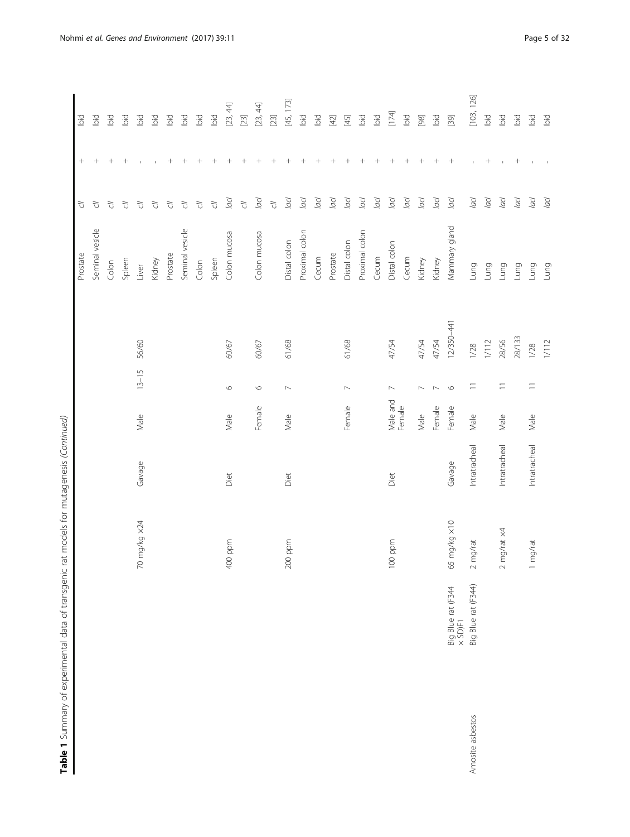|                  |                               |              |               |                    |                                               |            | Prostate        | $\tilde{\omega}$  | $^{+}$          | lbid       |
|------------------|-------------------------------|--------------|---------------|--------------------|-----------------------------------------------|------------|-----------------|-------------------|-----------------|------------|
|                  |                               |              |               |                    |                                               |            | Seminal vesicle | $\overline{C}$    | $^{+}$          | lbid       |
|                  |                               |              |               |                    |                                               |            | Colon           | $\tilde{\sigma}$  | $^{+}$          | bid        |
|                  |                               |              |               |                    |                                               |            | Spleen          | $\tilde{C}$       | $^{+}$          | Ibid       |
|                  |                               | 70 mg/kg x24 | Gavage        | Male               | $13 - 15$                                     | 56/60      | Liver           | $\tilde{C}$       |                 | bid        |
|                  |                               |              |               |                    |                                               |            | Kidney          | $\tilde{C}$       |                 | bid        |
|                  |                               |              |               |                    |                                               |            | Prostate        | $\overline{C}$    | $^{+}$          | lbid       |
|                  |                               |              |               |                    |                                               |            | Seminal vesicle | $\overline{C}$    | $^{+}$          | Ibid       |
|                  |                               |              |               |                    |                                               |            | Colon           | $\tilde{\omega}$  | $^{+}$          | bid        |
|                  |                               |              |               |                    |                                               |            | Spleen          | $\tilde{\sigma}$  | $^{+}$          | bid        |
|                  |                               | 400 ppm      | Diet          | Male               | $\circ$                                       | 60/67      | Colon mucosa    | $\overline{a}$ cl | $^{+}$          | [23, 44]   |
|                  |                               |              |               |                    |                                               |            |                 | $\overline{C}$    | $^{+}$          |            |
|                  |                               |              |               | Female             | $\circ$                                       | 60/67      | Colon mucosa    | lacl              | $^{+}$          | [23, 44]   |
|                  |                               |              |               |                    |                                               |            |                 | $\overline{C}$    | $^{+}$          | $[23]$     |
|                  |                               | $200$ ppm    | Diet          | Male               | $\mathord{\hspace{1pt}\text{--}\hspace{1pt}}$ | 61/68      | Distal colon    | lacl              | $^{+}$          | [45, 173]  |
|                  |                               |              |               |                    |                                               |            | Proximal colon  | lacl              | $^{+}$          | lbid       |
|                  |                               |              |               |                    |                                               |            | Cecum           | lacl              |                 | bid        |
|                  |                               |              |               |                    |                                               |            | Prostate        | OO                | $^{+}$          | $[42]$     |
|                  |                               |              |               | Female             | $\sim$                                        | 61/68      | Distal colon    | lacl              | $^{+}$          | $[45]$     |
|                  |                               |              |               |                    |                                               |            | Proximal colon  | lacl              | $^{+}$          | Ibid       |
|                  |                               |              |               |                    |                                               |            | Cecum           | lacl              | $^{+}$          | bid        |
|                  |                               | 100 ppm      | Diet          | Male and<br>Female | $\mathord{\hspace{1pt}\text{--}\hspace{1pt}}$ | 47/54      | Distal colon    | lad               | $^{+}$          | $[174]$    |
|                  |                               |              |               |                    |                                               |            | Cecum           | lacl              | $^{+}$          | bid        |
|                  |                               |              |               | Male               | $\overline{\phantom{0}}$                      | 47/54      | Kidney          | lad               | $^{+}$          | $[98]$     |
|                  |                               |              |               | Female             | $\overline{\phantom{a}}$                      | 47/54      | Kidney          | lacl              | $^{+}$          | bid        |
|                  | Big Blue rat (F344<br>× SD)F1 | 65 mg/kg ×10 | Gavage        | Female             | $\circ$                                       | 12/350-441 | Mammary gland   | pp                | $\! + \!\!\!\!$ | $[39]$     |
| Amosite asbestos | Big Blue rat (F344)           | $2$ mg/rat   | Intratracheal | Male               | $\equiv$                                      | 1/28       | Lung            | lacl              |                 | [103, 126] |
|                  |                               |              |               |                    |                                               | $1/12$     | Lung            | $\overline{a}$ cl | $^{+}$          | Ibid       |
|                  |                               | mg/rat x4    | Intratracheal | Male               | $\overline{-}$                                | 28/56      | Lung            | lacl              |                 | Ibid       |
|                  |                               |              |               |                    |                                               | 28/133     | Lung            | lacl              | $^{+}$          | lbid       |
|                  |                               | mg/rat       | Intratracheal | Male               | $\equiv$                                      | 1/28       | Lung            | lacl              |                 | Ibid       |
|                  |                               |              |               |                    |                                               | $1/12$     | Lung            | lacl              |                 | Ibid       |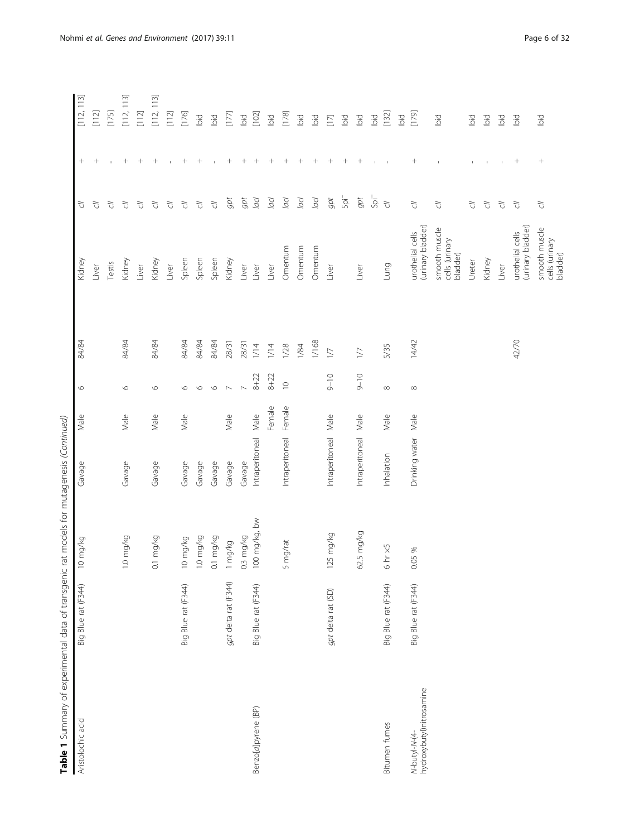| Table 1 Summary of experimental data of transgenic rat models for mutagenesis (Continued) |                      |                                |                      |        |                          |                 |                                             |                  |                                  |                                                                                                                                                                                                                                                                                                                                        |
|-------------------------------------------------------------------------------------------|----------------------|--------------------------------|----------------------|--------|--------------------------|-----------------|---------------------------------------------|------------------|----------------------------------|----------------------------------------------------------------------------------------------------------------------------------------------------------------------------------------------------------------------------------------------------------------------------------------------------------------------------------------|
| Aristolochic acid                                                                         | Big Blue rat (F344)  | mg/kg<br>$\supseteq$           | Gavage               | Male   | $\circ$                  | 84/84           | Kidney                                      | 5                | $^{+}$                           | 113<br>$\begin{bmatrix} 1 & 1 & 2 \\ 0 & 1 & 0 \\ 0 & 0 & 0 \\ 0 & 0 & 0 \\ 0 & 0 & 0 \\ 0 & 0 & 0 \\ 0 & 0 & 0 \\ 0 & 0 & 0 \\ 0 & 0 & 0 & 0 \\ 0 & 0 & 0 & 0 \\ 0 & 0 & 0 & 0 \\ 0 & 0 & 0 & 0 \\ 0 & 0 & 0 & 0 & 0 \\ 0 & 0 & 0 & 0 & 0 \\ 0 & 0 & 0 & 0 & 0 \\ 0 & 0 & 0 & 0 & 0 & 0 \\ 0 & 0 & 0 & 0 & 0 & 0 \\ 0 & 0 & 0 & 0 & $ |
|                                                                                           |                      |                                |                      |        |                          |                 | Liver                                       | F)               | $^+$                             | $\begin{bmatrix} 1 & 1 & 2 \end{bmatrix}$                                                                                                                                                                                                                                                                                              |
|                                                                                           |                      |                                |                      |        |                          |                 | Testis                                      | う<br>こ           |                                  | [175]                                                                                                                                                                                                                                                                                                                                  |
|                                                                                           |                      | $1.0 \text{ mg/kg}$            | Gavage               | Male   | $\circ$                  | 84/84           | Kidney                                      | う<br>こ           | $^{+}$                           | 113<br>[112]                                                                                                                                                                                                                                                                                                                           |
|                                                                                           |                      |                                |                      |        |                          |                 | Liver                                       | う<br>こ           | $^{+}$                           | $[112]$                                                                                                                                                                                                                                                                                                                                |
|                                                                                           |                      | mg/kg<br>$\overline{\text{o}}$ | Gavage               | Male   | $\circ$                  | 84/84           | Kidney                                      | đ                | $^{+}$                           | [112, 113]                                                                                                                                                                                                                                                                                                                             |
|                                                                                           |                      |                                |                      |        |                          |                 | Liver                                       | て<br>            |                                  | $\begin{bmatrix} 1 & 1 & 2 \end{bmatrix}$                                                                                                                                                                                                                                                                                              |
|                                                                                           | Big Blue rat (F344)  | mg/kg<br>$\approx$             | Gavage               | Male   | $\circ$                  | 84/84           | Spleen                                      | F)               | $^{+}$                           | [176]                                                                                                                                                                                                                                                                                                                                  |
|                                                                                           |                      | 1.0 mg/kg                      | Gavage               |        | $\circ$                  | 84/84           | Spleen                                      | $\tilde{C}$      | $^{+}$                           | Ibid                                                                                                                                                                                                                                                                                                                                   |
|                                                                                           |                      | mg/kg<br>$\overline{\circ}$    | Gavage               |        | $\circ$                  | 84/84           | Spleen                                      | $\overline{C}$   |                                  | Ibid                                                                                                                                                                                                                                                                                                                                   |
|                                                                                           | gpt delta rat (F344) | 1 mg/kg                        | Gavage               | Male   | $\sim$                   | 28/31           | Kidney                                      | gpt              | $^+$                             | [17]                                                                                                                                                                                                                                                                                                                                   |
|                                                                                           |                      | 0.3 mg/kg                      | Gavage               |        | $\overline{\phantom{0}}$ | 28/31           | Liver                                       | gpt              | $^{+}$                           | lbid                                                                                                                                                                                                                                                                                                                                   |
| Benzo[a]pyrene (BP)                                                                       | Big Blue rat (F344)  | 100 mg/kg, bw                  | Intraperitoneal      | Male   | $8 + 22$                 | 1/14            | Liver                                       | Joq              | $\hspace{0.1mm} +\hspace{0.1mm}$ | [102]                                                                                                                                                                                                                                                                                                                                  |
|                                                                                           |                      |                                |                      | Female | $8 + 22$                 | 1/14            | Liver                                       | Joq              | $^{+}$                           | lbid                                                                                                                                                                                                                                                                                                                                   |
|                                                                                           |                      | 5 mg/rat                       | Intraperitoneal      | Female | $\supseteq$              | 1/28            | Omentum                                     | pp               | $^{+}$                           | [178]                                                                                                                                                                                                                                                                                                                                  |
|                                                                                           |                      |                                |                      |        |                          | 1/84            | Omentum                                     | Joq              | $^{+}$                           | lbid                                                                                                                                                                                                                                                                                                                                   |
|                                                                                           |                      |                                |                      |        |                          | 1/168           | Omentum                                     | lad              | $^{+}$                           | <b>Did</b>                                                                                                                                                                                                                                                                                                                             |
|                                                                                           | gpt delta rat (SD)   | 125 mg/kg                      | Intraperitoneal Male |        | $9 - 10$                 | $\overline{17}$ | Liver                                       | gpt              | $^{+}$                           | $[17]$                                                                                                                                                                                                                                                                                                                                 |
|                                                                                           |                      |                                |                      |        |                          |                 |                                             | $50^{-1}$        | $^+$                             | lbid                                                                                                                                                                                                                                                                                                                                   |
|                                                                                           |                      | 62.5 mg/kg                     | Intraperitoneal      | Male   | $9 - 10$                 | $1/7$           | Liver                                       | $gpt$            | $^{+}$                           | Ibid                                                                                                                                                                                                                                                                                                                                   |
|                                                                                           |                      |                                |                      |        |                          |                 |                                             | $\overline{5}$   |                                  | Ibid                                                                                                                                                                                                                                                                                                                                   |
| Bitumen fumes                                                                             | Big Blue rat (F344)  | $6 \text{ hr} \times 5$        | Inhalation           | Male   | $\infty$                 | 5/35            | Lung                                        | $\tilde{\sigma}$ |                                  | [132]                                                                                                                                                                                                                                                                                                                                  |
|                                                                                           |                      |                                |                      |        |                          |                 |                                             |                  |                                  | Ibid                                                                                                                                                                                                                                                                                                                                   |
| N-butyl-N-(4-<br>hydroxybutyl)nitrosamine                                                 | Big Blue rat (F344)  | 0.05 %                         | Drinking water       | Male   | $\infty$                 | 14/42           | (urinary bladder)<br>urothelial cells       | $\overline{C}$   | $^{+}$                           | [179]                                                                                                                                                                                                                                                                                                                                  |
|                                                                                           |                      |                                |                      |        |                          |                 | smooth muscle<br>cells (urinary<br>bladder) | $\tilde{\omega}$ |                                  | bid                                                                                                                                                                                                                                                                                                                                    |
|                                                                                           |                      |                                |                      |        |                          |                 | Ureter                                      | ГJ               |                                  | bid                                                                                                                                                                                                                                                                                                                                    |
|                                                                                           |                      |                                |                      |        |                          |                 | Kidney                                      | $\tilde{C}$      |                                  | bid                                                                                                                                                                                                                                                                                                                                    |
|                                                                                           |                      |                                |                      |        |                          |                 | Liver                                       | 5                |                                  | bid                                                                                                                                                                                                                                                                                                                                    |
|                                                                                           |                      |                                |                      |        |                          | 42/70           | (urinary bladder)<br>urothelial cells       | F)               | $\! + \!\!\!\!$                  | lbid                                                                                                                                                                                                                                                                                                                                   |
|                                                                                           |                      |                                |                      |        |                          |                 | smooth muscle<br>cells (urinary<br>bladder) | $\tilde{C}$      | $^{+}$                           | Ibid                                                                                                                                                                                                                                                                                                                                   |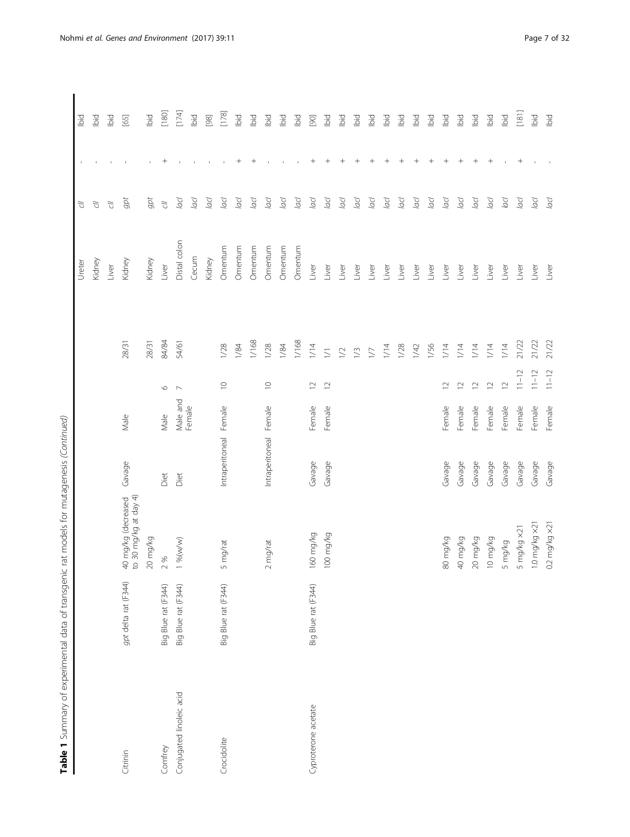| I                                                                                                   |
|-----------------------------------------------------------------------------------------------------|
| j                                                                                                   |
| ֧֧֧֧֧ׅ֧֧֧֧֦֧֚֚֚֚֚֚֚֚֚֚֚֚֚֚֚֚֚֚֚֚֚֚֚֚֚֚֚֚֝֝֝֝֝֝֝֝֝֓֝֓֝֓֓֜֝֓֝֓֝֓֞֞֡֝֬                                 |
| j                                                                                                   |
| ;<br>)<br>)<br>)<br>j                                                                               |
| ֧֖֖֖֖֖֧֦֧֧֧֧֧֧֧֧֚֚֚֚֚֚֚֚֚֚֚֚֚֚֚֚֚֚֚֚֚֚֚֚֚֝֝֓֞֟֓֝֬֓֓֞֝֓֞֓֝֬֓֓֞֝֓֬֝֓֞֝֬֝֓֞֝֬֝֬֝֓֬֝֓֝֬֝֓֝֬֝֬֝֬֝֬֝֬֝֬֝֬ |
| I                                                                                                   |
| ֖֚֚֚֚֚֚֚֚֬                                                                                          |

|                          |                      |                                              |                        |          |                          |        | Ureter       | う<br>こ           |                                  | lbid                                      |
|--------------------------|----------------------|----------------------------------------------|------------------------|----------|--------------------------|--------|--------------|------------------|----------------------------------|-------------------------------------------|
|                          |                      |                                              |                        |          |                          |        | Kidney       | $\tilde{\sigma}$ |                                  | lbid                                      |
|                          |                      |                                              |                        |          |                          |        | Liver        | $\overline{C}$   |                                  | Ibid                                      |
| Citrinin                 | gpt delta rat (F344) | 40 mg/kg (decreased<br>to 30 mg/kg at day 4) | Gavage                 | Male     |                          | 28/31  | Kidney       | gpt              |                                  | [65]                                      |
|                          |                      | 20 mg/kg                                     |                        |          |                          | 28/31  | Kidney       | gpt              |                                  | bid                                       |
| Comfrey                  | Big Blue rat (F344)  | $\%$<br>$\sim$                               | Diet                   | Male     | $\circ$                  | 84/84  | Liver        | $\overline{C}$   | ┿                                | $[180]$                                   |
| Conjugated linoleic acid | Big Blue rat (F344)  | %(w/w)                                       | Diet                   | Male and | $\overline{\phantom{0}}$ | 54/61  | Distal colon | Jop              |                                  | [174]                                     |
|                          |                      |                                              |                        | Female   |                          |        | Cecum        | lacl             |                                  | Ibid                                      |
|                          |                      |                                              |                        |          |                          |        | Kidney       | lacl             |                                  | $[98]$                                    |
| Crocidolite              | Big Blue rat (F344)  | mg/rat<br>S                                  | Intraperitoneal Female |          | $\supseteq$              | 1/28   | Omentum      | Jop              |                                  | [178]                                     |
|                          |                      |                                              |                        |          |                          | 1/84   | Omentum      | lacl             | $^{+}$                           | bid                                       |
|                          |                      |                                              |                        |          |                          | 1/168  | Omentum      | lacl             | $\hspace{0.1mm} +$               | lbid                                      |
|                          |                      | mg/rat<br>$\sim$                             | Intraperitoneal Female |          | $\supseteq$              | 1/28   | Omentum      | Jacl             |                                  | bid                                       |
|                          |                      |                                              |                        |          |                          | 1/84   | Omentum      | Jool             |                                  | bid                                       |
|                          |                      |                                              |                        |          |                          | 1/168  | Omentum      | Jacl             |                                  | bid                                       |
| Cyproterone acetate      | Big Blue rat (F344)  | 160 mg/kg                                    | Gavage                 | Female   | $\supseteq$              | $1/14$ | Liver        | lacl             |                                  | $[90]$                                    |
|                          |                      | oo mg/kg                                     | Gavage                 | Female   | $\overline{C}$           | $\geq$ | Liver        | Jacl             | $\hspace{0.1mm} +$               | bid                                       |
|                          |                      |                                              |                        |          |                          | $\geq$ | Liver        | Jool             | $^{+}$                           | bid                                       |
|                          |                      |                                              |                        |          |                          | 1/3    | Liver        | lacl             | $^{+}$                           | bid                                       |
|                          |                      |                                              |                        |          |                          | $\sum$ | Liver        | Jacl             | $\hspace{0.1mm} +\hspace{0.1mm}$ | bid                                       |
|                          |                      |                                              |                        |          |                          | 1/14   | Liver        | Jacl             | $^+$                             | bid                                       |
|                          |                      |                                              |                        |          |                          | 1/28   | Liver        | Jacl             | $^{+}$                           | bid                                       |
|                          |                      |                                              |                        |          |                          | 1/42   | Liver        | lacl             | $^{+}$                           | bid                                       |
|                          |                      |                                              |                        |          |                          | 1/56   | Liver        | Jop              | $^{+}$                           | Ъid                                       |
|                          |                      | 80 mg/kg                                     | Gavage                 | Female   | $\overline{C}$           | 1/14   | Liver        | lacl             | $^{+}$                           | bid                                       |
|                          |                      | 40 mg/kg                                     | Gavage                 | Female   | $\approx$                | 1/14   | Liver        | Jocl             | $^{+}$                           | Ъid                                       |
|                          |                      | 20 mg/kg                                     | Gavage                 | Female   | $\supseteq$              | 1/14   | Liver        | Jacl             | $^+$                             | bid                                       |
|                          |                      | 10 mg/kg                                     | Gavage                 | Female   | $\simeq$                 | 1/14   | Liver        | lacl             | $\hspace{0.1mm} +$               | Ъd                                        |
|                          |                      | 5 mg/kg                                      | Gavage                 | Female   | $\overline{C}$           | $1/14$ | Liver        | Jacl             |                                  | lbid                                      |
|                          |                      | mg/kg x21<br>S                               | Gavage                 | Female   | $11 - 12$                | 21/22  | Liver        | Jacl             | $^{+}$                           | $\begin{bmatrix} 1 & 8 & 1 \end{bmatrix}$ |
|                          |                      | 0 mg/kg x21                                  | Gavage                 | Female   | $11 - 12$                | 21/22  | Liver        | lacl             |                                  | Ibid                                      |
|                          |                      | $0.2$ mg/kg $\times$ 21                      | Gavage                 | Female   | $11 - 12$                | 21/22  | Liver        | Jacl             |                                  | Ibid                                      |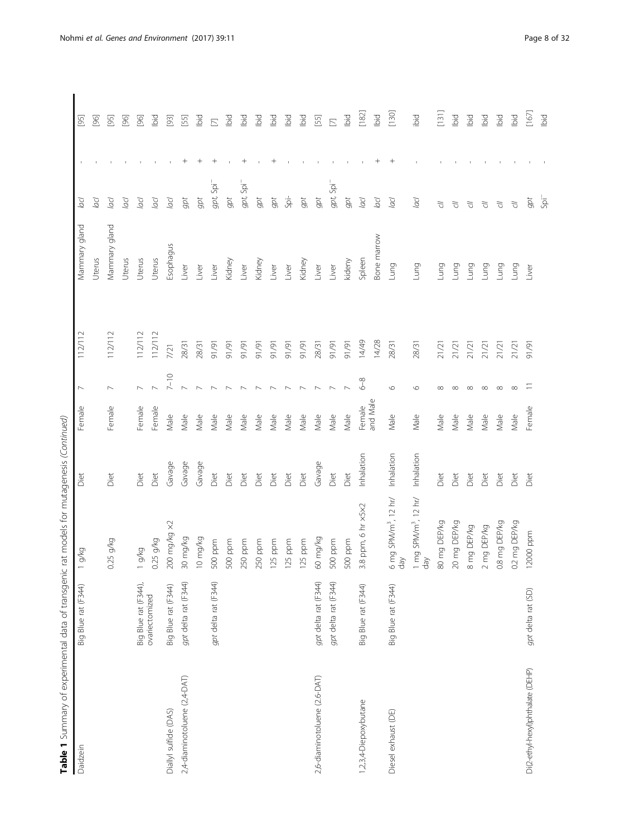| Daidzein                          | Big Blue rat (F344)  | g/kg                                    | Diet       | Female          | $\overline{\phantom{0}}$ | 112/112     | Mammary gland  | Jacl                  | $[95]$                             |
|-----------------------------------|----------------------|-----------------------------------------|------------|-----------------|--------------------------|-------------|----------------|-----------------------|------------------------------------|
|                                   |                      |                                         |            |                 |                          |             | Uterus         | Jool                  | 8                                  |
|                                   |                      | .25 g/kg<br>$\circ$                     | Diet       | Female          | $\overline{\phantom{0}}$ | 112/112     | Vlammary gland | Jacl                  | $[95]$                             |
|                                   |                      |                                         |            |                 |                          |             | Uterus         | Jool                  | ର୍                                 |
|                                   | Big Blue rat (F344), | g/kg                                    | Diet       | Female          | $\sim$                   | 112/112     | Uterus         | рр                    | $[36]$                             |
|                                   | ovariectomized       | $0.25$ g/kg                             | Diet       | Female          |                          | 112/112     | Uterus         | Jacl                  | Ъd                                 |
| Diallyl sulfide (DAS)             | Big Blue rat (F344)  | 200 mg/kg ×2                            | Gavage     | Male            | $7 - 10$                 | 7/21        | Esophagus      | Jool                  | $\begin{bmatrix} 93 \end{bmatrix}$ |
| 2,4-diaminotoluene (2,4-DAT)      | gpt delta rat (F344) | 30 mg/kg                                | Gavage     | Male            |                          | 28/31       | Liver          | gpt                   | 55                                 |
|                                   |                      | l0 mg/kg                                | Gavage     | Male            |                          | 28/31       | Liver          | gpt                   | bid                                |
|                                   | gpt delta rat (F344) | 500 ppm                                 | Diet       | Male            |                          | 16/16       | Liver          | $gpt$ Spi $^-$        | $\mathbb{E}$                       |
|                                   |                      | 500 ppm                                 | Diet       | Male            |                          | 16/16       | Kidney         | gpt                   | lbid                               |
|                                   |                      | 250 ppm                                 | Diet       | Male            |                          | 16/16       | Liver          | gpt, Spi <sup>-</sup> | lbid                               |
|                                   |                      | 250 ppm                                 | Diet       | Male            |                          | 16/16       | Kidney         | gpt                   | lbid                               |
|                                   |                      | 125 ppm                                 | Diet       | Male            |                          | 16/16       | Liver          | gpt                   | lbid                               |
|                                   |                      | 125 ppm                                 | Diet       | Male            |                          | 16/16       | Liver          | ġ                     | lbid                               |
|                                   |                      | 125 ppm                                 | Diet       | Male            |                          | <b>1/91</b> | Kidney         | gpt                   | lbid                               |
| 2,6-diaminotoluene (2.6-DAT)      | gpt delta rat (F344) | 60 mg/kg                                | Gavage     | Male            |                          | 28/31       | Liver          | gpt                   | [55]                               |
|                                   | gpt delta rat (F344) | 500 ppm                                 | Diet       | Male            |                          | 16/16       | Liver          | gpt, Spi              | $\overline{\mathbb{Z}}$            |
|                                   |                      | 500 ppm                                 | Diet       | Male            |                          | 16/16       | kideny         | gpt                   | lbid                               |
| 1,2,3,4-Diepoxybutane             | Big Blue rat (F344)  | 3.8 ppm, 6 hr x5x2                      | Inhalation | Female          | $6 - 8$                  | 14/49       | Spleen         | lacl                  | $[182]$                            |
|                                   |                      |                                         |            | and Male        |                          | 14/28       | Bone marrow    | Jacl                  | Ibid                               |
| Diesel exhaust (DE)               | Big Blue rat (F344)  | $6 \text{ mg SPM/m}^3$ , 12 hr/<br>day  | Inhalation | Male            | $\circ$                  | 28/31       | Lung           | Jacl                  | [130]                              |
|                                   |                      | 1 mg SPM/m <sup>3</sup> , 12 hr/<br>day | Inhalation | Male            | $\circ$                  | 28/31       | Lung           | Jacl                  | ibid                               |
|                                   |                      | 80 mg DEP/kg                            | Diet       | Male            | $\infty$                 | 21/21       | <b>Dun</b>     | ₹                     | $[131]$                            |
|                                   |                      | 20 mg DEP/kg                            | Diet       | Male            | ∞                        | 21/21       | Fruma          | J)                    | lbid                               |
|                                   |                      | 8 mg DEP/kg                             | Diet       | Male            | $\infty$                 | 21/21       | <b>Bun</b>     | 5                     | Ibid                               |
|                                   |                      | mg DEP/kg<br>$\sim$                     | Diet       | $\mathsf{Male}$ | ∞                        | 21/21       | Lung           | F)                    | lbid                               |
|                                   |                      | 0.8 mg DEP/kg                           | Diet       | Male            | $\infty$                 | 21/21       | <b>Fung</b>    | F)                    | lbid                               |
|                                   |                      | 0.2 mg DEP/kg                           | Diet       | Male            |                          | 21/2        | Lung           | $\tilde{C}$           | ibid                               |
| Di(2-ethyl-hexyl)phthalate (DEHP) | gpt delta rat (SD)   | 12000 ppm                               | Diet       | Female          |                          | 16/16       | Liver          | gpt                   | [167]                              |
|                                   |                      |                                         |            |                 |                          |             |                | -ias                  | lbid                               |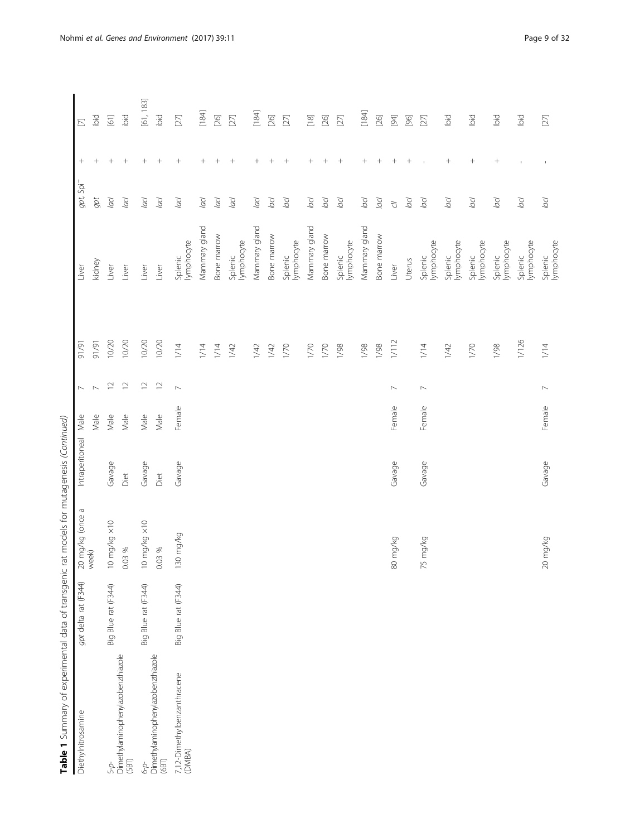| Table 1 Summary of experimental data of transgenic rat models for mutagenesis (Continued) |                      |                              |                 |        |                          |        |                       |                       |                   |                                       |
|-------------------------------------------------------------------------------------------|----------------------|------------------------------|-----------------|--------|--------------------------|--------|-----------------------|-----------------------|-------------------|---------------------------------------|
| Diethylnitrosamine                                                                        | gpt delta rat (F344) | P<br>20 mg/kg (once<br>week) | Intraperitoneal | Male   |                          | 1/91   | Liver                 | gpt, Spi <sup>-</sup> | $^{+}$            | $\Xi$                                 |
|                                                                                           |                      |                              |                 | Male   |                          | 16/16  | kidney                | $gpt$                 | $^{+}$            | ibid                                  |
| 5-p-                                                                                      | Big Blue rat (F344)  | 10 mg/kg ×10                 | Gavage          | Male   | $\simeq$                 | 10/20  | Liver                 | lacl                  | $\! + \!\!\!\!$   | $\begin{array}{c} 1 \\ 0 \end{array}$ |
| Dimethylaminophenylazobenzthiazole<br>(SBT)                                               |                      | 0.03 %                       | Diet            | Male   | $\supseteq$              | 10/20  | Liver                 | lacl                  | $^{+}$            | ibid                                  |
| 49                                                                                        | Big Blue rat (F344)  | 10 mg/kg ×10                 | Gavage          | Male   | $\supseteq$              | 10/20  | Liver                 | Jacl                  | $^{+}$            | [61, 183]                             |
| Dimethylaminophenylazobenzthiazole<br>(BI)                                                |                      | 0.03 %                       | Diet            | Male   | $\approx$                | 10/20  | Liver                 | lacl                  | $+$               | ibid                                  |
| 7,12-Dimethylbenzanthracene<br>(DMBA)                                                     | Big Blue rat (F344)  | 130 mg/kg                    | Gavage          | Female | $\sim$                   | 1/14   | lymphocyte<br>Splenic | Jacl                  | $\! +$            | $[27]$                                |
|                                                                                           |                      |                              |                 |        |                          | $1/14$ | Mammary gland         | lacl                  |                   | $[184]$                               |
|                                                                                           |                      |                              |                 |        |                          | 1/14   | Bone marrow           | lacl                  | $\! + \!\!\!\!$   | $[26] \label{eq:26}$                  |
|                                                                                           |                      |                              |                 |        |                          | 1/42   | lymphocyte<br>Splenic | lacl                  | $+$               | $[27]$                                |
|                                                                                           |                      |                              |                 |        |                          | 1/42   | Mammary gland         | Jool                  | $^{+}$            | $[184]$                               |
|                                                                                           |                      |                              |                 |        |                          | 1/42   | Bone marrow           | lacl                  |                   | $[26]$                                |
|                                                                                           |                      |                              |                 |        |                          | 1/70   | lymphocyte<br>Splenic | lacl                  | $^{+}$            | $[27]$                                |
|                                                                                           |                      |                              |                 |        |                          | 1/70   | Mammary gland         | lacl                  | $^{+}$            | $\boxed{18}$                          |
|                                                                                           |                      |                              |                 |        |                          | 1/70   | Bone marrow           | lacl                  | $^{+}$            | $[26]$                                |
|                                                                                           |                      |                              |                 |        |                          | 1/98   | lymphocyte<br>Splenic | lacl                  | $\qquad \qquad +$ | $[27]$                                |
|                                                                                           |                      |                              |                 |        |                          | 1/98   | Mammary gland         | acl                   | $\! + \!\!\!\!$   | $[184]$                               |
|                                                                                           |                      |                              |                 |        |                          | 1/98   | Bone marrow           | lacl                  | $^{+}$            | $[26]$                                |
|                                                                                           |                      | 80 mg/kg                     | Gavage          | Female | $\overline{\phantom{0}}$ | 1/112  | Liver                 | $\tilde{\sigma}$      | $^{+}$            | $[3]$                                 |
|                                                                                           |                      |                              |                 |        |                          |        | Uterus                | Jacl                  | $^{+}$            | $[96]$                                |
|                                                                                           |                      | 75 mg/kg                     | Gavage          | Female | $\overline{\phantom{a}}$ | 1/14   | lymphocyte<br>Splenic | lacl                  |                   | $[27]$                                |
|                                                                                           |                      |                              |                 |        |                          | 1/42   | lymphocyte<br>Splenic | lacl                  | $^{+}$            | lbid                                  |
|                                                                                           |                      |                              |                 |        |                          | 1/70   | lymphocyte<br>Splenic | $\overline{a}$        | $^{+}$            | lbid                                  |
|                                                                                           |                      |                              |                 |        |                          | 1/98   | lymphocyte<br>Splenic | lacl                  | $^{+}$            | Ibid                                  |
|                                                                                           |                      |                              |                 |        |                          | 1/126  | lymphocyte<br>Splenic | lacl                  |                   | lbid                                  |
|                                                                                           |                      | 20 mg/kg                     | Gavage          | Female | $\overline{ }$           | 1/14   | Splenic<br>lymphocyte | acl                   |                   | $[27]$                                |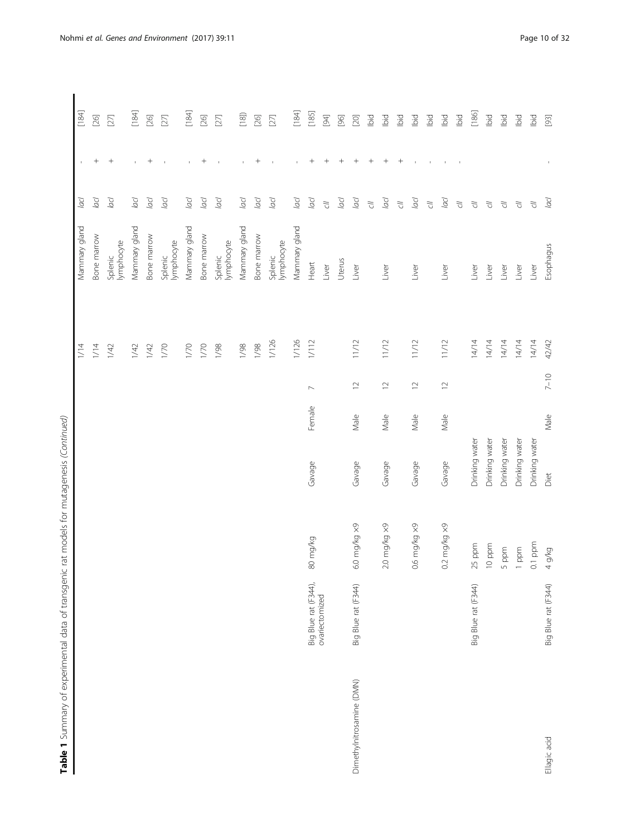|   | Ì                                                                         |   |
|---|---------------------------------------------------------------------------|---|
|   |                                                                           |   |
|   |                                                                           |   |
|   |                                                                           |   |
|   |                                                                           |   |
|   |                                                                           |   |
|   |                                                                           |   |
| ι | ì                                                                         |   |
|   |                                                                           |   |
|   | ١                                                                         |   |
|   |                                                                           |   |
|   |                                                                           |   |
|   |                                                                           |   |
|   |                                                                           |   |
|   | ¢                                                                         |   |
|   |                                                                           | j |
|   | í                                                                         |   |
|   |                                                                           |   |
|   |                                                                           |   |
|   |                                                                           |   |
|   |                                                                           |   |
|   | :<br>}                                                                    |   |
|   | I                                                                         |   |
|   | $\overline{\phantom{a}}$                                                  |   |
|   |                                                                           |   |
|   | ;                                                                         |   |
|   |                                                                           |   |
|   | ï                                                                         |   |
|   | $\frac{1}{2}$                                                             |   |
|   |                                                                           |   |
|   |                                                                           |   |
|   | $5 - 4 - 4$                                                               |   |
|   |                                                                           |   |
|   | ĺ<br>١                                                                    |   |
|   |                                                                           |   |
|   | l<br>$\overline{a}$                                                       |   |
|   |                                                                           |   |
|   | l                                                                         |   |
|   | I                                                                         |   |
|   | j                                                                         | j |
|   | ì                                                                         |   |
|   |                                                                           |   |
|   |                                                                           |   |
|   | ï                                                                         |   |
|   | $+ - - -$                                                                 |   |
|   |                                                                           |   |
|   | J                                                                         |   |
|   |                                                                           |   |
|   | ļ                                                                         |   |
|   | $\frac{1}{1}$<br>i                                                        |   |
|   | ֖֖֖֖֖֖֖֖֧ׅ֧֪֧֧֪֪֪֪֧֧ׅ֧֚֚֚֚֚֚֚֚֚֚֚֚֚֚֚֚֚֚֚֬֝֓֬֓֡֬֓֞֓֡֓֬֓֡֬֓֬֓֬֓֬֓֓֬֓֩֓֓֞֝֬ |   |
|   |                                                                           |   |
|   | ï                                                                         |   |
|   | j                                                                         |   |
|   |                                                                           |   |
|   | i<br>j                                                                    |   |
|   |                                                                           |   |
|   |                                                                           |   |
|   |                                                                           |   |
|   | i                                                                         |   |
|   |                                                                           |   |
|   | $\ddot{\phantom{a}}$                                                      |   |
|   |                                                                           |   |
|   |                                                                           |   |
|   |                                                                           |   |
|   |                                                                           |   |
|   |                                                                           |   |
|   |                                                                           |   |
|   |                                                                           |   |
|   |                                                                           |   |
|   |                                                                           |   |
|   |                                                                           |   |
|   |                                                                           |   |
|   |                                                                           |   |
|   |                                                                           |   |
| ť |                                                                           |   |
|   | ).                                                                        |   |
|   | - 1.1100,000<br>l<br>ŗ                                                    |   |
|   |                                                                           |   |
|   | 1                                                                         |   |
|   | Ξ                                                                         |   |
|   |                                                                           |   |
|   |                                                                           |   |
| ֦ | :<br>ׇ֚֡֬                                                                 |   |

| Table 1 Summary of experimental data of transgenic rat models for mutagenesis (Continued) |                      |                        |                |        |                 |        |                       |                  |                                  |         |
|-------------------------------------------------------------------------------------------|----------------------|------------------------|----------------|--------|-----------------|--------|-----------------------|------------------|----------------------------------|---------|
|                                                                                           |                      |                        |                |        |                 | 1/14   | Mammary gland         | Jacl             | ٠                                | [184]   |
|                                                                                           |                      |                        |                |        |                 | 1/14   | Bone marrow           | Jocl             | $^{+}$                           | $[26]$  |
|                                                                                           |                      |                        |                |        |                 | 1/42   | lymphocyte<br>Splenic | lacl             | $+$                              | $[27]$  |
|                                                                                           |                      |                        |                |        |                 | 1/42   | Mammary gland         | Jacl             | $\mathbf{1}$                     | [184]   |
|                                                                                           |                      |                        |                |        |                 | 1/42   | Bone marrow           | lacl             | $^{+}$                           | $[26]$  |
|                                                                                           |                      |                        |                |        |                 | 1/70   | lymphocyte<br>Splenic | lacl             | $\mathbf{I}$                     | $[27]$  |
|                                                                                           |                      |                        |                |        |                 | 1/70   | Mammary gland         | Jacl             | $\mathbf{I}$                     | $[184]$ |
|                                                                                           |                      |                        |                |        |                 | 1/70   | Bone marrow           | lacl             | $^{+}$                           | $[26]$  |
|                                                                                           |                      |                        |                |        |                 | 1/98   | lymphocyte<br>Splenic | Jacl             | $\mathbf{I}$                     | $[27]$  |
|                                                                                           |                      |                        |                |        |                 | 1/98   | Mammary gland         | Jacl             |                                  | [18]    |
|                                                                                           |                      |                        |                |        |                 | 1/98   | Bone marrow           | lacl             | $^{+}$                           | $[26]$  |
|                                                                                           |                      |                        |                |        |                 | 1/126  | lymphocyte<br>Splenic | Jacl             |                                  | $[27]$  |
|                                                                                           |                      |                        |                |        |                 | 1/126  | Mammary gland         | Jocl             | $\mathbf{I}$                     | $[184]$ |
|                                                                                           | Big Blue rat (F344), | 80 mg/kg               | Gavage         | Female | $\sim$          | $1/12$ | Heart                 | lacl             | $\! + \!\!\!\!$                  | [185]   |
|                                                                                           | ovariectomized       |                        |                |        |                 |        | Liver                 | $\tilde{\sigma}$ | $\begin{array}{c} + \end{array}$ | $[94]$  |
|                                                                                           |                      |                        |                |        |                 |        | Uterus                | lacl             | $^{+}$                           | $[96]$  |
| Dimethylnitrosamine (DMN)                                                                 | Big Blue rat (F344)  | 6.0 mg/kg ×9           | Gavage         | Male   | $\approx$       | 11/12  | Liver                 | lacl             |                                  | $[20]$  |
|                                                                                           |                      |                        |                |        |                 |        |                       | $\tilde{\sigma}$ | $^{+}$                           | bid     |
|                                                                                           |                      | 2.0 mg/kg x9           | Gavage         | Male   | $\supseteq$     | 11/12  | Liver                 | lacl             | $\qquad \qquad +$                | pig     |
|                                                                                           |                      |                        |                |        |                 |        |                       | $\tilde{C}$      | $\begin{array}{c} + \end{array}$ | bid     |
|                                                                                           |                      | 0.6 mg/kg x9           | Gavage         | Male   | $\mathop\simeq$ | 11/12  | Liver                 | lacl             | $\mathbf{I}$                     | Ibid    |
|                                                                                           |                      |                        |                |        |                 |        |                       | $\tilde{\sigma}$ |                                  | lbid    |
|                                                                                           |                      | $0.2$ mg/kg $\times$ 9 | Gavage         | Male   | $\supseteq$     | 11/12  | Liver                 | Jacl             |                                  | ibid    |
|                                                                                           |                      |                        |                |        |                 |        |                       | $\vec{C}$        |                                  | Ibid    |
|                                                                                           | Big Blue rat (F344)  | 25 ppm                 | Drinking water |        |                 | 14/14  | Liver                 | $\tilde{\sigma}$ |                                  | [186]   |
|                                                                                           |                      | 10 ppm                 | Drinking water |        |                 | 14/14  | Liver                 | $\tilde{C}$      |                                  | Ibid    |
|                                                                                           |                      | 5 ppm                  | Drinking water |        |                 | 14/14  | Liver                 | $\tilde{C}$      |                                  | Ibid    |
|                                                                                           |                      | ppm                    | Drinking water |        |                 | 14/14  | Liver                 | $\overline{C}$   |                                  | Ibid    |
|                                                                                           |                      | $0.1$ ppm              | Drinking water |        |                 | 14/14  | Liver                 | $\sqrt{2}$       |                                  | Ibid    |
| Ellagic acid                                                                              | Big Blue rat (F344)  | 4 g/kg                 | Diet           | Male   | $7 - 10$        | 42/42  | Esophagus             | Jacl             |                                  | [93]    |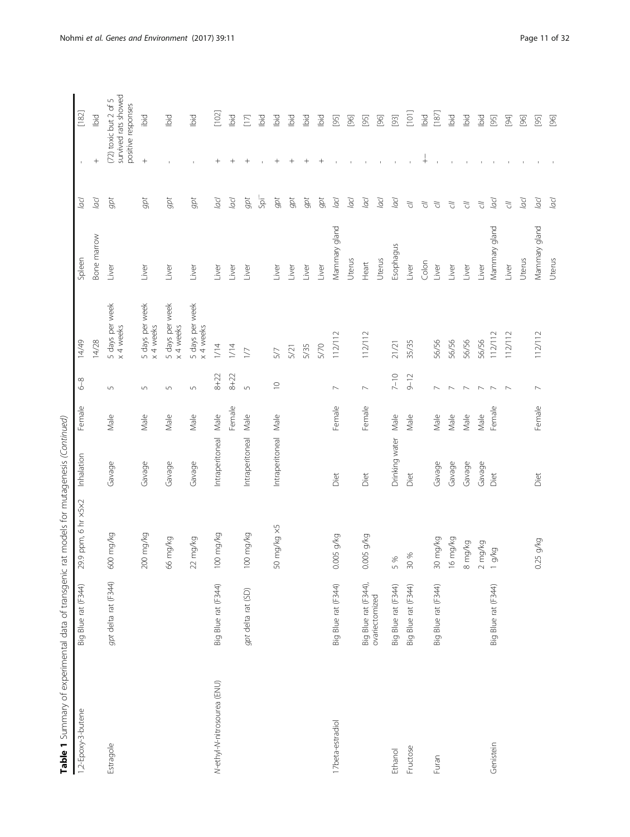| 5<br>J                   |
|--------------------------|
|                          |
|                          |
| )<br>I                   |
|                          |
|                          |
| ֚֬֓֡֡֡֡֡<br>1            |
| ׇ֚֬                      |
| r 2011                   |
| i                        |
| )<br>J                   |
|                          |
|                          |
|                          |
|                          |
| $\mathbf{r}$             |
|                          |
| J<br>ï                   |
| $-1 - 1 + 1 - 1$<br>J    |
| )<br>)<br>)              |
|                          |
| $\overline{\phantom{a}}$ |
| .<br>Samuel design       |
|                          |
|                          |
|                          |
|                          |
|                          |
| ł                        |
| $\ddot{\phantom{a}}$     |
| ţ<br>)                   |
|                          |
| able                     |
| ì<br>ľ                   |
|                          |

| 1,2-Epoxy-3-butene          | Big Blue rat (F344)  | 29.9 ppm, 6 hr x5x2              | Inhalation      | Female          | $6 - 8$          | 14/49                        | Spleen        | Jacl              |                      | $[182]$                                                             |
|-----------------------------|----------------------|----------------------------------|-----------------|-----------------|------------------|------------------------------|---------------|-------------------|----------------------|---------------------------------------------------------------------|
|                             |                      |                                  |                 |                 |                  | 14/28                        | Bone marrow   | $\overline{a}$    |                      | lbid                                                                |
| Estragole                   | gpt delta rat (F344) | 600 mg/kg                        | Gavage          | Male            | $\Box$           | 5 days per week<br>x 4 weeks | Liver         | gpt               |                      | survived rats showed<br>(72) toxic but 2 of 5<br>positive responses |
|                             |                      | 200 mg/kg                        | Gavage          | Male            | $\overline{5}$   | 5 days per week<br>x 4 weeks | Liver         | $gpt$             | $\qquad \qquad +$    | bid                                                                 |
|                             |                      | 66 mg/kg                         | Gavage          | Male            | $\sqrt{ }$       | 5 days per week<br>x 4 weeks | Liver         | gpt               |                      | Ibid                                                                |
|                             |                      | $22$ mg/kg                       | Gavage          | Male            | $\mathsf{L}\cap$ | 5 days per week<br>x 4 weeks | Liver         | gpt               |                      | Ibid                                                                |
| N-ethyl-N-nitrosourea (ENU) | Big Blue rat (F344)  | 100 mg/kg                        | Intraperitoneal | $\mathsf{Male}$ | $8 + 22$         | 1/14                         | Liver         | $\overline{a}$ cl | $^{+}$               | $[102]$                                                             |
|                             |                      |                                  |                 | Female          | $8 + 22$         | 1/14                         | Liver         | $\overline{a}$    | $^{+}$               | Ibid                                                                |
|                             | gpt delta rat (SD)   | 100 mg/kg                        | Intraperitoneal | Male            | $\sqrt{2}$       | $\sum$                       | Liver         | gpt               | $^{+}$               | $[17]$                                                              |
|                             |                      |                                  |                 |                 |                  |                              |               | -ia               |                      | lbid                                                                |
|                             |                      | 50 mg/kg x5                      | Intraperitoneal | Male            | $\supseteq$      | 5/7                          | Liver         | gpt               | $^{+}$               | lbid                                                                |
|                             |                      |                                  |                 |                 |                  | 5/21                         | Liver         | gpt               | $^{+}$               | lbid                                                                |
|                             |                      |                                  |                 |                 |                  | 5/35                         | Liver         | gpt               | $^{+}$               | lbid                                                                |
|                             |                      |                                  |                 |                 |                  | 5/70                         | Liver         | gpt               | $^+$                 | lbid                                                                |
| 17beta-estradiol            | Big Blue rat (F344)  | $0.005$ g/kg                     | Diet            | Female          | $\overline{ }$   | 112/112                      | Mammary gland | lacl              |                      | $[95]$                                                              |
|                             |                      |                                  |                 |                 |                  |                              | Uterus        | lacl              |                      | $[96]$                                                              |
|                             | Big Blue rat (F344), | $0.005$ g/kg                     | Diet            | Female          | $\overline{a}$   | 112/112                      | Heart         | lacl              |                      | $[95]$                                                              |
|                             | ovariectomized       |                                  |                 |                 |                  |                              | Uterus        | Jacl              |                      | $[96]$                                                              |
| Ethanol                     | Big Blue rat (F344)  | $\%$<br>S                        | Drinking water  | Male            | $7 - 10$         | 21/21                        | Esophagus     | $\overline{a}$    |                      | $[93]$                                                              |
| Fructose                    | Big Blue rat (F344)  | 30 %                             | Diet            | Male            | $9 - 12$         | 35/35                        | Liver         | $\overline{C}$    |                      | [101]                                                               |
|                             |                      |                                  |                 |                 |                  |                              | Colon         | $\tilde{\omega}$  | $\frac{1}{\sqrt{2}}$ | Ibid                                                                |
| Furan                       | Big Blue rat (F344)  | 30 mg/kg                         | Gavage          | Male            | $\overline{ }$   | 56/56                        | Liver         | $\tilde{\omega}$  |                      | $[187]$                                                             |
|                             |                      | 6 mg/kg                          | Gavage          | Male            | $\sim$           | 56/56                        | Liver         | $\sqrt{2}$        |                      | Ibid                                                                |
|                             |                      | mg/kg<br>$\infty$                | Gavage          | Male            | $\overline{ }$   | 56/56                        | Liver         | $\tilde{\omega}$  |                      | Ibid                                                                |
|                             |                      | mg/kg<br>$\sim$                  | Gavage          | Male            | $\sim$           | 56/56                        | Liver         | $\overline{C}$    |                      | bid                                                                 |
| Genistein                   | Big Blue rat (F344)  | g/kg<br>$\overline{\phantom{m}}$ | Diet            | Female          | $\overline{ }$   | 112/112                      | Mammary gland | acl               |                      | $[95]$                                                              |
|                             |                      |                                  |                 |                 | $\overline{ }$   | 112/112                      | Liver         | $\tilde{\omega}$  |                      | $[94]$                                                              |
|                             |                      |                                  |                 |                 |                  |                              | Uterus        | lacl              |                      | [96]                                                                |
|                             |                      | $0.25$ g/kg                      | Diet            | Female          | $\overline{ }$   | 112/112                      | Mammary gland | $\overline{a}$    |                      | $[95]$                                                              |
|                             |                      |                                  |                 |                 |                  |                              | Uterus        | lacl              |                      | [96]                                                                |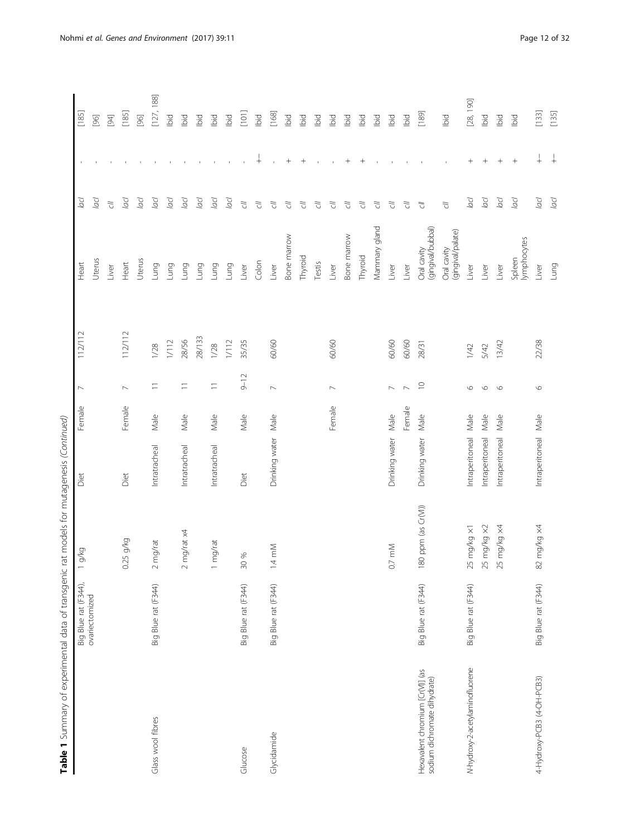| Table 1 Summary of experimental data of transgenic               |                     | rat models for mutagenesis (Continued) |                      |        |                          |         |                                  |                  |             |            |
|------------------------------------------------------------------|---------------------|----------------------------------------|----------------------|--------|--------------------------|---------|----------------------------------|------------------|-------------|------------|
|                                                                  | Big Blue rat (F344) | g/kg                                   | Diet                 | Female | $\overline{\phantom{0}}$ | 112/112 | Heart                            | Jacl             |             | [185]      |
|                                                                  | ovariectomized      |                                        |                      |        |                          |         | Uterus                           | lacl             |             | $[96]$     |
|                                                                  |                     |                                        |                      |        |                          |         | Liver                            | $\vec{C}$        |             | $[94]$     |
|                                                                  |                     | 1.25 g/kg<br>$\circ$                   | Diet                 | Female | $\overline{\phantom{0}}$ | 112/112 | Heart                            | Jacl             |             | [185]      |
|                                                                  |                     |                                        |                      |        |                          |         | Uterus                           | Jacl             |             | $[96]$     |
| Glass wool fibres                                                | Big Blue rat (F344) | mg/rat<br>$\sim$                       | Intratracheal        | Male   | $\equiv$                 | 1/28    | Lung                             | Jool             |             | [127, 188] |
|                                                                  |                     |                                        |                      |        |                          | $1/12$  | Lung                             | lacl             |             | Ъid        |
|                                                                  |                     | mg/rat x4<br>$\sim$                    | Intratracheal        | Male   | $\equiv$                 | 28/56   | Lung                             | Jocl             |             | Ibid       |
|                                                                  |                     |                                        |                      |        |                          | 28/133  | Lung                             | Jacl             |             | bid        |
|                                                                  |                     | mg/rat<br>$\overline{\phantom{0}}$     | Intratracheal        | Male   | $\equiv$                 | 1/28    | Lung                             | Jop              |             | bid        |
|                                                                  |                     |                                        |                      |        |                          | $1/12$  | Lung                             | lacl             |             | Ibid       |
| Glucose                                                          | Big Blue rat (F344) | 30 %                                   | Diet                 | Male   | $9 - 12$                 | 35/35   | Liver                            | $\tilde{\omega}$ |             | $[101]$    |
|                                                                  |                     |                                        |                      |        |                          |         | Colon                            | $\tilde{C}$      | $\ddotplus$ | Ibid       |
| Glycidamide                                                      | Big Blue rat (F344) | $1.4 \text{ mM}$                       | Drinking water       | Male   | $\mathord{\sim}$         | 60/60   | Liver                            | $\tilde{C}$      |             | [168]      |
|                                                                  |                     |                                        |                      |        |                          |         | Bone marrow                      | $\sqrt{2}$       | $^{+}$      | bid        |
|                                                                  |                     |                                        |                      |        |                          |         | Thyroid                          | $\tilde{C}$      |             | lbid       |
|                                                                  |                     |                                        |                      |        |                          |         | Testis                           | $\tilde{\sigma}$ |             | Ibid       |
|                                                                  |                     |                                        |                      | Female | $\sim$                   | 60/60   | Liver                            | $\tilde{\sigma}$ |             | lbid       |
|                                                                  |                     |                                        |                      |        |                          |         | Bone marrow                      | F)               | $^{+}$      | Ibid       |
|                                                                  |                     |                                        |                      |        |                          |         | Thyroid                          | F)               | $^{+}$      | Ibid       |
|                                                                  |                     |                                        |                      |        |                          |         | Mammary gland                    | F)               |             | Ibid       |
|                                                                  |                     | 0.7 mM                                 | Drinking water       | Male   | $\sim$                   | 60/60   | Liver                            | F)               |             | bid        |
|                                                                  |                     |                                        |                      | Female | $\sim$                   | 60/60   | Liver                            | $\tilde{C}$      |             | Ibid       |
| Hexavalent chromium [Cr(VI)] (as<br>sodium dichromate dihydrate) | Big Blue rat (F344) | 180 ppm (as Cr(VI))                    | Drinking water       | Male   | $\supseteq$              | 28/31   | (gingival/bubbal)<br>Oral cavity | F)               |             | [189]      |
|                                                                  |                     |                                        |                      |        |                          |         | (gingival/palate)<br>Oral cavity | $\tilde{\sigma}$ |             | Ibid       |
| N-hydroxy-2-acetylaminofluorene                                  | Big Blue rat (F344) | 25 mg/kg ×1                            | Intraperitoneal      | Male   | $\circ$                  | 1/42    | Liver                            | acl              | $^{+}$      | [28, 190]  |
|                                                                  |                     | 25 mg/kg x2                            | Intraperitoneal      | Male   | $\circ$                  | 5/42    | Liver                            | lacl             | $^{+}$      | lbid       |
|                                                                  |                     | 25 mg/kg x4                            | Intraperitoneal      | Male   | $\circ$                  | 13/42   | Liver                            | lacl             | $^{+}$      | Ibid       |
|                                                                  |                     |                                        |                      |        |                          |         | lymphocytes<br>Spleen            | lacl             |             | Ibid       |
| 4-Hydroxy-PCB3 (4-OH-PCB3)                                       | Big Blue rat (F344) | 82 mg/kg x4                            | Intraperitoneal Male |        | $\circ$                  | 22/38   | Liver                            | lacl             | $^{+}$      | $[133]$    |
|                                                                  |                     |                                        |                      |        |                          |         | Lung                             | lacl             |             | [135]      |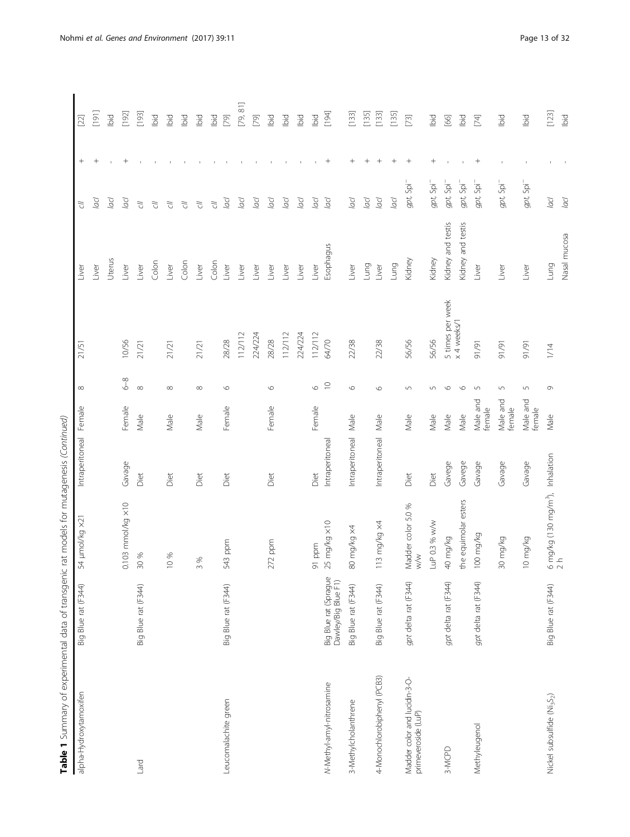| Table 1 Summary of experimental data of transgenic   |                                              | rat models for mutagenesis (Continued)                        |                 |                    |                |                  |                   |                          |                                  |          |
|------------------------------------------------------|----------------------------------------------|---------------------------------------------------------------|-----------------|--------------------|----------------|------------------|-------------------|--------------------------|----------------------------------|----------|
| alpha-Hydroxytamoxifen                               | Big Blue rat (F344)                          | 54 µmol/kg ×2                                                 | Intraperitoneal | Female             | $\infty$       | 21/51            | Liver             | đ                        | $^{+}$                           | $[22]$   |
|                                                      |                                              |                                                               |                 |                    |                |                  | Liver             | lacl                     | $^{+}$                           | [161]    |
|                                                      |                                              |                                                               |                 |                    |                |                  | Uterus            | Jop                      |                                  | bid      |
|                                                      |                                              | $0.103$ mmol/kg $\times 10$                                   | Gavage          | Female             | $6-8$          | 10/56            | Liver             | Jocl                     | $^{+}$                           | [192]    |
| Puel                                                 | Big Blue rat (F344)                          | 30 %                                                          | Diet            | Male               | $\infty$       | 21/21            | Liver             | $\vec{C}$                |                                  | $[193]$  |
|                                                      |                                              |                                                               |                 |                    |                |                  | Colon             | $\vec{C}$                |                                  | bid      |
|                                                      |                                              | 10 %                                                          | Diet            | Male               | $\infty$       | 21/21            | Liver             | $\tilde{\omega}$         |                                  | bid      |
|                                                      |                                              |                                                               |                 |                    |                |                  | Colon             | $\tilde{C}$              |                                  | Ъd       |
|                                                      |                                              | 3%                                                            | Diet            | Male               | $\infty$       | 21/21            | Liver             | $\tilde{C}$              |                                  | bid      |
|                                                      |                                              |                                                               |                 |                    |                |                  | Colon             | $\tilde{C}$              |                                  | Ibid     |
| Leucomalachite green                                 | Big Blue rat (F344)                          | 543 ppm                                                       | Diet            | Female             | $\circ$        | 28/28            | Liver             | Jop                      |                                  | $[79]$   |
|                                                      |                                              |                                                               |                 |                    |                | 112/112          | Liver             | Jocl                     |                                  | [79, 81] |
|                                                      |                                              |                                                               |                 |                    |                | 224/224          | Liver             | lacl                     |                                  | $[79]$   |
|                                                      |                                              | $272$ ppm                                                     | Diet            | Female             | $\circ$        | 28/28            | Liver             | Jacl                     |                                  | Ibid     |
|                                                      |                                              |                                                               |                 |                    |                | 112/112          | Liver             | lacl                     |                                  | lbid     |
|                                                      |                                              |                                                               |                 |                    |                | 224/224          | Liver             | lacl                     |                                  | Ъd       |
|                                                      |                                              | 91 ppm                                                        | Diet            | Female             | $\circ$        | 112/112          | Liver             | lacl                     |                                  | Ibid     |
| N-Methyl-amyl-nitrosamine                            | Big Blue rat (Sprague<br>Dawley/Big Blue F1) | $25 \text{ mg/kg} \times 10$                                  | Intraperitoneal |                    | $\supseteq$    | 64/70            | Esophagus         | Jool                     | $\! + \!\!\!\!$                  | [194]    |
| 3-Methylcholanthrene                                 | Big Blue rat (F344)                          | so mg/kg x4                                                   | Intraperitoneal | Male               | $\circ$        | 22/38            | Liver             | lacl                     | $\! + \!\!\!\!$                  | [133]    |
|                                                      |                                              |                                                               |                 |                    |                |                  | Lung              | Jacl                     | $\begin{array}{c} + \end{array}$ | [135]    |
| 4-Monochlorobiphenyl (PCB3)                          | Big Blue rat (F344)                          | 113 mg/kg x4                                                  | Intraperitoneal | Male               | $\circ$        | 22/38            | Liver             | Jop                      | $+$                              | [133]    |
|                                                      |                                              |                                                               |                 |                    |                |                  | Lung              | lad                      |                                  | [135]    |
| Madder color and lucidin-3-O-<br>primeveroside (LuP) | gpt delta rat (F344)                         | $\%$<br>Madder color 5.0<br>$\frac{1}{2}$                     | Diet            | Male               | $\overline{5}$ | 56/56            | Kidney            | gpt, Spi <sup>-</sup>    | $^{+}$                           | $[73]$   |
|                                                      |                                              | LuP 0.3 % w/w                                                 | Diet            | Male               | 5              | 56/56            | Kidney            | gpt, Spi <sup>-</sup>    | $^{+}$                           | lbid     |
| 3-MCPD                                               | gpt delta rat (F344)                         | 40 mg/kg                                                      | Gavege          | Male               | $\circ$        | 5 times per week | Kidney and testis | gpt, Spi <sup>-</sup>    |                                  | [66]     |
|                                                      |                                              | the equimolar esters                                          | Gavege          | Male               | $\circ$        | x 4 weeks/1      | Kidney and testis | gpt, Spi <sup>-</sup>    |                                  | lbid     |
| Methyleugenol                                        | gpt delta rat (F344)                         | 100 mg/kg                                                     | Gavage          | Male and<br>female | $\sqrt{2}$     | 91/91            | Liver             | gpt, Spi <sup>-</sup>    | $^{+}$                           | [74]     |
|                                                      |                                              | 30 mg/kg                                                      | Gavage          | Male and<br>female | 5              | 91/91            | Liver             | $gpt$ , Spi <sup>-</sup> |                                  | lbid     |
|                                                      |                                              | 10 mg/kg                                                      | Gavage          | Male and<br>female | $\overline{5}$ | 16/16            | Liver             | gpt, Spi                 |                                  | Ibid     |
| Nickel subsulfide (Ni <sub>3</sub> S <sub>2</sub> )  | Big Blue rat (F344)                          | $6 \text{ mg/kg}$ (130 mg/m <sup>3</sup> ), Inhalation<br>2 h |                 | Male               | Q              | 1/14             | Lung              | $\overline{a}$ cl        |                                  | [123]    |
|                                                      |                                              |                                                               |                 |                    |                |                  | Nasal mucosa      | lacl                     |                                  | bid      |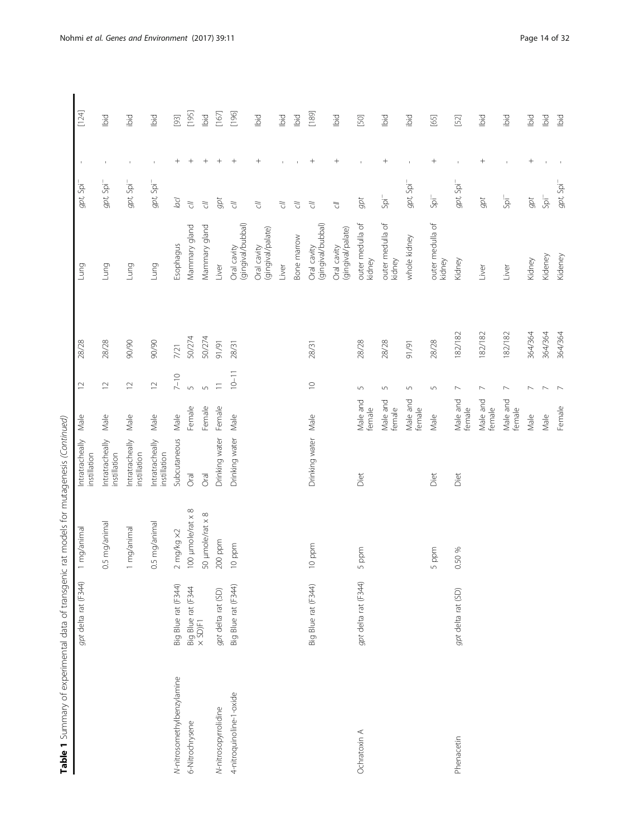| 5<br>J<br>j<br>ļ                                                                                                                                                              |
|-------------------------------------------------------------------------------------------------------------------------------------------------------------------------------|
| $\overline{\phantom{a}}$                                                                                                                                                      |
| d<br>$\overline{ }$                                                                                                                                                           |
| i<br>$\frac{1}{2}$                                                                                                                                                            |
| ١<br>J,<br>Ĭ                                                                                                                                                                  |
|                                                                                                                                                                               |
| .<br>2002 - 201 - 201 - 201 - 201 - 201 - 201 - 201 - 201 - 201 - 201 - 201 - 201 - 201 - 201 - 201 - 201 - 201 - 2<br>$\frac{1}{2}$<br>5<br>$\overline{)}$<br>$-2$<br>j<br>j |
| ś<br>i                                                                                                                                                                        |
| J<br>Ī<br>ï<br>۱<br>İ<br>j<br>l<br>$\ddot{\phantom{a}}$                                                                                                                       |
| $+$                                                                                                                                                                           |
| ć<br>Ş<br>י<br>יינו לאוני<br>5<br>$\mathbf$                                                                                                                                   |
| able 1                                                                                                                                                                        |

| Table 1 Summary of experimental data of transgenic |                               | rat models for mutagenesis (Continued) |                                 |                    |                            |         |                                  |                                       |                                  |         |
|----------------------------------------------------|-------------------------------|----------------------------------------|---------------------------------|--------------------|----------------------------|---------|----------------------------------|---------------------------------------|----------------------------------|---------|
|                                                    | gpt delta rat (F344)          | mg/animal                              | Intratracheally<br>instillation | Male               | $\supseteq$                | 28/28   | Lung                             | gpt, Spi                              |                                  | $[124]$ |
|                                                    |                               | 5 mg/anima<br>$\circ$                  | Intratracheally<br>instillation | Male               | $\supseteq$                | 28/28   | Lung                             | $gpt$ , Spi <sup><math>-</math></sup> |                                  | Ibid    |
|                                                    |                               | mg/animal                              | Intratracheally<br>instillation | Male               | $\supseteq$                | 90/90   | Lung                             | $gpt$ , Spi <sup>-</sup>              |                                  | ibid    |
|                                                    |                               | 0.5 mg/animal                          | Intratracheally<br>instillation | Male               | $\supseteq$                | 90/90   | Lung                             | $gpt$ , Spi <sup>-</sup>              |                                  | lbid    |
| N-nitrosomethylbenzylamine                         | Big Blue rat (F344)           | $2$ mg/kg $\times 2$                   | Subcutaneous                    | Male               | $7 - 10$                   | 7/21    | Esophagus                        | $\overline{a}$                        | $^{+}$                           | $[93]$  |
| 6-Nitrochrysene                                    | Big Blue rat (F344<br>× SD)F1 | 100 µmole/rat x 8                      | Oral                            | Female             | $\sqrt{2}$                 | 50/274  | Mammary gland                    | $\tilde{C}$                           | $^{+}$                           | [195]   |
|                                                    |                               | 50 µmole/rat x 8                       | Oral                            | Female             | $\sqrt{2}$                 | 50/274  | Mammary gland                    | $\tilde{C}$                           | $\hspace{0.1mm} +\hspace{0.1mm}$ | lbid    |
| N-nitrosopyrrolidine                               | gpt delta rat (SD)            | $200$ ppm                              | Drinking water                  | Female             | $\equiv$                   | 91/91   | Liver                            | gpt                                   |                                  | $[167]$ |
| 4-nitroquinoline-1-oxide                           | Big Blue rat (F344)           | $10$ ppm                               | Drinking water                  | Male               | $10 - 11$                  | 28/31   | (gingival/bubbal)<br>Oral cavity | $\sqrt{2}$                            | $\hspace{0.1mm} +$               | [196]   |
|                                                    |                               |                                        |                                 |                    |                            |         | (gingival/palate)<br>Oral cavity | $\sqrt{2}$                            | $^{+}$                           | Ibid    |
|                                                    |                               |                                        |                                 |                    |                            |         | Liver                            | F)                                    |                                  | Ibid    |
|                                                    |                               |                                        |                                 |                    |                            |         | Bone marrow                      | $\sqrt{2}$                            |                                  | Ibid    |
|                                                    | Big Blue rat (F344)           | $10~\mathrm{ppm}$                      | Drinking water                  | Male               | $\subseteq$                | 28/31   | (gingival/bubbal)<br>Oral cavity | $\sqrt{2}$                            | $\overline{+}$                   | $[189]$ |
|                                                    |                               |                                        |                                 |                    |                            |         | (gingival/palate)<br>Oral cavity | 了<br>C                                | $^{+}$                           | Ibid    |
| Ochratoxin A                                       | gpt delta rat (F344)          | ppm<br>S                               | Diet                            | Male and<br>female | $\overline{5}$             | 28/28   | outer medulla of<br>kidney       | gpt                                   |                                  | $[50]$  |
|                                                    |                               |                                        |                                 | Male and<br>female | $\overline{5}$             | 28/28   | outer medulla of<br>kidney       | ją                                    | $^{+}$                           | Ibid    |
|                                                    |                               |                                        |                                 | Male and<br>female | $\mathsf{L}\cap\mathsf{L}$ | 91/91   | whole kidney                     | $gpt$ , Spi <sup>-</sup>              | $\mathbf{r}$                     | ibid    |
|                                                    |                               | ppm<br>S                               | Diet                            | Male               | $\sqrt{ }$                 | 28/28   | outer medulla of<br>kidney       | $Spi^-$                               | $\! + \!\!\!\!$                  | [65]    |
| Phenacetin                                         | gpt delta rat (SD)            | .50 %<br>$\circ$                       | Diet                            | Male and<br>female | $\overline{\phantom{a}}$   | 182/182 | Kidney                           | $gpt$ , Spi <sup>-</sup>              |                                  | $[52]$  |
|                                                    |                               |                                        |                                 | Male and<br>female | $\overline{\phantom{a}}$   | 182/182 | Liver                            | gpt                                   | $^{+}$                           | Ibid    |
|                                                    |                               |                                        |                                 | Male and<br>female | $\overline{ }$             | 182/182 | Liver                            | ją                                    |                                  | ibid    |
|                                                    |                               |                                        |                                 | Male               | $\overline{\phantom{0}}$   | 364/364 | Kidney                           | $gpt$                                 | $^{+}$                           | lbid    |
|                                                    |                               |                                        |                                 | Male               | $\sim$                     | 364/364 | Kideney                          | $Spi^-$                               |                                  | lbid    |
|                                                    |                               |                                        |                                 | Female             | $\overline{ }$             | 364/364 | Kideney                          | $gpt$ , Spi <sup>-</sup>              |                                  | lbid    |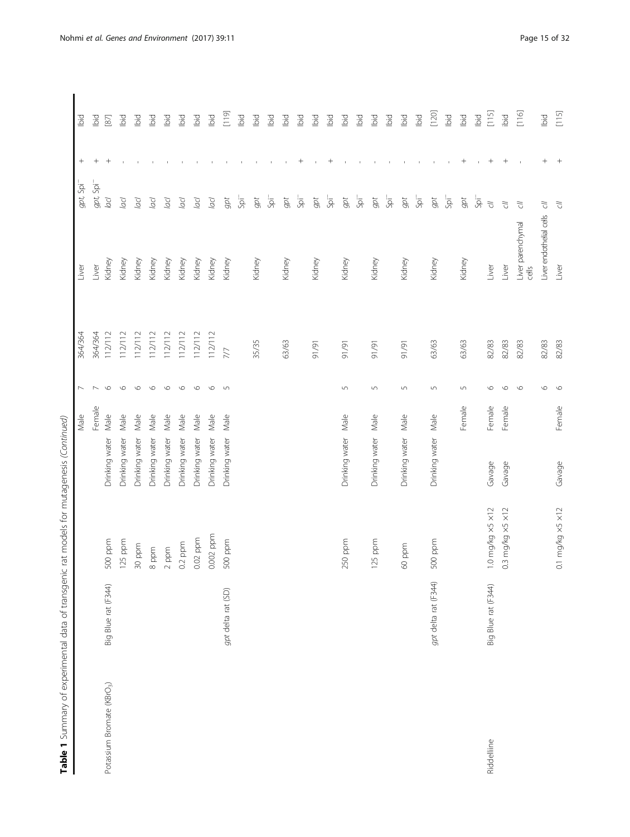|                                        |                      | rat models for mutagenesis (Continued) |                | Male   | $\overline{ }$   | 364/364     | Liver                      | gpt, Spi                | $^{+}$          | lbid    |
|----------------------------------------|----------------------|----------------------------------------|----------------|--------|------------------|-------------|----------------------------|-------------------------|-----------------|---------|
|                                        |                      |                                        |                | Female |                  | 364/364     | Liver                      | gpt, Spi <sup>-</sup>   | $^{+}$          | lbid    |
| Potassium Bromate (KBrO <sub>3</sub> ) | Big Blue rat (F344)  | 500 ppm                                | Drinking water | Male   | $\circ$          | 112/112     | Kidney                     | lacl                    | $^{+}$          | $[87]$  |
|                                        |                      | 125 ppm                                | Drinking water | Male   | $\circ$          | 112/112     | Kidney                     | Jop                     |                 | id      |
|                                        |                      | 30 ppm                                 | Drinking water | Male   | $\circ$          | 112/112     | Kidney                     | Jacl                    |                 | bid     |
|                                        |                      | 8 ppm                                  | Drinking water | Male   | $\circ$          | 112/112     | Kidney                     | Jocl                    |                 | Ъd      |
|                                        |                      | $2$ ppm                                | Drinking water | Male   | $\circ$          | 112/112     | Kidney                     | Jacl                    |                 | Ъid     |
|                                        |                      | $0.2$ ppm                              | Drinking water | Male   | $\circ$          | 112/112     | Kidney                     | Jocl                    |                 | Ъd      |
|                                        |                      | 0.02 ppm                               | Drinking water | Male   | $\circ$          | 112/112     | Kidney                     | Jool                    |                 | pig     |
|                                        |                      | 0.002 ppm                              | Drinking water | Male   | $\circ$          | 112/112     | Kidney                     | Jop                     |                 | bid     |
|                                        | gpt delta rat (SD)   | 500 ppm                                | Drinking water | Male   | $\Box$           | 777         | Kidney                     | $gpt$                   |                 | [011]   |
|                                        |                      |                                        |                |        |                  |             |                            | $5\overline{a}$         |                 | Ibid    |
|                                        |                      |                                        |                |        |                  | 35/35       | Kidney                     | $gpt$                   |                 | lbid    |
|                                        |                      |                                        |                |        |                  |             |                            | ją                      |                 | lbid    |
|                                        |                      |                                        |                |        |                  | 63/63       | Kidney                     | gpt                     |                 | ibid    |
|                                        |                      |                                        |                |        |                  |             |                            | ją                      | $^+$            | lbid    |
|                                        |                      |                                        |                |        |                  | 91/91       | Kidney                     | gpt                     |                 | lbid    |
|                                        |                      |                                        |                |        |                  |             |                            | jq                      | $^+$            | lbid    |
|                                        |                      | 250 ppm                                | Drinking water | Male   | $\overline{5}$   | 1/91        | Kidney                     | $gpt$                   |                 | lbid    |
|                                        |                      |                                        |                |        |                  |             |                            | $\overline{\mathsf{S}}$ |                 | lbid    |
|                                        |                      | 125 ppm                                | Drinking water | Male   | $\cup$           | 6/16        | Kidney                     | $gpt$                   |                 | lbid    |
|                                        |                      |                                        |                |        |                  |             |                            | -ig                     |                 | lbid    |
|                                        |                      | 60 ppm                                 | Drinking water | Male   | $\overline{5}$   | <b>1/91</b> | Kidney                     | $gpt$                   |                 | lbid    |
|                                        |                      |                                        |                |        |                  |             |                            | 5p                      |                 | lbid    |
|                                        | gpt delta rat (F344) | 500 ppm                                | Drinking water | Male   | $\mathsf{L}\cap$ | 63/63       | Kidney                     | $gpt$                   |                 | $[120]$ |
|                                        |                      |                                        |                |        |                  |             |                            | ją                      |                 | Ibid    |
|                                        |                      |                                        |                | Female | $\sqrt{2}$       | 63/63       | Kidney                     | $gpt$                   | $^+$            | Ibid    |
|                                        |                      |                                        |                |        |                  |             |                            | $\overline{\mathsf{B}}$ | $\mathbf{1}$    | lbid    |
| Riddelliine                            | Big Blue rat (F344)  | 1.0 mg/kg ×5 ×12                       | Gavage         | Female | O                | 82/83       | Liver                      | $\tilde{C}$             | $\! + \!\!\!\!$ | $[115]$ |
|                                        |                      | 0.3 mg/kg $\times$ 5 $\times$ 12       | Gavage         | Female | $\circ$          | 82/83       | Liver                      | $\sqrt{2}$              | $^{+}$          | ibid    |
|                                        |                      |                                        |                |        | $\circ$          | 82/83       | Liver parenchymal<br>cells | F)                      | $\mathbf I$     | [116]   |
|                                        |                      |                                        |                |        | $\circ$          | 82/83       | Liver endothelial cells    | $\sqrt{2}$              |                 | bid     |
|                                        |                      | $0.1$ ma/ka $\times$ 5 $\times$ 12     | Gavage         | Female | $\circ$          | 82/83       | Liver                      | đ                       |                 | [115]   |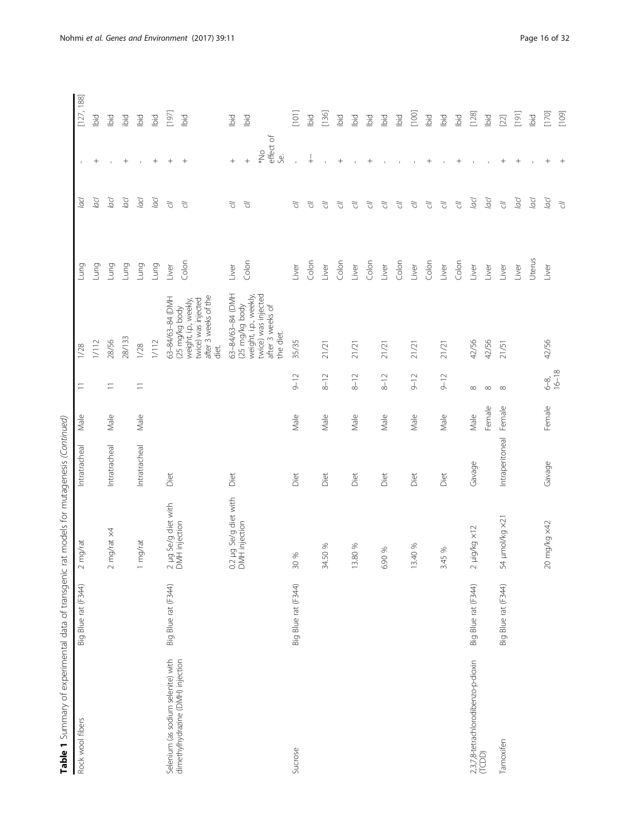| Table 1 Summary of experimental data of transgenic |                     | rat models for mutagenesis (Continued) |                 |        |           |                                                                                                 |        |                  |                                   |            |
|----------------------------------------------------|---------------------|----------------------------------------|-----------------|--------|-----------|-------------------------------------------------------------------------------------------------|--------|------------------|-----------------------------------|------------|
| Rock wool fibers                                   | Big Blue rat (F344) | $2$ mg/rat                             | Intratracheal   | Male   | Ξ         | 1/28                                                                                            | Lung   | Jacl             | $\mathbf{1}$                      | [127, 188] |
|                                                    |                     |                                        |                 |        |           | $1/12$                                                                                          | Lung   | lacl             | $^{+}$                            | lbid       |
|                                                    |                     | 2 mg/rat $\times$ 4                    | Intratracheal   | Male   | $\equiv$  | 28/56                                                                                           | Lung   | Jool             | $\mathbf{I}$                      | lbid       |
|                                                    |                     |                                        |                 |        |           | 28/133                                                                                          | Lung   | Jool             | $\qquad \qquad +$                 | ibid       |
|                                                    |                     | mg/rat<br>$\overline{\phantom{0}}$     | Intratracheal   | Male   | $\equiv$  | 1/28                                                                                            | Lung   | lacl             | $\mathbf{I}$                      | lbid       |
|                                                    |                     |                                        |                 |        |           | 1/112                                                                                           | Lung   | Jool             | $\! + \!\!\!\!$                   | Ibid       |
| Selenium (as sodium selenite) with                 | Big Blue rat (F344) | 2 µg Se/g diet with<br>DMH injection   | Diet            |        |           | 63-84/63-84 (DMH                                                                                | Liver  | $\tilde{\sigma}$ | $^{+}$                            | [197]      |
| dimethylhydrazine (DMH) injection                  |                     |                                        |                 |        |           | after 3 weeks of the<br>twice) was injected<br>weight, i.p., weekly,<br>(25 mg/kg body<br>diet. | Colon  | $\tilde{C}$      | $+$                               | lbid       |
|                                                    |                     | 0.2 µg Se/g diet with                  | Diet            |        |           | 63-84/63-84 (DMH                                                                                | Liver  | 5                | $\! + \!\!\!\!$                   | lbid       |
|                                                    |                     | DMH injection                          |                 |        |           | weight, i.p., weekly,<br>(25 mg/kg body                                                         | Colon  | F)               | $\boldsymbol{+}$                  | lbid       |
|                                                    |                     |                                        |                 |        |           | twice) was injected<br>after 3 weeks of<br>the diet.                                            |        |                  | effect of<br>$\sum_{*}$<br>ن<br>پ |            |
| Sucrose                                            | Big Blue rat (F344) | 30 %                                   | Diet            | Male   | $9 - 12$  | 35/35                                                                                           | Liver  | ₹                | $\bar{\Gamma}$                    | [101]      |
|                                                    |                     |                                        |                 |        |           |                                                                                                 | Colon  | 了<br>C           | $\ddag$                           | lbid       |
|                                                    |                     | 34.50 %                                | Diet            | Male   | $8 - 12$  | 21/21                                                                                           | Liver  | F)               |                                   | $[136]$    |
|                                                    |                     |                                        |                 |        |           |                                                                                                 | Colon  | 5                | $^{+}$                            | ibid       |
|                                                    |                     | 13.80 %                                | Diet            | Male   | $8 - 12$  | 21/21                                                                                           | Liver  | 了<br>            |                                   | Ъd         |
|                                                    |                     |                                        |                 |        |           |                                                                                                 | Colon  | $\tilde{\omega}$ | $^{+}$                            | bid        |
|                                                    |                     | 6.90 %                                 | Diet            | Male   | $8 - 12$  | 21/21                                                                                           | Liver  | 5                |                                   | Ibid       |
|                                                    |                     |                                        |                 |        |           |                                                                                                 | Colon  | F)               |                                   | Ъd         |
|                                                    |                     | 13.40 %                                | Diet            | Male   | $9 - 12$  | 21/21                                                                                           | Liver  | 5                |                                   | $[100]$    |
|                                                    |                     |                                        |                 |        |           |                                                                                                 | Colon  | 5                | $^+$                              | Ibid       |
|                                                    |                     | 3.45 %                                 | Diet            | Male   | $9 - 12$  | 21/21                                                                                           | Liver  | $\overline{C}$   |                                   | iд         |
|                                                    |                     |                                        |                 |        |           |                                                                                                 | Colon  | $\tilde{C}$      | $\qquad \qquad +$                 | lbid       |
| 2,3,7,8-tetrachlorodibenzo-p-dioxin<br>(TCDD)      | Big Blue rat (F344) | 2 µig/kg ×12                           | Gavage          | Male   | $\infty$  | 42/56                                                                                           | Liver  | lacl             | $\mathbf{I}$                      | [128]      |
|                                                    |                     |                                        |                 | Female | $\infty$  | 42/56                                                                                           | Liver  | lacl             | $\mathbf{I}$                      | Ibid       |
| Tamoxifen                                          | Big Blue rat (F344) | 54 µmol/kg ×21                         | Intraperitoneal | Female | $\infty$  | 21/51                                                                                           | Liver  | $\vec{C}$        | $\qquad \qquad +$                 | $[22]$     |
|                                                    |                     |                                        |                 |        |           |                                                                                                 | Liver  | lacl             |                                   | [191]      |
|                                                    |                     |                                        |                 |        |           |                                                                                                 | Uterus | Jool             | $\mathbf{I}$                      | iд         |
|                                                    |                     | 20 mg/kg x42                           | Gavage          | Female | $6-8$     | 42/56                                                                                           | Liver  | pp               | $\! + \!\!\!\!$                   | $[170]$    |
|                                                    |                     |                                        |                 |        | $16 - 18$ |                                                                                                 |        | $\tilde{\sigma}$ | $\qquad \qquad +$                 | [109]      |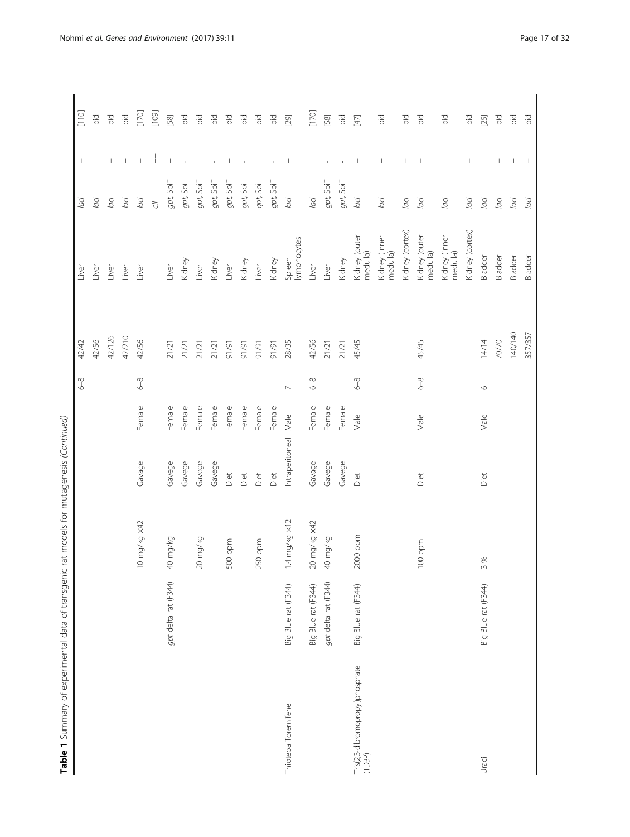|                                            |                      |                         |                 |        | $6 - 8$        | 42/42   | Liver                     | Jacl                                  | $^{+}$                           | $[110]$ |
|--------------------------------------------|----------------------|-------------------------|-----------------|--------|----------------|---------|---------------------------|---------------------------------------|----------------------------------|---------|
|                                            |                      |                         |                 |        |                | 42/56   | Liver                     | lacl                                  |                                  | Ibid    |
|                                            |                      |                         |                 |        |                | 42/126  | Liver                     | Jool                                  | $^{+}$                           | lbid    |
|                                            |                      |                         |                 |        |                | 42/210  | Liver                     | Jacl                                  | $^{+}$                           | Ibid    |
|                                            |                      | 0 mg/kg x42             | Gavage          | Female | $6 - 8$        | 42/56   | Liver                     | Jocl                                  | $^{+}$                           | $[170]$ |
|                                            |                      |                         |                 |        |                |         |                           | $\tilde{\sigma}$                      | $\frac{1}{\pm}$                  | [109]   |
|                                            | gpt delta rat (F344) | 40 mg/kg                | Gavege          | Female |                | 21/21   | Liver                     | $gpt$ , Spi <sup>-</sup>              | $^{+}$                           | $[58]$  |
|                                            |                      |                         | Gavege          | Female |                | 21/21   | Kidney                    | gpt, Spi <sup>-</sup>                 |                                  | lbid    |
|                                            |                      | 20 mg/kg                | Gavege          | Female |                | 21/21   | Liver                     | gpt, Spi <sup>-</sup>                 | $\! + \!\!\!\!$                  | lbid    |
|                                            |                      |                         | Gavege          | Female |                | 21/21   | Kidney                    | $gpt$ , Spi <sup>-</sup>              |                                  | lbid    |
|                                            |                      | 500 ppm                 | Diet            | Female |                | 91/91   | Liver                     | $gpt$ , Spi <sup>-</sup>              | $^{+}$                           | lbid    |
|                                            |                      |                         | Diet            | Female |                | 91/91   | Kidney                    | $gpt$ , Spi <sup>-</sup>              |                                  | lbid    |
|                                            |                      | 250 ppm                 | Diet            | Female |                | 16/16   | Liver                     | $gpt$ , Spi <sup>-</sup>              | $\hspace{0.1mm} +\hspace{0.1mm}$ | lbid    |
|                                            |                      |                         | Diet            | Female |                | 91/91   | Kidney                    | $gpt$ , Spi <sup>-</sup>              |                                  | lbid    |
| Thiotepa Toremifene                        | Big Blue rat (F344)  | $1.4$ mg/kg $\times 12$ | Intraperitoneal | Male   | $\overline{ }$ | 28/35   | Spleen<br>lymphocytes     | lacl                                  | $^{+}$                           | [29]    |
|                                            | Big Blue rat (F344)  | 20 mg/kg x42            | Gavage          | Female | $6-8$          | 42/56   | Liver                     | lacl                                  |                                  | $[170]$ |
|                                            | gpt delta rat (F344) | 40 mg/kg                | Gavege          | Female |                | 21/21   | Liver                     | gpt, Spi <sup>-</sup>                 |                                  | $[58]$  |
|                                            |                      |                         | Gavege          | Female |                | 21/21   | Kidney                    | $gpt$ , Spi <sup><math>-</math></sup> |                                  | lbid    |
| Tris(2,3-dibromopropyl)phosphate<br>(TDBP) | Big Blue rat (F344)  | 2000 ppm                | Diet            | Male   | $6 - 8$        | 45/45   | Kidney (outer<br>medulla) | lacl                                  |                                  | 互       |
|                                            |                      |                         |                 |        |                |         | Kidney (inner<br>medulla) | lacl                                  | $^{+}$                           | lbid    |
|                                            |                      |                         |                 |        |                |         | Kidney (cortex)           | lacl                                  |                                  | bid     |
|                                            |                      | 100 ppm                 | Diet            | Male   | $6 - 8$        | 45/45   | Kidney (outer<br>medulla) | lacl                                  | $^+$                             | Ibid    |
|                                            |                      |                         |                 |        |                |         | Kidney (inner<br>medulla) | lacl                                  | $^{+}$                           | Ibid    |
|                                            |                      |                         |                 |        |                |         | Kidney (cortex)           | $\overline{a}$ cl                     | $^{+}$                           | Ъid     |
| Uracil                                     | Big Blue rat (F344)  | $\%$<br>$\sim$          | Diet            | Male   | $\circ$        | 14/14   | Bladder                   | lacl                                  |                                  | $[25]$  |
|                                            |                      |                         |                 |        |                | 70/70   | Bladder                   | Jocl                                  |                                  | bid     |
|                                            |                      |                         |                 |        |                | 140/140 | Bladder                   | OO                                    | $^+$                             | Ibid    |
|                                            |                      |                         |                 |        |                | 357/357 | Bladder                   | lacl                                  | $^+$                             | bid     |
|                                            |                      |                         |                 |        |                |         |                           |                                       |                                  |         |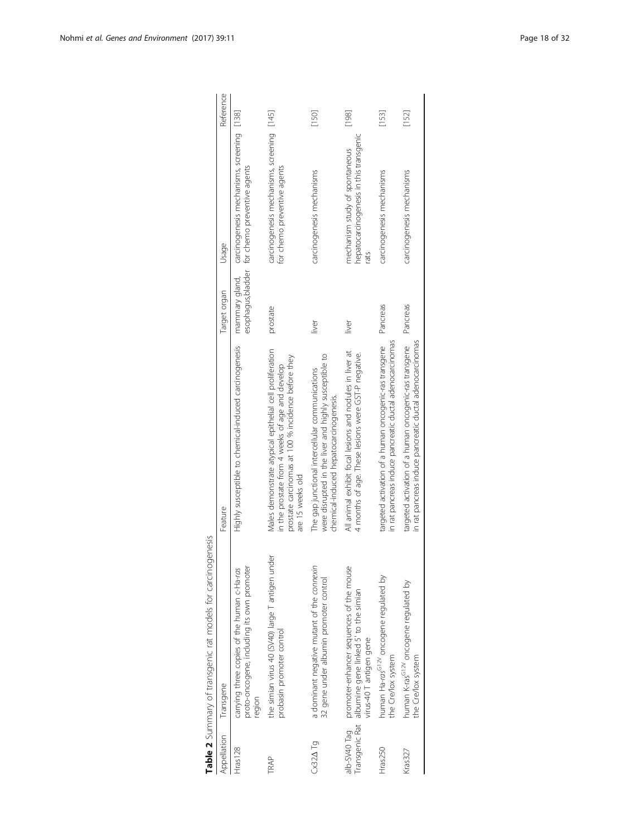<span id="page-17-0"></span>

| Appellation                    | Transgene                                                                                                    | Feature                                                                                                                                                                               | Target organ | Usage                                                                                                       | Reference |
|--------------------------------|--------------------------------------------------------------------------------------------------------------|---------------------------------------------------------------------------------------------------------------------------------------------------------------------------------------|--------------|-------------------------------------------------------------------------------------------------------------|-----------|
| Hras128                        | proto-oncogene, including its own promoter<br>carrying three copies of the human c-Ha-ras<br>region          | Highly susceptible to chemical-induced carcinogenesis                                                                                                                                 |              | mammary gland, carcinogenesis mechanisms, screening [138]<br>esophagus, bladder for chemo preventive agents |           |
| TRAP                           | the simian virus 40 (SV40) large T antigen under<br>probasin promoter control                                | Males demonstrate atypical epithelial cell proliferation<br>prostate carcinomas at 100 % incidence before they<br>in the prostate from 4 weeks of age and develop<br>are 15 weeks old | prostate     | carcinogenesis mechanisms, screening [145]<br>for chemo preventive agents                                   |           |
| $Cx32\Delta$ Tq                | a dominant negative mutant of the connexin<br>32 gene under albumin promoter control                         | were disrupted in the liver and highly susceptible to<br>The gap junctional intercellular communications<br>chemical-induced hepatocarcinogenesis.                                    | iiver        | carcinogenesis mechanisms                                                                                   | [150]     |
| Transgenic Rat<br>alb-SV40 Tag | promoter-enhancer sequences of the mouse<br>albumine gene linked 5' to the simian<br>virus-40 T antigen gene | All animal exhibit focal lesions and nodules in liver at<br>4 months of age. These lesions were GST-P negative.                                                                       | liver        | hepatocarcinogenesis in this transgenic<br>mechanism study of spontaneous<br>rats                           | [198]     |
| Hras250                        | human Ha-ras <sup>G12V</sup> oncogene regulated by<br>the Cre/lox system                                     | in rat pancreas induce pancreatic ductal adenocarcinomas<br>targeted activation of a human oncogenic-ras transgene                                                                    | Pancreas     | carcinogenesis mechanisms                                                                                   | [153]     |
| Kras327                        | human K-ras <sup>G12V</sup> oncogene regulated by<br>the Cre/lox system                                      | targeted activation of a human oncogenic-ras transgene<br>in rat pancreas induce pancreatic ductal adenocarcinomas                                                                    | Pancreas     | carcinogenesis mechanisms                                                                                   | [152]     |
|                                |                                                                                                              |                                                                                                                                                                                       |              |                                                                                                             |           |

| ì<br>١<br>ç<br>١<br>$+24$<br>J<br>j<br>١                |  |
|---------------------------------------------------------|--|
| $-5$<br>J                                               |  |
| こくしょう キントルキー<br>J<br>١<br>)<br>$\overline{\phantom{a}}$ |  |
| i<br>j<br>ļ                                             |  |
| ֚֘֝֬                                                    |  |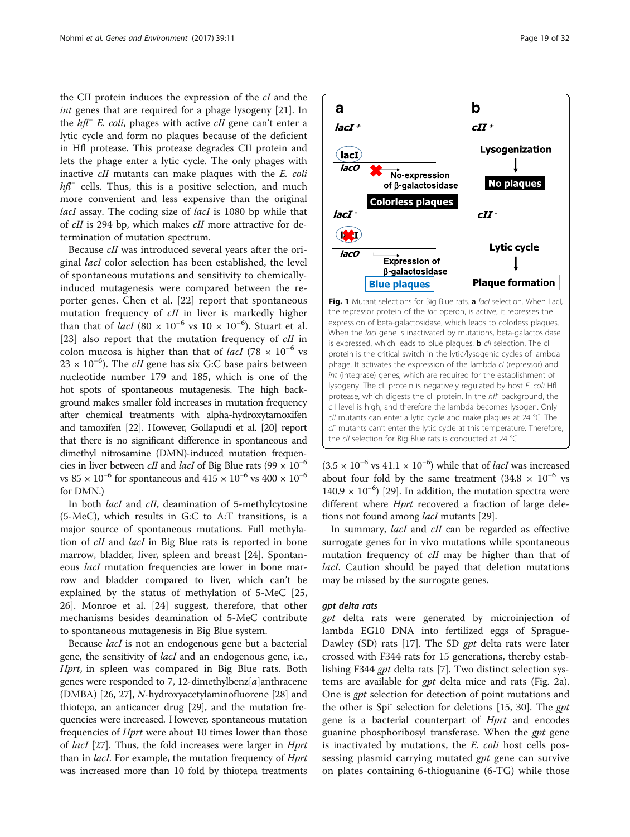<span id="page-18-0"></span>the CII protein induces the expression of the cI and the int genes that are required for a phage lysogeny [\[21](#page-27-0)]. In the hfl<sup>−</sup> E. coli, phages with active cII gene can't enter a lytic cycle and form no plaques because of the deficient in Hfl protease. This protease degrades CII protein and lets the phage enter a lytic cycle. The only phages with inactive cII mutants can make plaques with the E. coli  $hfl^-$  cells. Thus, this is a positive selection, and much more convenient and less expensive than the original lacI assay. The coding size of lacI is 1080 bp while that of cII is 294 bp, which makes cII more attractive for determination of mutation spectrum.

Because cII was introduced several years after the original lacI color selection has been established, the level of spontaneous mutations and sensitivity to chemicallyinduced mutagenesis were compared between the reporter genes. Chen et al. [[22\]](#page-27-0) report that spontaneous mutation frequency of cII in liver is markedly higher than that of *lacI* (80 × 10<sup>-6</sup> vs 10 × 10<sup>-6</sup>). Stuart et al. [[23\]](#page-27-0) also report that the mutation frequency of *cII* in colon mucosa is higher than that of *lacI* (78  $\times$  10<sup>-6</sup> vs  $23 \times 10^{-6}$ ). The *cII* gene has six G:C base pairs between nucleotide number 179 and 185, which is one of the hot spots of spontaneous mutagenesis. The high background makes smaller fold increases in mutation frequency after chemical treatments with alpha-hydroxytamoxifen and tamoxifen [\[22\]](#page-27-0). However, Gollapudi et al. [[20](#page-27-0)] report that there is no significant difference in spontaneous and dimethyl nitrosamine (DMN)-induced mutation frequencies in liver between *cII* and *lacI* of Big Blue rats (99  $\times$  10<sup>-6</sup> vs 85 ×  $10^{-6}$  for spontaneous and 415 ×  $10^{-6}$  vs 400 ×  $10^{-6}$ for DMN.)

In both *lacI* and *cII*, deamination of 5-methylcytosine (5-MeC), which results in G:C to A:T transitions, is a major source of spontaneous mutations. Full methylation of *cII* and *lacI* in Big Blue rats is reported in bone marrow, bladder, liver, spleen and breast [\[24\]](#page-27-0). Spontaneous lacI mutation frequencies are lower in bone marrow and bladder compared to liver, which can't be explained by the status of methylation of 5-MeC [[25](#page-27-0), [26\]](#page-27-0). Monroe et al. [\[24](#page-27-0)] suggest, therefore, that other mechanisms besides deamination of 5-MeC contribute to spontaneous mutagenesis in Big Blue system.

Because *lacI* is not an endogenous gene but a bacterial gene, the sensitivity of lacI and an endogenous gene, i.e., Hprt, in spleen was compared in Big Blue rats. Both genes were responded to 7, 12-dimethylbenz $[a]$ anthracene (DMBA) [[26](#page-27-0), [27\]](#page-27-0), N-hydroxyacetylaminofluorene [\[28\]](#page-27-0) and thiotepa, an anticancer drug [[29](#page-27-0)], and the mutation frequencies were increased. However, spontaneous mutation frequencies of Hprt were about 10 times lower than those of lacI [\[27\]](#page-27-0). Thus, the fold increases were larger in Hprt than in *lacI*. For example, the mutation frequency of *Hprt* was increased more than 10 fold by thiotepa treatments



Fig. 1 Mutant selections for Big Blue rats. a lacl selection. When Lacl, the repressor protein of the lac operon, is active, it represses the expression of beta-galactosidase, which leads to colorless plaques. When the *lacl* gene is inactivated by mutations, beta-galactosidase is expressed, which leads to blue plaques. **b** cll selection. The cll protein is the critical switch in the lytic/lysogenic cycles of lambda phage. It activates the expression of the lambda cl (repressor) and int (integrase) genes, which are required for the establishment of lysogeny. The cII protein is negatively regulated by host E. coli Hfl protease, which digests the cII protein. In the hfl<sup>-</sup> background, the cII level is high, and therefore the lambda becomes lysogen. Only cII mutants can enter a lytic cycle and make plaques at 24 °C. The  $c<sup>r</sup>$  mutants can't enter the lytic cycle at this temperature. Therefore, the cII selection for Big Blue rats is conducted at 24 °C

(3.5 × 10<sup>-6</sup> vs 41.1 × 10<sup>-6</sup>) while that of *lacI* was increased about four fold by the same treatment (34.8  $\times$  10<sup>-6</sup> vs 140.9  $\times$  10<sup>-6</sup>) [[29](#page-27-0)]. In addition, the mutation spectra were different where Hprt recovered a fraction of large deletions not found among *lacI* mutants [\[29\]](#page-27-0).

In summary, *lacI* and *cII* can be regarded as effective surrogate genes for in vivo mutations while spontaneous mutation frequency of cII may be higher than that of lacI. Caution should be payed that deletion mutations may be missed by the surrogate genes.

#### gpt delta rats

gpt delta rats were generated by microinjection of lambda EG10 DNA into fertilized eggs of Sprague-Dawley (SD) rats [[17\]](#page-27-0). The SD *gpt* delta rats were later crossed with F344 rats for 15 generations, thereby establishing F344 gpt delta rats [\[7](#page-27-0)]. Two distinct selection systems are available for *gpt* delta mice and rats (Fig. [2a](#page-19-0)). One is *gpt* selection for detection of point mutations and the other is Spi-selection for deletions  $[15, 30]$  $[15, 30]$  $[15, 30]$  $[15, 30]$ . The gpt gene is a bacterial counterpart of Hprt and encodes guanine phosphoribosyl transferase. When the *gpt* gene is inactivated by mutations, the E. coli host cells possessing plasmid carrying mutated *gpt* gene can survive on plates containing 6-thioguanine (6-TG) while those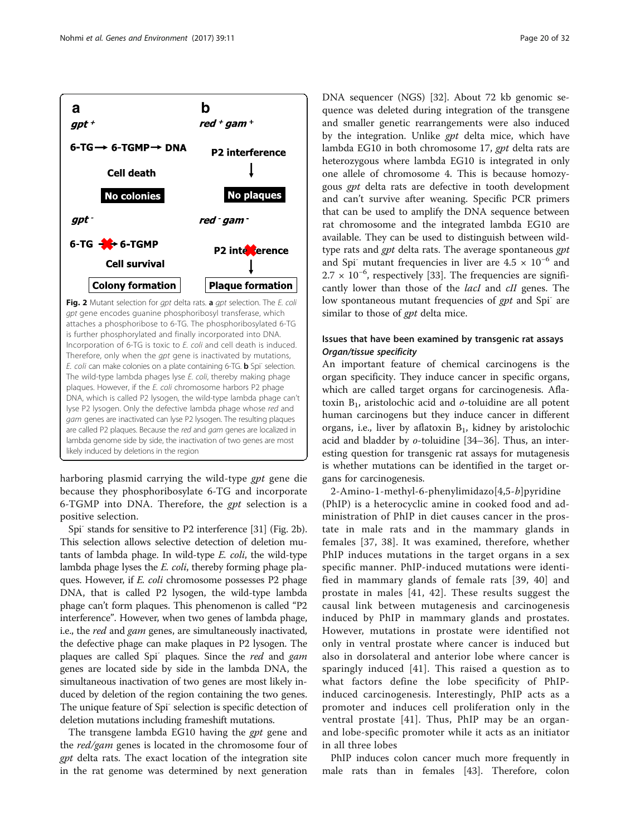<span id="page-19-0"></span>

Fig. 2 Mutant selection for gpt delta rats. a gpt selection. The E. coli gpt gene encodes guanine phosphoribosyl transferase, which attaches a phosphoribose to 6-TG. The phosphoribosylated 6-TG is further phosphorylated and finally incorporated into DNA. Incorporation of 6-TG is toxic to E. coli and cell death is induced. Therefore, only when the gpt gene is inactivated by mutations, E. coli can make colonies on a plate containing 6-TG. **b** Spi<sup>-</sup> selection. The wild-type lambda phages lyse E. coli, thereby making phage plaques. However, if the E. coli chromosome harbors P2 phage DNA, which is called P2 lysogen, the wild-type lambda phage can't lyse P2 lysogen. Only the defective lambda phage whose red and gam genes are inactivated can lyse P2 lysogen. The resulting plaques are called P2 plaques. Because the red and gam genes are localized in lambda genome side by side, the inactivation of two genes are most likely induced by deletions in the region

harboring plasmid carrying the wild-type gpt gene die because they phosphoribosylate 6-TG and incorporate 6-TGMP into DNA. Therefore, the gpt selection is a positive selection.

Spi<sup>-</sup> stands for sensitive to P2 interference [[31](#page-27-0)] (Fig. 2b). This selection allows selective detection of deletion mutants of lambda phage. In wild-type E. coli, the wild-type lambda phage lyses the E. coli, thereby forming phage plaques. However, if E. coli chromosome possesses P2 phage DNA, that is called P2 lysogen, the wild-type lambda phage can't form plaques. This phenomenon is called "P2 interference". However, when two genes of lambda phage, i.e., the red and gam genes, are simultaneously inactivated, the defective phage can make plaques in P2 lysogen. The plaques are called Spi<sup>-</sup> plaques. Since the red and gam genes are located side by side in the lambda DNA, the simultaneous inactivation of two genes are most likely induced by deletion of the region containing the two genes. The unique feature of Spi- selection is specific detection of deletion mutations including frameshift mutations.

The transgene lambda EG10 having the *gpt* gene and the red/gam genes is located in the chromosome four of *gpt* delta rats. The exact location of the integration site in the rat genome was determined by next generation

DNA sequencer (NGS) [[32\]](#page-27-0). About 72 kb genomic sequence was deleted during integration of the transgene and smaller genetic rearrangements were also induced by the integration. Unlike *gpt* delta mice, which have lambda EG10 in both chromosome 17, gpt delta rats are heterozygous where lambda EG10 is integrated in only one allele of chromosome 4. This is because homozygous gpt delta rats are defective in tooth development and can't survive after weaning. Specific PCR primers that can be used to amplify the DNA sequence between rat chromosome and the integrated lambda EG10 are available. They can be used to distinguish between wildtype rats and gpt delta rats. The average spontaneous gpt and Spi<sup>-</sup> mutant frequencies in liver are  $4.5 \times 10^{-6}$  and 2.7 × 10<sup>-6</sup>, respectively [[33\]](#page-27-0). The frequencies are significantly lower than those of the lacI and cII genes. The low spontaneous mutant frequencies of *gpt* and Spi<sup>-</sup> are similar to those of *gpt* delta mice.

# Issues that have been examined by transgenic rat assays Organ/tissue specificity

An important feature of chemical carcinogens is the organ specificity. They induce cancer in specific organs, which are called target organs for carcinogenesis. Aflatoxin  $B_1$ , aristolochic acid and  $o$ -toluidine are all potent human carcinogens but they induce cancer in different organs, i.e., liver by aflatoxin  $B_1$ , kidney by aristolochic acid and bladder by o-toluidine [[34](#page-27-0)–[36](#page-27-0)]. Thus, an interesting question for transgenic rat assays for mutagenesis is whether mutations can be identified in the target organs for carcinogenesis.

2-Amino-1-methyl-6-phenylimidazo[4,5-b]pyridine (PhIP) is a heterocyclic amine in cooked food and administration of PhIP in diet causes cancer in the prostate in male rats and in the mammary glands in females [[37](#page-28-0), [38\]](#page-28-0). It was examined, therefore, whether PhIP induces mutations in the target organs in a sex specific manner. PhIP-induced mutations were identified in mammary glands of female rats [[39, 40](#page-28-0)] and prostate in males [[41](#page-28-0), [42](#page-28-0)]. These results suggest the causal link between mutagenesis and carcinogenesis induced by PhIP in mammary glands and prostates. However, mutations in prostate were identified not only in ventral prostate where cancer is induced but also in dorsolateral and anterior lobe where cancer is sparingly induced [\[41\]](#page-28-0). This raised a question as to what factors define the lobe specificity of PhIPinduced carcinogenesis. Interestingly, PhIP acts as a promoter and induces cell proliferation only in the ventral prostate [[41](#page-28-0)]. Thus, PhIP may be an organand lobe-specific promoter while it acts as an initiator in all three lobes

PhIP induces colon cancer much more frequently in male rats than in females [[43](#page-28-0)]. Therefore, colon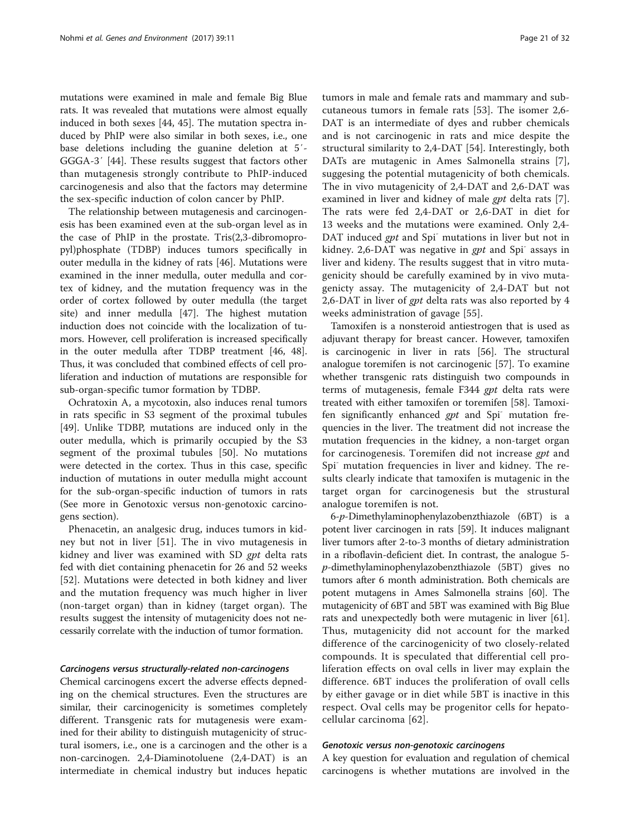<span id="page-20-0"></span>mutations were examined in male and female Big Blue rats. It was revealed that mutations were almost equally induced in both sexes [\[44, 45](#page-28-0)]. The mutation spectra induced by PhIP were also similar in both sexes, i.e., one base deletions including the guanine deletion at 5′- GGGA-3′ [\[44](#page-28-0)]. These results suggest that factors other than mutagenesis strongly contribute to PhIP-induced carcinogenesis and also that the factors may determine the sex-specific induction of colon cancer by PhIP.

The relationship between mutagenesis and carcinogenesis has been examined even at the sub-organ level as in the case of PhIP in the prostate. Tris(2,3-dibromopropyl)phosphate (TDBP) induces tumors specifically in outer medulla in the kidney of rats [[46](#page-28-0)]. Mutations were examined in the inner medulla, outer medulla and cortex of kidney, and the mutation frequency was in the order of cortex followed by outer medulla (the target site) and inner medulla [[47](#page-28-0)]. The highest mutation induction does not coincide with the localization of tumors. However, cell proliferation is increased specifically in the outer medulla after TDBP treatment [[46, 48](#page-28-0)]. Thus, it was concluded that combined effects of cell proliferation and induction of mutations are responsible for sub-organ-specific tumor formation by TDBP.

Ochratoxin A, a mycotoxin, also induces renal tumors in rats specific in S3 segment of the proximal tubules [[49\]](#page-28-0). Unlike TDBP, mutations are induced only in the outer medulla, which is primarily occupied by the S3 segment of the proximal tubules [\[50\]](#page-28-0). No mutations were detected in the cortex. Thus in this case, specific induction of mutations in outer medulla might account for the sub-organ-specific induction of tumors in rats (See more in Genotoxic versus non-genotoxic carcinogens section).

Phenacetin, an analgesic drug, induces tumors in kidney but not in liver [\[51](#page-28-0)]. The in vivo mutagenesis in kidney and liver was examined with SD gpt delta rats fed with diet containing phenacetin for 26 and 52 weeks [[52\]](#page-28-0). Mutations were detected in both kidney and liver and the mutation frequency was much higher in liver (non-target organ) than in kidney (target organ). The results suggest the intensity of mutagenicity does not necessarily correlate with the induction of tumor formation.

### Carcinogens versus structurally-related non-carcinogens

Chemical carcinogens excert the adverse effects depneding on the chemical structures. Even the structures are similar, their carcinogenicity is sometimes completely different. Transgenic rats for mutagenesis were examined for their ability to distinguish mutagenicity of structural isomers, i.e., one is a carcinogen and the other is a non-carcinogen. 2,4-Diaminotoluene (2,4-DAT) is an intermediate in chemical industry but induces hepatic tumors in male and female rats and mammary and subcutaneous tumors in female rats [[53\]](#page-28-0). The isomer 2,6- DAT is an intermediate of dyes and rubber chemicals and is not carcinogenic in rats and mice despite the structural similarity to 2,4-DAT [[54\]](#page-28-0). Interestingly, both DATs are mutagenic in Ames Salmonella strains [\[7](#page-27-0)], suggesing the potential mutagenicity of both chemicals. The in vivo mutagenicity of 2,4-DAT and 2,6-DAT was examined in liver and kidney of male *gpt* delta rats [\[7](#page-27-0)]. The rats were fed 2,4-DAT or 2,6-DAT in diet for 13 weeks and the mutations were examined. Only 2,4- DAT induced  $gpt$  and Spi<sup>-</sup> mutations in liver but not in kidney. 2,6-DAT was negative in  $gpt$  and Spi<sup>-</sup> assays in liver and kideny. The results suggest that in vitro mutagenicity should be carefully examined by in vivo mutagenicty assay. The mutagenicity of 2,4-DAT but not 2,6-DAT in liver of gpt delta rats was also reported by 4 weeks administration of gavage [\[55](#page-28-0)].

Tamoxifen is a nonsteroid antiestrogen that is used as adjuvant therapy for breast cancer. However, tamoxifen is carcinogenic in liver in rats [\[56](#page-28-0)]. The structural analogue toremifen is not carcinogenic [\[57](#page-28-0)]. To examine whether transgenic rats distinguish two compounds in terms of mutagenesis, female F344 gpt delta rats were treated with either tamoxifen or toremifen [[58\]](#page-28-0). Tamoxifen significantly enhanced  $gpt$  and Spi<sup>-</sup> mutation frequencies in the liver. The treatment did not increase the mutation frequencies in the kidney, a non-target organ for carcinogenesis. Toremifen did not increase gpt and Spi<sup>-</sup> mutation frequencies in liver and kidney. The results clearly indicate that tamoxifen is mutagenic in the target organ for carcinogenesis but the strustural analogue toremifen is not.

6-p-Dimethylaminophenylazobenzthiazole (6BT) is a potent liver carcinogen in rats [[59](#page-28-0)]. It induces malignant liver tumors after 2-to-3 months of dietary administration in a riboflavin-deficient diet. In contrast, the analogue 5 p-dimethylaminophenylazobenzthiazole (5BT) gives no tumors after 6 month administration. Both chemicals are potent mutagens in Ames Salmonella strains [[60\]](#page-28-0). The mutagenicity of 6BT and 5BT was examined with Big Blue rats and unexpectedly both were mutagenic in liver [[61](#page-28-0)]. Thus, mutagenicity did not account for the marked difference of the carcinogenicity of two closely-related compounds. It is speculated that differential cell proliferation effects on oval cells in liver may explain the difference. 6BT induces the proliferation of ovall cells by either gavage or in diet while 5BT is inactive in this respect. Oval cells may be progenitor cells for hepatocellular carcinoma [\[62\]](#page-28-0).

#### Genotoxic versus non-genotoxic carcinogens

A key question for evaluation and regulation of chemical carcinogens is whether mutations are involved in the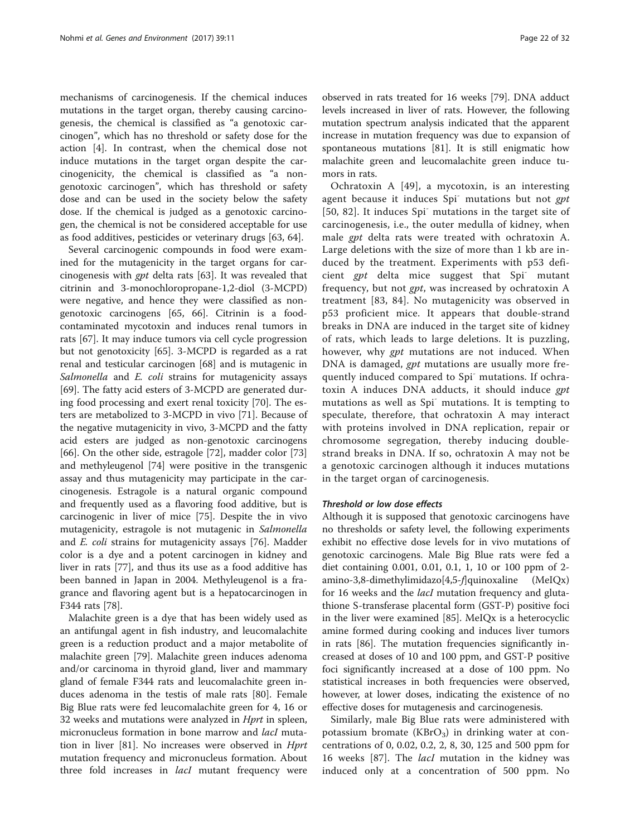<span id="page-21-0"></span>mechanisms of carcinogenesis. If the chemical induces mutations in the target organ, thereby causing carcinogenesis, the chemical is classified as "a genotoxic carcinogen", which has no threshold or safety dose for the action [[4\]](#page-27-0). In contrast, when the chemical dose not induce mutations in the target organ despite the carcinogenicity, the chemical is classified as "a nongenotoxic carcinogen", which has threshold or safety dose and can be used in the society below the safety dose. If the chemical is judged as a genotoxic carcinogen, the chemical is not be considered acceptable for use as food additives, pesticides or veterinary drugs [\[63, 64\]](#page-28-0).

Several carcinogenic compounds in food were examined for the mutagenicity in the target organs for carcinogenesis with gpt delta rats [[63](#page-28-0)]. It was revealed that citrinin and 3-monochloropropane-1,2-diol (3-MCPD) were negative, and hence they were classified as nongenotoxic carcinogens [\[65](#page-28-0), [66](#page-28-0)]. Citrinin is a foodcontaminated mycotoxin and induces renal tumors in rats [\[67\]](#page-28-0). It may induce tumors via cell cycle progression but not genotoxicity [[65\]](#page-28-0). 3-MCPD is regarded as a rat renal and testicular carcinogen [\[68](#page-28-0)] and is mutagenic in Salmonella and E. coli strains for mutagenicity assays [[69\]](#page-28-0). The fatty acid esters of 3-MCPD are generated during food processing and exert renal toxicity [\[70](#page-28-0)]. The esters are metabolized to 3-MCPD in vivo [[71](#page-28-0)]. Because of the negative mutagenicity in vivo, 3-MCPD and the fatty acid esters are judged as non-genotoxic carcinogens [[66\]](#page-28-0). On the other side, estragole [\[72](#page-28-0)], madder color [[73](#page-28-0)] and methyleugenol [\[74\]](#page-28-0) were positive in the transgenic assay and thus mutagenicity may participate in the carcinogenesis. Estragole is a natural organic compound and frequently used as a flavoring food additive, but is carcinogenic in liver of mice [\[75](#page-28-0)]. Despite the in vivo mutagenicity, estragole is not mutagenic in Salmonella and E. coli strains for mutagenicity assays [[76](#page-28-0)]. Madder color is a dye and a potent carcinogen in kidney and liver in rats [\[77](#page-28-0)], and thus its use as a food additive has been banned in Japan in 2004. Methyleugenol is a fragrance and flavoring agent but is a hepatocarcinogen in F344 rats [[78\]](#page-28-0).

Malachite green is a dye that has been widely used as an antifungal agent in fish industry, and leucomalachite green is a reduction product and a major metabolite of malachite green [\[79](#page-28-0)]. Malachite green induces adenoma and/or carcinoma in thyroid gland, liver and mammary gland of female F344 rats and leucomalachite green induces adenoma in the testis of male rats [[80\]](#page-28-0). Female Big Blue rats were fed leucomalachite green for 4, 16 or 32 weeks and mutations were analyzed in *Hprt* in spleen, micronucleus formation in bone marrow and *lacI* mutation in liver [\[81](#page-28-0)]. No increases were observed in Hprt mutation frequency and micronucleus formation. About three fold increases in *lacI* mutant frequency were

observed in rats treated for 16 weeks [[79\]](#page-28-0). DNA adduct levels increased in liver of rats. However, the following mutation spectrum analysis indicated that the apparent increase in mutation frequency was due to expansion of spontaneous mutations [\[81](#page-28-0)]. It is still enigmatic how malachite green and leucomalachite green induce tumors in rats.

Ochratoxin A [\[49](#page-28-0)], a mycotoxin, is an interesting agent because it induces Spi<sup>-</sup> mutations but not gpt [[50](#page-28-0), [82](#page-29-0)]. It induces Spi<sup>-</sup> mutations in the target site of carcinogenesis, i.e., the outer medulla of kidney, when male gpt delta rats were treated with ochratoxin A. Large deletions with the size of more than 1 kb are induced by the treatment. Experiments with p53 deficient gpt delta mice suggest that Spi<sup>-</sup> mutant frequency, but not gpt, was increased by ochratoxin A treatment [[83](#page-29-0), [84](#page-29-0)]. No mutagenicity was observed in p53 proficient mice. It appears that double-strand breaks in DNA are induced in the target site of kidney of rats, which leads to large deletions. It is puzzling, however, why gpt mutations are not induced. When DNA is damaged, gpt mutations are usually more frequently induced compared to Spi- mutations. If ochratoxin A induces DNA adducts, it should induce gpt mutations as well as Spi- mutations. It is tempting to speculate, therefore, that ochratoxin A may interact with proteins involved in DNA replication, repair or chromosome segregation, thereby inducing doublestrand breaks in DNA. If so, ochratoxin A may not be a genotoxic carcinogen although it induces mutations in the target organ of carcinogenesis.

### Threshold or low dose effects

Although it is supposed that genotoxic carcinogens have no thresholds or safety level, the following experiments exhibit no effective dose levels for in vivo mutations of genotoxic carcinogens. Male Big Blue rats were fed a diet containing 0.001, 0.01, 0.1, 1, 10 or 100 ppm of 2 amino-3,8-dimethylimidazo[4,5-f]quinoxaline (MeIQx) for 16 weeks and the *lacI* mutation frequency and glutathione S-transferase placental form (GST-P) positive foci in the liver were examined [[85](#page-29-0)]. MeIQx is a heterocyclic amine formed during cooking and induces liver tumors in rats [\[86](#page-29-0)]. The mutation frequencies significantly increased at doses of 10 and 100 ppm, and GST-P positive foci significantly increased at a dose of 100 ppm. No statistical increases in both frequencies were observed, however, at lower doses, indicating the existence of no effective doses for mutagenesis and carcinogenesis.

Similarly, male Big Blue rats were administered with potassium bromate  $(KBrO<sub>3</sub>)$  in drinking water at concentrations of 0, 0.02, 0.2, 2, 8, 30, 125 and 500 ppm for 16 weeks [\[87](#page-29-0)]. The *lacI* mutation in the kidney was induced only at a concentration of 500 ppm. No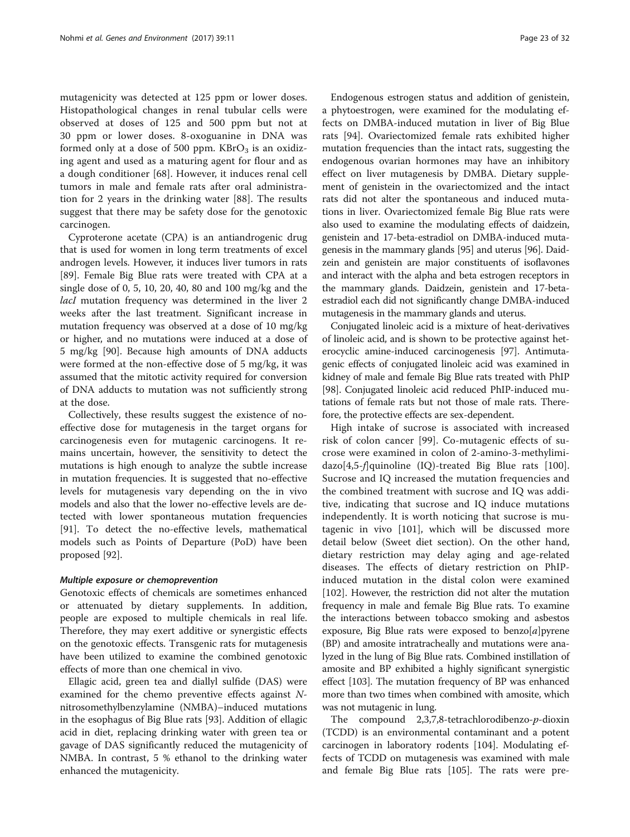mutagenicity was detected at 125 ppm or lower doses. Histopathological changes in renal tubular cells were observed at doses of 125 and 500 ppm but not at 30 ppm or lower doses. 8-oxoguanine in DNA was formed only at a dose of 500 ppm.  $KBrO<sub>3</sub>$  is an oxidizing agent and used as a maturing agent for flour and as a dough conditioner [[68\]](#page-28-0). However, it induces renal cell tumors in male and female rats after oral administration for 2 years in the drinking water [[88\]](#page-29-0). The results suggest that there may be safety dose for the genotoxic carcinogen.

Cyproterone acetate (CPA) is an antiandrogenic drug that is used for women in long term treatments of excel androgen levels. However, it induces liver tumors in rats [[89\]](#page-29-0). Female Big Blue rats were treated with CPA at a single dose of 0, 5, 10, 20, 40, 80 and 100 mg/kg and the lacI mutation frequency was determined in the liver 2 weeks after the last treatment. Significant increase in mutation frequency was observed at a dose of 10 mg/kg or higher, and no mutations were induced at a dose of 5 mg/kg [\[90](#page-29-0)]. Because high amounts of DNA adducts were formed at the non-effective dose of 5 mg/kg, it was assumed that the mitotic activity required for conversion of DNA adducts to mutation was not sufficiently strong at the dose.

Collectively, these results suggest the existence of noeffective dose for mutagenesis in the target organs for carcinogenesis even for mutagenic carcinogens. It remains uncertain, however, the sensitivity to detect the mutations is high enough to analyze the subtle increase in mutation frequencies. It is suggested that no-effective levels for mutagenesis vary depending on the in vivo models and also that the lower no-effective levels are detected with lower spontaneous mutation frequencies [[91\]](#page-29-0). To detect the no-effective levels, mathematical models such as Points of Departure (PoD) have been proposed [[92](#page-29-0)].

#### Multiple exposure or chemoprevention

Genotoxic effects of chemicals are sometimes enhanced or attenuated by dietary supplements. In addition, people are exposed to multiple chemicals in real life. Therefore, they may exert additive or synergistic effects on the genotoxic effects. Transgenic rats for mutagenesis have been utilized to examine the combined genotoxic effects of more than one chemical in vivo.

Ellagic acid, green tea and diallyl sulfide (DAS) were examined for the chemo preventive effects against Nnitrosomethylbenzylamine (NMBA)–induced mutations in the esophagus of Big Blue rats [\[93\]](#page-29-0). Addition of ellagic acid in diet, replacing drinking water with green tea or gavage of DAS significantly reduced the mutagenicity of NMBA. In contrast, 5 % ethanol to the drinking water enhanced the mutagenicity.

Endogenous estrogen status and addition of genistein, a phytoestrogen, were examined for the modulating effects on DMBA-induced mutation in liver of Big Blue rats [\[94\]](#page-29-0). Ovariectomized female rats exhibited higher mutation frequencies than the intact rats, suggesting the endogenous ovarian hormones may have an inhibitory effect on liver mutagenesis by DMBA. Dietary supplement of genistein in the ovariectomized and the intact rats did not alter the spontaneous and induced mutations in liver. Ovariectomized female Big Blue rats were also used to examine the modulating effects of daidzein, genistein and 17-beta-estradiol on DMBA-induced mutagenesis in the mammary glands [[95](#page-29-0)] and uterus [[96](#page-29-0)]. Daidzein and genistein are major constituents of isoflavones and interact with the alpha and beta estrogen receptors in the mammary glands. Daidzein, genistein and 17-betaestradiol each did not significantly change DMBA-induced mutagenesis in the mammary glands and uterus.

Conjugated linoleic acid is a mixture of heat-derivatives of linoleic acid, and is shown to be protective against heterocyclic amine-induced carcinogenesis [\[97](#page-29-0)]. Antimutagenic effects of conjugated linoleic acid was examined in kidney of male and female Big Blue rats treated with PhIP [[98](#page-29-0)]. Conjugated linoleic acid reduced PhIP-induced mutations of female rats but not those of male rats. Therefore, the protective effects are sex-dependent.

High intake of sucrose is associated with increased risk of colon cancer [[99](#page-29-0)]. Co-mutagenic effects of sucrose were examined in colon of 2-amino-3-methylimi-dazo[4,5-f]quinoline (IQ)-treated Big Blue rats [\[100](#page-29-0)]. Sucrose and IQ increased the mutation frequencies and the combined treatment with sucrose and IQ was additive, indicating that sucrose and IQ induce mutations independently. It is worth noticing that sucrose is mutagenic in vivo [[101\]](#page-29-0), which will be discussed more detail below [\(Sweet diet](#page-24-0) section). On the other hand, dietary restriction may delay aging and age-related diseases. The effects of dietary restriction on PhIPinduced mutation in the distal colon were examined [[102](#page-29-0)]. However, the restriction did not alter the mutation frequency in male and female Big Blue rats. To examine the interactions between tobacco smoking and asbestos exposure, Big Blue rats were exposed to benzo $[a]$ pyrene (BP) and amosite intratracheally and mutations were analyzed in the lung of Big Blue rats. Combined instillation of amosite and BP exhibited a highly significant synergistic effect [[103](#page-29-0)]. The mutation frequency of BP was enhanced more than two times when combined with amosite, which was not mutagenic in lung.

The compound 2,3,7,8-tetrachlorodibenzo-p-dioxin (TCDD) is an environmental contaminant and a potent carcinogen in laboratory rodents [\[104\]](#page-29-0). Modulating effects of TCDD on mutagenesis was examined with male and female Big Blue rats [[105](#page-29-0)]. The rats were pre-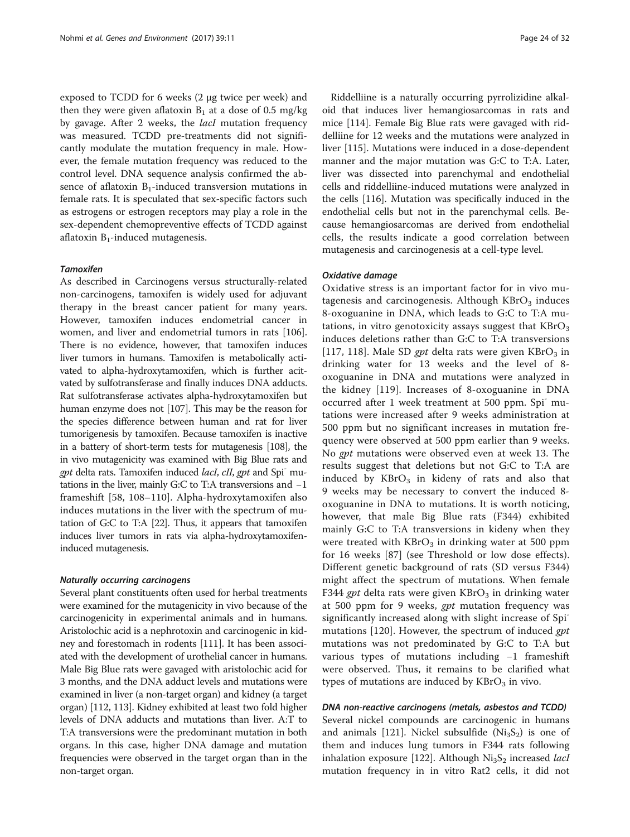exposed to TCDD for 6 weeks (2 μg twice per week) and then they were given aflatoxin  $B_1$  at a dose of 0.5 mg/kg by gavage. After 2 weeks, the *lacI* mutation frequency was measured. TCDD pre-treatments did not significantly modulate the mutation frequency in male. However, the female mutation frequency was reduced to the control level. DNA sequence analysis confirmed the absence of aflatoxin  $B_1$ -induced transversion mutations in female rats. It is speculated that sex-specific factors such as estrogens or estrogen receptors may play a role in the sex-dependent chemopreventive effects of TCDD against aflatoxin  $B_1$ -induced mutagenesis.

#### **Tamoxifen**

As described in [Carcinogens versus structurally-related](#page-20-0) [non-carcinogens](#page-20-0), tamoxifen is widely used for adjuvant therapy in the breast cancer patient for many years. However, tamoxifen induces endometrial cancer in women, and liver and endometrial tumors in rats [\[106](#page-29-0)]. There is no evidence, however, that tamoxifen induces liver tumors in humans. Tamoxifen is metabolically activated to alpha-hydroxytamoxifen, which is further acitvated by sulfotransferase and finally induces DNA adducts. Rat sulfotransferase activates alpha-hydroxytamoxifen but human enzyme does not [[107](#page-29-0)]. This may be the reason for the species difference between human and rat for liver tumorigenesis by tamoxifen. Because tamoxifen is inactive in a battery of short-term tests for mutagenesis [\[108](#page-29-0)], the in vivo mutagenicity was examined with Big Blue rats and gpt delta rats. Tamoxifen induced lacI, cII, gpt and Spi-mutations in the liver, mainly G:C to T:A transversions and −1 frameshift [[58,](#page-28-0) [108](#page-29-0)–[110\]](#page-29-0). Alpha-hydroxytamoxifen also induces mutations in the liver with the spectrum of mutation of G:C to T:A [\[22\]](#page-27-0). Thus, it appears that tamoxifen induces liver tumors in rats via alpha-hydroxytamoxifeninduced mutagenesis.

#### Naturally occurring carcinogens

Several plant constituents often used for herbal treatments were examined for the mutagenicity in vivo because of the carcinogenicity in experimental animals and in humans. Aristolochic acid is a nephrotoxin and carcinogenic in kidney and forestomach in rodents [\[111\]](#page-29-0). It has been associated with the development of urothelial cancer in humans. Male Big Blue rats were gavaged with aristolochic acid for 3 months, and the DNA adduct levels and mutations were examined in liver (a non-target organ) and kidney (a target organ) [\[112, 113\]](#page-29-0). Kidney exhibited at least two fold higher levels of DNA adducts and mutations than liver. A:T to T:A transversions were the predominant mutation in both organs. In this case, higher DNA damage and mutation frequencies were observed in the target organ than in the non-target organ.

Riddelliine is a naturally occurring pyrrolizidine alkaloid that induces liver hemangiosarcomas in rats and mice [[114\]](#page-29-0). Female Big Blue rats were gavaged with riddelliine for 12 weeks and the mutations were analyzed in liver [[115](#page-29-0)]. Mutations were induced in a dose-dependent manner and the major mutation was G:C to T:A. Later, liver was dissected into parenchymal and endothelial cells and riddelliine-induced mutations were analyzed in the cells [[116\]](#page-29-0). Mutation was specifically induced in the endothelial cells but not in the parenchymal cells. Because hemangiosarcomas are derived from endothelial cells, the results indicate a good correlation between mutagenesis and carcinogenesis at a cell-type level.

### Oxidative damage

Oxidative stress is an important factor for in vivo mutagenesis and carcinogenesis. Although  $KBrO<sub>3</sub>$  induces 8-oxoguanine in DNA, which leads to G:C to T:A mutations, in vitro genotoxicity assays suggest that  $KBrO<sub>3</sub>$ induces deletions rather than G:C to T:A transversions [[117](#page-29-0), [118\]](#page-29-0). Male SD gpt delta rats were given  $KBrO<sub>3</sub>$  in drinking water for 13 weeks and the level of 8 oxoguanine in DNA and mutations were analyzed in the kidney [[119\]](#page-29-0). Increases of 8-oxoguanine in DNA occurred after 1 week treatment at 500 ppm. Spi- mutations were increased after 9 weeks administration at 500 ppm but no significant increases in mutation frequency were observed at 500 ppm earlier than 9 weeks. No gpt mutations were observed even at week 13. The results suggest that deletions but not G:C to T:A are induced by  $KBrO<sub>3</sub>$  in kideny of rats and also that 9 weeks may be necessary to convert the induced 8 oxoguanine in DNA to mutations. It is worth noticing, however, that male Big Blue rats (F344) exhibited mainly G:C to T:A transversions in kideny when they were treated with  $KBrO<sub>3</sub>$  in drinking water at 500 ppm for 16 weeks [[87](#page-29-0)] (see [Threshold or low dose effects](#page-21-0)). Different genetic background of rats (SD versus F344) might affect the spectrum of mutations. When female F344 gpt delta rats were given  $KBrO<sub>3</sub>$  in drinking water at 500 ppm for 9 weeks, gpt mutation frequency was significantly increased along with slight increase of Spimutations [\[120](#page-29-0)]. However, the spectrum of induced gpt mutations was not predominated by G:C to T:A but various types of mutations including −1 frameshift were observed. Thus, it remains to be clarified what types of mutations are induced by  $KBrO<sub>3</sub>$  in vivo.

DNA non-reactive carcinogens (metals, asbestos and TCDD)

Several nickel compounds are carcinogenic in humans and animals [\[121\]](#page-29-0). Nickel subsulfide  $(Ni_3S_2)$  is one of them and induces lung tumors in F344 rats following inhalation exposure [[122](#page-29-0)]. Although  $Ni<sub>3</sub>S<sub>2</sub>$  increased *lacI* mutation frequency in in vitro Rat2 cells, it did not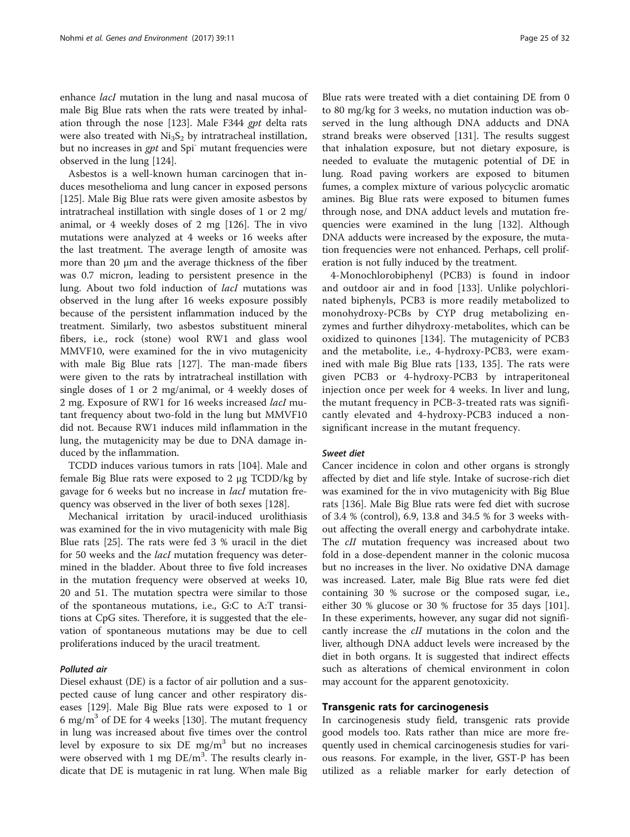<span id="page-24-0"></span>enhance lacI mutation in the lung and nasal mucosa of male Big Blue rats when the rats were treated by inhalation through the nose [[123](#page-29-0)]. Male F344 gpt delta rats were also treated with  $Ni<sub>3</sub>S<sub>2</sub>$  by intratracheal instillation, but no increases in gpt and Spi<sup>-</sup> mutant frequencies were observed in the lung [\[124\]](#page-29-0).

Asbestos is a well-known human carcinogen that induces mesothelioma and lung cancer in exposed persons [[125\]](#page-29-0). Male Big Blue rats were given amosite asbestos by intratracheal instillation with single doses of 1 or 2 mg/ animal, or 4 weekly doses of 2 mg [[126\]](#page-29-0). The in vivo mutations were analyzed at 4 weeks or 16 weeks after the last treatment. The average length of amosite was more than 20 μm and the average thickness of the fiber was 0.7 micron, leading to persistent presence in the lung. About two fold induction of lacI mutations was observed in the lung after 16 weeks exposure possibly because of the persistent inflammation induced by the treatment. Similarly, two asbestos substituent mineral fibers, i.e., rock (stone) wool RW1 and glass wool MMVF10, were examined for the in vivo mutagenicity with male Big Blue rats [\[127](#page-29-0)]. The man-made fibers were given to the rats by intratracheal instillation with single doses of 1 or 2 mg/animal, or 4 weekly doses of 2 mg. Exposure of RW1 for 16 weeks increased lacI mutant frequency about two-fold in the lung but MMVF10 did not. Because RW1 induces mild inflammation in the lung, the mutagenicity may be due to DNA damage induced by the inflammation.

TCDD induces various tumors in rats [\[104\]](#page-29-0). Male and female Big Blue rats were exposed to 2 μg TCDD/kg by gavage for 6 weeks but no increase in lacI mutation frequency was observed in the liver of both sexes [[128\]](#page-30-0).

Mechanical irritation by uracil-induced urolithiasis was examined for the in vivo mutagenicity with male Big Blue rats [\[25\]](#page-27-0). The rats were fed 3 % uracil in the diet for 50 weeks and the *lacI* mutation frequency was determined in the bladder. About three to five fold increases in the mutation frequency were observed at weeks 10, 20 and 51. The mutation spectra were similar to those of the spontaneous mutations, i.e., G:C to A:T transitions at CpG sites. Therefore, it is suggested that the elevation of spontaneous mutations may be due to cell proliferations induced by the uracil treatment.

# Polluted air

Diesel exhaust (DE) is a factor of air pollution and a suspected cause of lung cancer and other respiratory diseases [[129](#page-30-0)]. Male Big Blue rats were exposed to 1 or 6 mg/m<sup>3</sup> of DE for 4 weeks [[130](#page-30-0)]. The mutant frequency in lung was increased about five times over the control level by exposure to six DE  $mg/m<sup>3</sup>$  but no increases were observed with 1 mg  $DE/m<sup>3</sup>$ . The results clearly indicate that DE is mutagenic in rat lung. When male Big

Blue rats were treated with a diet containing DE from 0 to 80 mg/kg for 3 weeks, no mutation induction was observed in the lung although DNA adducts and DNA strand breaks were observed [[131\]](#page-30-0). The results suggest that inhalation exposure, but not dietary exposure, is needed to evaluate the mutagenic potential of DE in lung. Road paving workers are exposed to bitumen fumes, a complex mixture of various polycyclic aromatic amines. Big Blue rats were exposed to bitumen fumes through nose, and DNA adduct levels and mutation frequencies were examined in the lung [\[132](#page-30-0)]. Although DNA adducts were increased by the exposure, the mutation frequencies were not enhanced. Perhaps, cell proliferation is not fully induced by the treatment.

4-Monochlorobiphenyl (PCB3) is found in indoor and outdoor air and in food [[133](#page-30-0)]. Unlike polychlorinated biphenyls, PCB3 is more readily metabolized to monohydroxy-PCBs by CYP drug metabolizing enzymes and further dihydroxy-metabolites, which can be oxidized to quinones [[134\]](#page-30-0). The mutagenicity of PCB3 and the metabolite, i.e., 4-hydroxy-PCB3, were examined with male Big Blue rats [[133](#page-30-0), [135](#page-30-0)]. The rats were given PCB3 or 4-hydroxy-PCB3 by intraperitoneal injection once per week for 4 weeks. In liver and lung, the mutant frequency in PCB-3-treated rats was significantly elevated and 4-hydroxy-PCB3 induced a nonsignificant increase in the mutant frequency.

#### Sweet diet

Cancer incidence in colon and other organs is strongly affected by diet and life style. Intake of sucrose-rich diet was examined for the in vivo mutagenicity with Big Blue rats [\[136](#page-30-0)]. Male Big Blue rats were fed diet with sucrose of 3.4 % (control), 6.9, 13.8 and 34.5 % for 3 weeks without affecting the overall energy and carbohydrate intake. The *cII* mutation frequency was increased about two fold in a dose-dependent manner in the colonic mucosa but no increases in the liver. No oxidative DNA damage was increased. Later, male Big Blue rats were fed diet containing 30 % sucrose or the composed sugar, i.e., either 30 % glucose or 30 % fructose for 35 days [[101](#page-29-0)]. In these experiments, however, any sugar did not significantly increase the cII mutations in the colon and the liver, although DNA adduct levels were increased by the diet in both organs. It is suggested that indirect effects such as alterations of chemical environment in colon may account for the apparent genotoxicity.

#### Transgenic rats for carcinogenesis

In carcinogenesis study field, transgenic rats provide good models too. Rats rather than mice are more frequently used in chemical carcinogenesis studies for various reasons. For example, in the liver, GST-P has been utilized as a reliable marker for early detection of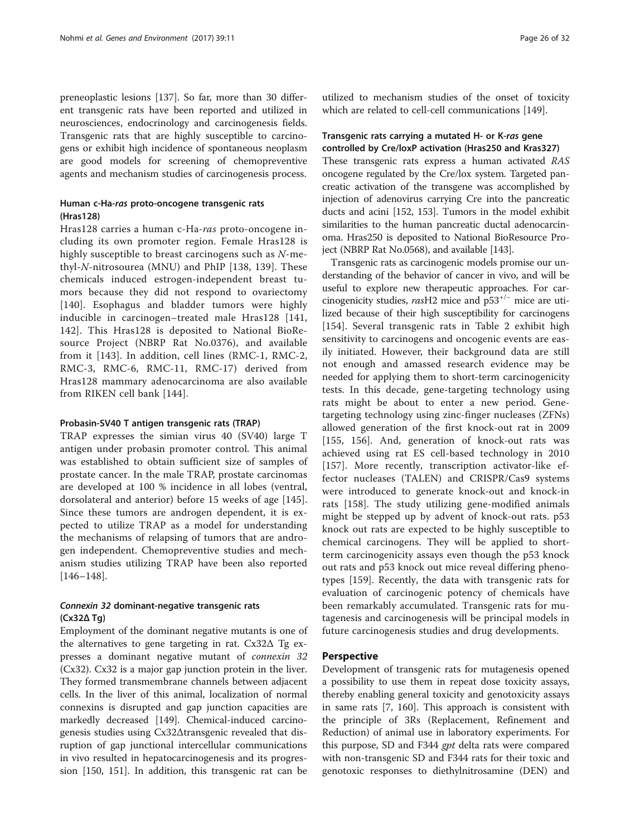preneoplastic lesions [[137\]](#page-30-0). So far, more than 30 different transgenic rats have been reported and utilized in neurosciences, endocrinology and carcinogenesis fields. Transgenic rats that are highly susceptible to carcinogens or exhibit high incidence of spontaneous neoplasm are good models for screening of chemopreventive agents and mechanism studies of carcinogenesis process.

# Human c-Ha-ras proto-oncogene transgenic rats (Hras128)

Hras128 carries a human c-Ha-ras proto-oncogene including its own promoter region. Female Hras128 is highly susceptible to breast carcinogens such as N-methyl-N-nitrosourea (MNU) and PhIP [[138](#page-30-0), [139](#page-30-0)]. These chemicals induced estrogen-independent breast tumors because they did not respond to ovariectomy [[140](#page-30-0)]. Esophagus and bladder tumors were highly inducible in carcinogen–treated male Hras128 [[141](#page-30-0), [142\]](#page-30-0). This Hras128 is deposited to National BioResource Project (NBRP Rat No.0376), and available from it [[143\]](#page-30-0). In addition, cell lines (RMC-1, RMC-2, RMC-3, RMC-6, RMC-11, RMC-17) derived from Hras128 mammary adenocarcinoma are also available from RIKEN cell bank [\[144\]](#page-30-0).

#### Probasin-SV40 T antigen transgenic rats (TRAP)

TRAP expresses the simian virus 40 (SV40) large T antigen under probasin promoter control. This animal was established to obtain sufficient size of samples of prostate cancer. In the male TRAP, prostate carcinomas are developed at 100 % incidence in all lobes (ventral, dorsolateral and anterior) before 15 weeks of age [\[145](#page-30-0)]. Since these tumors are androgen dependent, it is expected to utilize TRAP as a model for understanding the mechanisms of relapsing of tumors that are androgen independent. Chemopreventive studies and mechanism studies utilizing TRAP have been also reported [[146](#page-30-0)–[148\]](#page-30-0).

# Connexin 32 dominant-negative transgenic rats (Cx32Δ Tg)

Employment of the dominant negative mutants is one of the alternatives to gene targeting in rat.  $Cx32\Delta$  Tg expresses a dominant negative mutant of connexin 32 (Cx32). Cx32 is a major gap junction protein in the liver. They formed transmembrane channels between adjacent cells. In the liver of this animal, localization of normal connexins is disrupted and gap junction capacities are markedly decreased [\[149\]](#page-30-0). Chemical-induced carcinogenesis studies using Cx32Δtransgenic revealed that disruption of gap junctional intercellular communications in vivo resulted in hepatocarcinogenesis and its progression [\[150, 151](#page-30-0)]. In addition, this transgenic rat can be

utilized to mechanism studies of the onset of toxicity which are related to cell-cell communications [[149\]](#page-30-0).

# Transgenic rats carrying a mutated H- or K-ras gene controlled by Cre/loxP activation (Hras250 and Kras327)

These transgenic rats express a human activated RAS oncogene regulated by the Cre/lox system. Targeted pancreatic activation of the transgene was accomplished by injection of adenovirus carrying Cre into the pancreatic ducts and acini [[152](#page-30-0), [153](#page-30-0)]. Tumors in the model exhibit similarities to the human pancreatic ductal adenocarcinoma. Hras250 is deposited to National BioResource Project (NBRP Rat No.0568), and available [\[143\]](#page-30-0).

Transgenic rats as carcinogenic models promise our understanding of the behavior of cancer in vivo, and will be useful to explore new therapeutic approaches. For carcinogenicity studies, rasH2 mice and  $p53^{+/−}$  mice are utilized because of their high susceptibility for carcinogens [[154](#page-30-0)]. Several transgenic rats in Table [2](#page-17-0) exhibit high sensitivity to carcinogens and oncogenic events are easily initiated. However, their background data are still not enough and amassed research evidence may be needed for applying them to short-term carcinogenicity tests. In this decade, gene-targeting technology using rats might be about to enter a new period. Genetargeting technology using zinc-finger nucleases (ZFNs) allowed generation of the first knock-out rat in 2009 [[155, 156\]](#page-30-0). And, generation of knock-out rats was achieved using rat ES cell-based technology in 2010 [[157](#page-30-0)]. More recently, transcription activator-like effector nucleases (TALEN) and CRISPR/Cas9 systems were introduced to generate knock-out and knock-in rats [[158\]](#page-30-0). The study utilizing gene-modified animals might be stepped up by advent of knock-out rats. p53 knock out rats are expected to be highly susceptible to chemical carcinogens. They will be applied to shortterm carcinogenicity assays even though the p53 knock out rats and p53 knock out mice reveal differing phenotypes [\[159](#page-30-0)]. Recently, the data with transgenic rats for evaluation of carcinogenic potency of chemicals have been remarkably accumulated. Transgenic rats for mutagenesis and carcinogenesis will be principal models in future carcinogenesis studies and drug developments.

# Perspective

Development of transgenic rats for mutagenesis opened a possibility to use them in repeat dose toxicity assays, thereby enabling general toxicity and genotoxicity assays in same rats [[7](#page-27-0), [160\]](#page-30-0). This approach is consistent with the principle of 3Rs (Replacement, Refinement and Reduction) of animal use in laboratory experiments. For this purpose, SD and F344 gpt delta rats were compared with non-transgenic SD and F344 rats for their toxic and genotoxic responses to diethylnitrosamine (DEN) and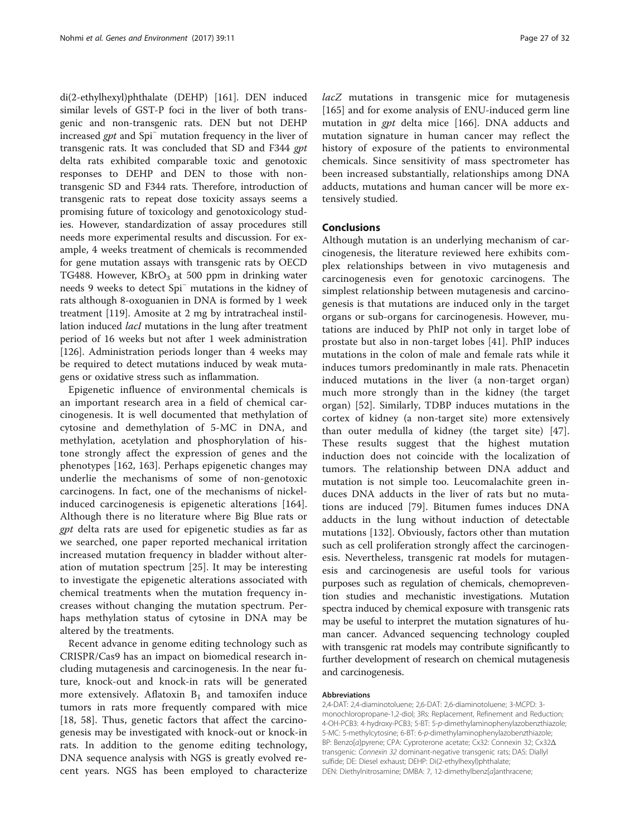di(2-ethylhexyl)phthalate (DEHP) [[161\]](#page-30-0). DEN induced similar levels of GST-P foci in the liver of both transgenic and non-transgenic rats. DEN but not DEHP increased gpt and Spi<sup>−</sup> mutation frequency in the liver of transgenic rats. It was concluded that SD and F344 gpt delta rats exhibited comparable toxic and genotoxic responses to DEHP and DEN to those with nontransgenic SD and F344 rats. Therefore, introduction of transgenic rats to repeat dose toxicity assays seems a promising future of toxicology and genotoxicology studies. However, standardization of assay procedures still needs more experimental results and discussion. For example, 4 weeks treatment of chemicals is recommended for gene mutation assays with transgenic rats by OECD TG488. However,  $KBrO<sub>3</sub>$  at 500 ppm in drinking water needs 9 weeks to detect Spi<sup>−</sup> mutations in the kidney of rats although 8-oxoguanien in DNA is formed by 1 week treatment [\[119\]](#page-29-0). Amosite at 2 mg by intratracheal instillation induced *lacI* mutations in the lung after treatment period of 16 weeks but not after 1 week administration [[126\]](#page-29-0). Administration periods longer than 4 weeks may be required to detect mutations induced by weak mutagens or oxidative stress such as inflammation.

Epigenetic influence of environmental chemicals is an important research area in a field of chemical carcinogenesis. It is well documented that methylation of cytosine and demethylation of 5-MC in DNA, and methylation, acetylation and phosphorylation of histone strongly affect the expression of genes and the phenotypes [[162, 163](#page-30-0)]. Perhaps epigenetic changes may underlie the mechanisms of some of non-genotoxic carcinogens. In fact, one of the mechanisms of nickelinduced carcinogenesis is epigenetic alterations [[164](#page-30-0)]. Although there is no literature where Big Blue rats or gpt delta rats are used for epigenetic studies as far as we searched, one paper reported mechanical irritation increased mutation frequency in bladder without alteration of mutation spectrum [[25\]](#page-27-0). It may be interesting to investigate the epigenetic alterations associated with chemical treatments when the mutation frequency increases without changing the mutation spectrum. Perhaps methylation status of cytosine in DNA may be altered by the treatments.

Recent advance in genome editing technology such as CRISPR/Cas9 has an impact on biomedical research including mutagenesis and carcinogenesis. In the near future, knock-out and knock-in rats will be generated more extensively. Aflatoxin  $B_1$  and tamoxifen induce tumors in rats more frequently compared with mice [[18,](#page-27-0) [58\]](#page-28-0). Thus, genetic factors that affect the carcinogenesis may be investigated with knock-out or knock-in rats. In addition to the genome editing technology, DNA sequence analysis with NGS is greatly evolved recent years. NGS has been employed to characterize lacZ mutations in transgenic mice for mutagenesis [[165\]](#page-30-0) and for exome analysis of ENU-induced germ line mutation in gpt delta mice [[166](#page-30-0)]. DNA adducts and mutation signature in human cancer may reflect the history of exposure of the patients to environmental chemicals. Since sensitivity of mass spectrometer has been increased substantially, relationships among DNA adducts, mutations and human cancer will be more extensively studied.

# Conclusions

Although mutation is an underlying mechanism of carcinogenesis, the literature reviewed here exhibits complex relationships between in vivo mutagenesis and carcinogenesis even for genotoxic carcinogens. The simplest relationship between mutagenesis and carcinogenesis is that mutations are induced only in the target organs or sub-organs for carcinogenesis. However, mutations are induced by PhIP not only in target lobe of prostate but also in non-target lobes [[41\]](#page-28-0). PhIP induces mutations in the colon of male and female rats while it induces tumors predominantly in male rats. Phenacetin induced mutations in the liver (a non-target organ) much more strongly than in the kidney (the target organ) [\[52](#page-28-0)]. Similarly, TDBP induces mutations in the cortex of kidney (a non-target site) more extensively than outer medulla of kidney (the target site) [\[47](#page-28-0)]. These results suggest that the highest mutation induction does not coincide with the localization of tumors. The relationship between DNA adduct and mutation is not simple too. Leucomalachite green induces DNA adducts in the liver of rats but no mutations are induced [\[79](#page-28-0)]. Bitumen fumes induces DNA adducts in the lung without induction of detectable mutations [[132\]](#page-30-0). Obviously, factors other than mutation such as cell proliferation strongly affect the carcinogenesis. Nevertheless, transgenic rat models for mutagenesis and carcinogenesis are useful tools for various purposes such as regulation of chemicals, chemoprevention studies and mechanistic investigations. Mutation spectra induced by chemical exposure with transgenic rats may be useful to interpret the mutation signatures of human cancer. Advanced sequencing technology coupled with transgenic rat models may contribute significantly to further development of research on chemical mutagenesis and carcinogenesis.

#### Abbreviations

2,4-DAT: 2,4-diaminotoluene; 2,6-DAT: 2,6-diaminotoluene; 3-MCPD: 3 monochloropropane-1,2-diol; 3Rs: Replacement, Refinement and Reduction; 4-OH-PCB3: 4-hydroxy-PCB3; 5-BT: 5-p-dimethylaminophenylazobenzthiazole; 5-MC: 5-methylcytosine; 6-BT: 6-p-dimethylaminophenylazobenzthiazole; BP: Benzo[a]pyrene; CPA: Cyproterone acetate; Cx32: Connexin 32; Cx32Δ transgenic: Connexin 32 dominant-negative transgenic rats; DAS: Diallyl sulfide; DE: Diesel exhaust; DEHP: Di(2-ethylhexyl)phthalate; DEN: Diethylnitrosamine; DMBA: 7, 12-dimethylbenz[a]anthracene;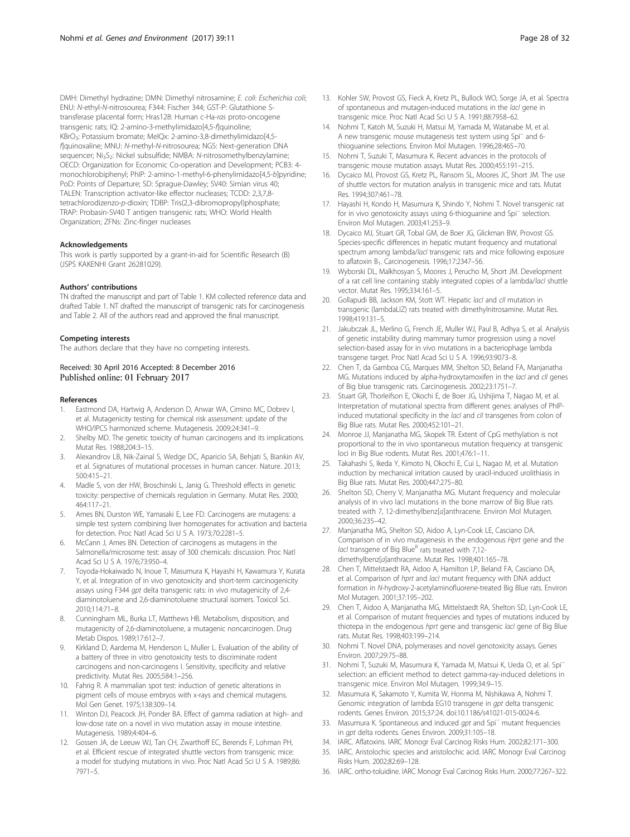<span id="page-27-0"></span>DMH: Dimethyl hydrazine; DMN: Dimethyl nitrosamine; E. coli: Escherichia coli; ENU: N-ethyl-N-nitrosourea; F344: Fischer 344; GST-P: Glutathione Stransferase placental form; Hras128: Human c-Ha-ras proto-oncogene transgenic rats; IQ: 2-amino-3-methylimidazo[4,5-f]quinoline; KBrO<sub>3</sub>: Potassium bromate; MeIQx: 2-amino-3,8-dimethylimidazo[4,5f]quinoxaline; MNU: N-methyl-N-nitrosourea; NGS: Next-generation DNA sequencer; Ni<sub>3</sub>S<sub>2</sub>: Nickel subsulfide; NMBA: N-nitrosomethylbenzylamine; OECD: Organization for Economic Co-operation and Development; PCB3: 4 monochlorobiphenyl; PhIP: 2-amino-1-methyl-6-phenylimidazo[4,5-b]pyridine; PoD: Points of Departure; SD: Sprague-Dawley; SV40: Simian virus 40; TALEN: Transcription activator-like effector nucleases; TCDD: 2,3,7,8 tetrachlorodizenzo-p-dioxin; TDBP: Tris(2,3-dibromopropyl)phosphate; TRAP: Probasin-SV40 T antigen transgenic rats; WHO: World Health Organization; ZFNs: Zinc-finger nucleases

#### Acknowledgements

This work is partly supported by a grant-in-aid for Scientific Research (B) (JSPS KAKENHI Grant 26281029).

#### Authors' contributions

TN drafted the manuscript and part of Table [1](#page-2-0). KM collected reference data and drafted Table [1.](#page-2-0) NT drafted the manuscript of transgenic rats for carcinogenesis and Table [2](#page-17-0). All of the authors read and approved the final manuscript.

#### Competing interests

The authors declare that they have no competing interests.

Received: 30 April 2016 Accepted: 8 December 2016 Published online: 01 February 2017

#### References

- 1. Eastmond DA, Hartwig A, Anderson D, Anwar WA, Cimino MC, Dobrev I, et al. Mutagenicity testing for chemical risk assessment: update of the WHO/IPCS harmonized scheme. Mutagenesis. 2009;24:341–9.
- 2. Shelby MD. The genetic toxicity of human carcinogens and its implications. Mutat Res. 1988;204:3–15.
- 3. Alexandrov LB, Nik-Zainal S, Wedge DC, Aparicio SA, Behjati S, Biankin AV, et al. Signatures of mutational processes in human cancer. Nature. 2013; 500:415–21.
- Madle S, von der HW, Broschinski L, Janig G. Threshold effects in genetic toxicity: perspective of chemicals regulation in Germany. Mutat Res. 2000; 464:117–21.
- 5. Ames BN, Durston WE, Yamasaki E, Lee FD. Carcinogens are mutagens: a simple test system combining liver homogenates for activation and bacteria for detection. Proc Natl Acad Sci U S A. 1973;70:2281–5.
- McCann J, Ames BN. Detection of carcinogens as mutagens in the Salmonella/microsome test: assay of 300 chemicals: discussion. Proc Natl Acad Sci U S A. 1976;73:950–4.
- 7. Toyoda-Hokaiwado N, Inoue T, Masumura K, Hayashi H, Kawamura Y, Kurata Y, et al. Integration of in vivo genotoxicity and short-term carcinogenicity assays using F344 gpt delta transgenic rats: in vivo mutagenicity of 2,4diaminotoluene and 2,6-diaminotoluene structural isomers. Toxicol Sci. 2010;114:71–8.
- 8. Cunningham ML, Burka LT, Matthews HB. Metabolism, disposition, and mutagenicity of 2,6-diaminotoluene, a mutagenic noncarcinogen. Drug Metab Dispos. 1989;17:612–7.
- Kirkland D, Aardema M, Henderson L, Muller L. Evaluation of the ability of a battery of three in vitro genotoxicity tests to discriminate rodent carcinogens and non-carcinogens I. Sensitivity, specificity and relative predictivity. Mutat Res. 2005;584:1–256.
- 10. Fahrig R. A mammalian spot test: induction of genetic alterations in pigment cells of mouse embryos with x-rays and chemical mutagens. Mol Gen Genet. 1975;138:309–14.
- 11. Winton DJ, Peacock JH, Ponder BA. Effect of gamma radiation at high- and low-dose rate on a novel in vivo mutation assay in mouse intestine. Mutagenesis. 1989;4:404–6.
- 12. Gossen JA, de Leeuw WJ, Tan CH, Zwarthoff EC, Berends F, Lohman PH, et al. Efficient rescue of integrated shuttle vectors from transgenic mice: a model for studying mutations in vivo. Proc Natl Acad Sci U S A. 1989;86: 7971–5.
- 13. Kohler SW, Provost GS, Fieck A, Kretz PL, Bullock WO, Sorge JA, et al. Spectra of spontaneous and mutagen-induced mutations in the lacl gene in transgenic mice. Proc Natl Acad Sci U S A. 1991;88:7958–62.
- 14. Nohmi T, Katoh M, Suzuki H, Matsui M, Yamada M, Watanabe M, et al. A new transgenic mouse mutagenesis test system using Spi<sup>−</sup> and 6 thioguanine selections. Environ Mol Mutagen. 1996;28:465–70.
- 15. Nohmi T, Suzuki T, Masumura K. Recent advances in the protocols of transgenic mouse mutation assays. Mutat Res. 2000;455:191–215.
- 16. Dycaico MJ, Provost GS, Kretz PL, Ransom SL, Moores JC, Short JM. The use of shuttle vectors for mutation analysis in transgenic mice and rats. Mutat Res. 1994;307:461–78.
- 17. Hayashi H, Kondo H, Masumura K, Shindo Y, Nohmi T. Novel transgenic rat for in vivo genotoxicity assays using 6-thioguanine and Spi<sup>−</sup> selection. Environ Mol Mutagen. 2003;41:253–9.
- 18. Dycaico MJ, Stuart GR, Tobal GM, de Boer JG, Glickman BW, Provost GS. Species-specific differences in hepatic mutant frequency and mutational spectrum among lambda/lacl transgenic rats and mice following exposure to aflatoxin B1. Carcinogenesis. 1996;17:2347–56.
- 19. Wyborski DL, Malkhosyan S, Moores J, Perucho M, Short JM. Development of a rat cell line containing stably integrated copies of a lambda/lacl shuttle vector. Mutat Res. 1995;334:161–5.
- 20. Gollapudi BB, Jackson KM, Stott WT. Hepatic lacl and cll mutation in transgenic (lambdaLIZ) rats treated with dimethylnitrosamine. Mutat Res. 1998;419:131–5.
- 21. Jakubczak JL, Merlino G, French JE, Muller WJ, Paul B, Adhya S, et al. Analysis of genetic instability during mammary tumor progression using a novel selection-based assay for in vivo mutations in a bacteriophage lambda transgene target. Proc Natl Acad Sci U S A. 1996;93:9073–8.
- 22. Chen T, da Gamboa CG, Marques MM, Shelton SD, Beland FA, Manjanatha MG. Mutations induced by alpha-hydroxytamoxifen in the *lacl* and *cll* genes of Big blue transgenic rats. Carcinogenesis. 2002;23:1751–7.
- 23. Stuart GR, Thorleifson E, Okochi E, de Boer JG, Ushijima T, Nagao M, et al. Interpretation of mutational spectra from different genes: analyses of PhIPinduced mutational specificity in the lacI and cII transgenes from colon of Big Blue rats. Mutat Res. 2000;452:101–21.
- 24. Monroe JJ, Manjanatha MG, Skopek TR. Extent of CpG methylation is not proportional to the in vivo spontaneous mutation frequency at transgenic loci in Big Blue rodents. Mutat Res. 2001;476:1–11.
- 25. Takahashi S, Ikeda Y, Kimoto N, Okochi E, Cui L, Nagao M, et al. Mutation induction by mechanical irritation caused by uracil-induced urolithiasis in Big Blue rats. Mutat Res. 2000;447:275–80.
- 26. Shelton SD, Cherry V, Manjanatha MG. Mutant frequency and molecular analysis of in vivo lacI mutations in the bone marrow of Big Blue rats treated with 7, 12-dimethylbenz[a]anthracene. Environ Mol Mutagen. 2000;36:235–42.
- 27. Manjanatha MG, Shelton SD, Aidoo A, Lyn-Cook LE, Casciano DA. Comparison of in vivo mutagenesis in the endogenous Hprt gene and the lacl transgene of Big Blue<sup>R</sup> rats treated with 7,12dimethylbenz[a]anthracene. Mutat Res. 1998;401:165–78.
- 28. Chen T, Mittelstaedt RA, Aidoo A, Hamilton LP, Beland FA, Casciano DA, et al. Comparison of hprt and lacl mutant frequency with DNA adduct formation in N-hydroxy-2-acetylaminofluorene-treated Big Blue rats. Environ Mol Mutagen. 2001;37:195–202.
- 29. Chen T, Aidoo A, Manjanatha MG, Mittelstaedt RA, Shelton SD, Lyn-Cook LE, et al. Comparison of mutant frequencies and types of mutations induced by thiotepa in the endogenous hprt gene and transgenic lacl gene of Big Blue rats. Mutat Res. 1998;403:199–214.
- 30. Nohmi T. Novel DNA, polymerases and novel genotoxicity assays. Genes Environ. 2007;29:75–88.
- 31. Nohmi T, Suzuki M, Masumura K, Yamada M, Matsui K, Ueda O, et al. Spi<sup>−</sup> selection: an efficient method to detect gamma-ray-induced deletions in transgenic mice. Environ Mol Mutagen. 1999;34:9–15.
- 32. Masumura K, Sakamoto Y, Kumita W, Honma M, Nishikawa A, Nohmi T. Genomic integration of lambda EG10 transgene in gpt delta transgenic rodents. Genes Environ. 2015;37:24. doi[:10.1186/s41021-015-0024-6.](http://dx.doi.org/10.1186/s41021-015-0024-6)
- 33. Masumura K. Spontaneous and induced *gpt* and Spi<sup>−</sup> mutant frequencies in gpt delta rodents. Genes Environ. 2009;31:105–18.
- 34. IARC. Aflatoxins. IARC Monogr Eval Carcinog Risks Hum. 2002;82:171–300.
- 35. IARC. Aristolochic species and aristolochic acid. IARC Monogr Eval Carcinog Risks Hum. 2002;82:69–128.
- 36. IARC. ortho-toluidine. IARC Monogr Eval Carcinog Risks Hum. 2000;77:267–322.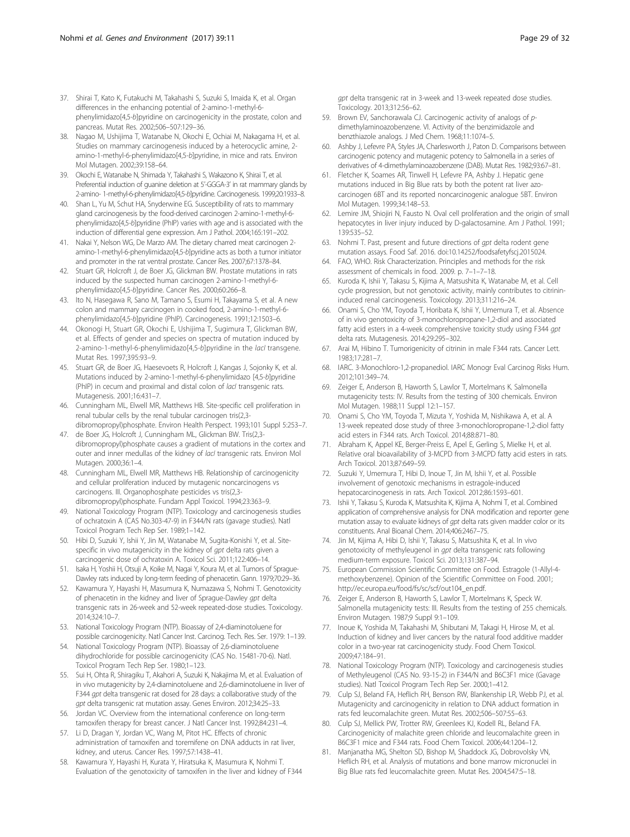- <span id="page-28-0"></span>37. Shirai T, Kato K, Futakuchi M, Takahashi S, Suzuki S, Imaida K, et al. Organ differences in the enhancing potential of 2-amino-1-methyl-6 phenylimidazo[4,5-b]pyridine on carcinogenicity in the prostate, colon and pancreas. Mutat Res. 2002;506–507:129–36.
- 38. Nagao M, Ushijima T, Watanabe N, Okochi E, Ochiai M, Nakagama H, et al. Studies on mammary carcinogenesis induced by a heterocyclic amine, 2 amino-1-methyl-6-phenylimidazo[4,5-b]pyridine, in mice and rats. Environ Mol Mutagen. 2002;39:158–64.
- 39. Okochi E, Watanabe N, Shimada Y, Takahashi S, Wakazono K, Shirai T, et al. Preferential induction of guanine deletion at 5'-GGGA-3' in rat mammary glands by 2-amino- 1-methyl-6-phenylimidazo[4,5-b]pyridine. Carcinogenesis. 1999;20:1933–8.
- 40. Shan L, Yu M, Schut HA, Snyderwine EG. Susceptibility of rats to mammary gland carcinogenesis by the food-derived carcinogen 2-amino-1-methyl-6 phenylimidazo[4,5-b]pyridine (PhIP) varies with age and is associated with the induction of differential gene expression. Am J Pathol. 2004;165:191–202.
- 41. Nakai Y, Nelson WG, De Marzo AM. The dietary charred meat carcinogen 2 amino-1-methyl-6-phenylimidazo[4,5-b]pyridine acts as both a tumor initiator and promoter in the rat ventral prostate. Cancer Res. 2007;67:1378–84.
- 42. Stuart GR, Holcroft J, de Boer JG, Glickman BW. Prostate mutations in rats induced by the suspected human carcinogen 2-amino-1-methyl-6 phenylimidazo[4,5-b]pyridine. Cancer Res. 2000;60:266–8.
- 43. Ito N, Hasegawa R, Sano M, Tamano S, Esumi H, Takayama S, et al. A new colon and mammary carcinogen in cooked food, 2-amino-1-methyl-6 phenylimidazo[4,5-b]pyridine (PhIP). Carcinogenesis. 1991;12:1503–6.
- 44. Okonogi H, Stuart GR, Okochi E, Ushijima T, Sugimura T, Glickman BW, et al. Effects of gender and species on spectra of mutation induced by 2-amino-1-methyl-6-phenylimidazo[4,5-b]pyridine in the *lacl* transgene. Mutat Res. 1997;395:93–9.
- 45. Stuart GR, de Boer JG, Haesevoets R, Holcroft J, Kangas J, Sojonky K, et al. Mutations induced by 2-amino-1-methyl-6-phenylimidazo [4,5-b]pyridine (PhIP) in cecum and proximal and distal colon of *lacI* transgenic rats. Mutagenesis. 2001;16:431–7.
- 46. Cunningham ML, Elwell MR, Matthews HB. Site-specific cell proliferation in renal tubular cells by the renal tubular carcinogen tris(2,3 dibromopropyl)phosphate. Environ Health Perspect. 1993;101 Suppl 5:253–7.
- 47. de Boer JG, Holcroft J, Cunningham ML, Glickman BW. Tris(2,3 dibromopropyl)phosphate causes a gradient of mutations in the cortex and
- outer and inner medullas of the kidney of lacI transgenic rats. Environ Mol Mutagen. 2000;36:1–4. 48. Cunningham ML, Elwell MR, Matthews HB. Relationship of carcinogenicity
- and cellular proliferation induced by mutagenic noncarcinogens vs carcinogens. III. Organophosphate pesticides vs tris(2,3 dibromopropyl)phosphate. Fundam Appl Toxicol. 1994;23:363–9.
- 49. National Toxicology Program (NTP). Toxicology and carcinogenesis studies of ochratoxin A (CAS No.303-47-9) in F344/N rats (gavage studies). Natl Toxicol Program Tech Rep Ser. 1989;1–142.
- 50. Hibi D, Suzuki Y, Ishii Y, Jin M, Watanabe M, Sugita-Konishi Y, et al. Sitespecific in vivo mutagenicity in the kidney of gpt delta rats given a carcinogenic dose of ochratoxin A. Toxicol Sci. 2011;122:406–14.
- 51. Isaka H, Yoshii H, Otsuji A, Koike M, Nagai Y, Koura M, et al. Tumors of Sprague-Dawley rats induced by long-term feeding of phenacetin. Gann. 1979;70:29–36.
- 52. Kawamura Y, Hayashi H, Masumura K, Numazawa S, Nohmi T. Genotoxicity of phenacetin in the kidney and liver of Sprague-Dawley gpt delta transgenic rats in 26-week and 52-week repeated-dose studies. Toxicology. 2014;324:10–7.
- 53. National Toxicology Program (NTP). Bioassay of 2,4-diaminotoluene for possible carcinogenicity. Natl Cancer Inst. Carcinog. Tech. Res. Ser. 1979: 1–139.
- 54. National Toxicology Program (NTP). Bioassay of 2,6-diaminotoluene dihydrochloride for possible carcinogenicity (CAS No. 15481-70-6). Natl. Toxicol Program Tech Rep Ser. 1980;1–123.
- 55. Sui H, Ohta R, Shiragiku T, Akahori A, Suzuki K, Nakajima M, et al. Evaluation of in vivo mutagenicity by 2,4-diaminotoluene and 2,6-diaminotoluene in liver of F344 gpt delta transgenic rat dosed for 28 days: a collaborative study of the gpt delta transgenic rat mutation assay. Genes Environ. 2012;34:25–33.
- 56. Jordan VC. Overview from the international conference on long-term tamoxifen therapy for breast cancer. J Natl Cancer Inst. 1992;84:231–4.
- 57. Li D, Dragan Y, Jordan VC, Wang M, Pitot HC. Effects of chronic administration of tamoxifen and toremifene on DNA adducts in rat liver, kidney, and uterus. Cancer Res. 1997;57:1438–41.
- 58. Kawamura Y, Hayashi H, Kurata Y, Hiratsuka K, Masumura K, Nohmi T. Evaluation of the genotoxicity of tamoxifen in the liver and kidney of F344

gpt delta transgenic rat in 3-week and 13-week repeated dose studies. Toxicology. 2013;312:56–62.

- 59. Brown EV, Sanchorawala CJ. Carcinogenic activity of analogs of pdimethylaminoazobenzene. VI. Activity of the benzimidazole and benzthiazole analogs. J Med Chem. 1968;11:1074–5.
- 60. Ashby J, Lefevre PA, Styles JA, Charlesworth J, Paton D. Comparisons between carcinogenic potency and mutagenic potency to Salmonella in a series of derivatives of 4-dimethylaminoazobenzene (DAB). Mutat Res. 1982;93:67–81.
- 61. Fletcher K, Soames AR, Tinwell H, Lefevre PA, Ashby J. Hepatic gene mutations induced in Big Blue rats by both the potent rat liver azocarcinogen 6BT and its reported noncarcinogenic analogue 5BT. Environ Mol Mutagen. 1999;34:148–53.
- 62. Lemire JM, Shiojiri N, Fausto N. Oval cell proliferation and the origin of small hepatocytes in liver injury induced by D-galactosamine. Am J Pathol. 1991; 139:535–52.
- 63. Nohmi T. Past, present and future directions of gpt delta rodent gene mutation assays. Food Saf. 2016. doi:10.14252/foodsafetyfscj.2015024.
- 64. FAO, WHO. Risk Characterization. Principles and methods for the risk assessment of chemicals in food. 2009. p. 7–1–7–18.
- 65. Kuroda K, Ishii Y, Takasu S, Kijima A, Matsushita K, Watanabe M, et al. Cell cycle progression, but not genotoxic activity, mainly contributes to citrinininduced renal carcinogenesis. Toxicology. 2013;311:216–24.
- 66. Onami S, Cho YM, Toyoda T, Horibata K, Ishii Y, Umemura T, et al. Absence of in vivo genotoxicity of 3-monochloropropane-1,2-diol and associated fatty acid esters in a 4-week comprehensive toxicity study using F344 gpt delta rats. Mutagenesis. 2014;29:295–302.
- 67. Arai M, Hibino T. Tumorigenicity of citrinin in male F344 rats. Cancer Lett. 1983;17:281–7.
- 68. IARC. 3-Monochloro-1,2-propanediol. IARC Monogr Eval Carcinog Risks Hum. 2012;101:349–74.
- 69. Zeiger E, Anderson B, Haworth S, Lawlor T, Mortelmans K. Salmonella mutagenicity tests: IV. Results from the testing of 300 chemicals. Environ Mol Mutagen. 1988;11 Suppl 12:1–157.
- 70. Onami S, Cho YM, Toyoda T, Mizuta Y, Yoshida M, Nishikawa A, et al. A 13-week repeated dose study of three 3-monochloropropane-1,2-diol fatty acid esters in F344 rats. Arch Toxicol. 2014;88:871–80.
- 71. Abraham K, Appel KE, Berger-Preiss E, Apel E, Gerling S, Mielke H, et al. Relative oral bioavailability of 3-MCPD from 3-MCPD fatty acid esters in rats. Arch Toxicol. 2013;87:649–59.
- 72. Suzuki Y, Umemura T, Hibi D, Inoue T, Jin M, Ishii Y, et al. Possible involvement of genotoxic mechanisms in estragole-induced hepatocarcinogenesis in rats. Arch Toxicol. 2012;86:1593–601.
- 73. Ishii Y, Takasu S, Kuroda K, Matsushita K, Kijima A, Nohmi T, et al. Combined application of comprehensive analysis for DNA modification and reporter gene mutation assay to evaluate kidneys of gpt delta rats given madder color or its constituents. Anal Bioanal Chem. 2014;406:2467–75.
- 74. Jin M, Kijima A, Hibi D, Ishii Y, Takasu S, Matsushita K, et al. In vivo genotoxicity of methyleugenol in gpt delta transgenic rats following medium-term exposure. Toxicol Sci. 2013;131:387–94.
- 75. European Commission Scientific Committee on Food. Estragole (1-Allyl-4 methoxybenzene). Opinion of the Scientific Committee on Food. 2001; [http://ec.europa.eu/food/fs/sc/scf/out104\\_en.pdf](http://ec.europa.eu/food/fs/sc/scf/out104_en.pdf).
- 76. Zeiger E, Anderson B, Haworth S, Lawlor T, Mortelmans K, Speck W. Salmonella mutagenicity tests: III. Results from the testing of 255 chemicals. Environ Mutagen. 1987;9 Suppl 9:1–109.
- 77. Inoue K, Yoshida M, Takahashi M, Shibutani M, Takagi H, Hirose M, et al. Induction of kidney and liver cancers by the natural food additive madder color in a two-year rat carcinogenicity study. Food Chem Toxicol. 2009;47:184–91.
- 78. National Toxicology Program (NTP). Toxicology and carcinogenesis studies of Methyleugenol (CAS No. 93-15-2) in F344/N and B6C3F1 mice (Gavage studies). Natl Toxicol Program Tech Rep Ser. 2000;1–412.
- 79. Culp SJ, Beland FA, Heflich RH, Benson RW, Blankenship LR, Webb PJ, et al. Mutagenicity and carcinogenicity in relation to DNA adduct formation in rats fed leucomalachite green. Mutat Res. 2002;506–507:55–63.
- 80. Culp SJ, Mellick PW, Trotter RW, Greenlees KJ, Kodell RL, Beland FA. Carcinogenicity of malachite green chloride and leucomalachite green in B6C3F1 mice and F344 rats. Food Chem Toxicol. 2006;44:1204–12.
- 81. Manjanatha MG, Shelton SD, Bishop M, Shaddock JG, Dobrovolsky VN, Heflich RH, et al. Analysis of mutations and bone marrow micronuclei in Big Blue rats fed leucomalachite green. Mutat Res. 2004;547:5–18.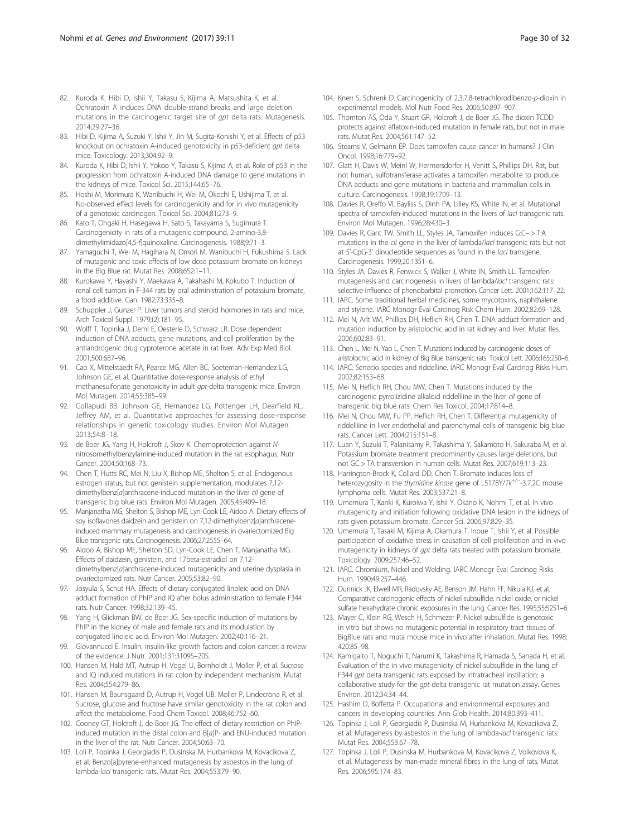- <span id="page-29-0"></span>82. Kuroda K, Hibi D, Ishii Y, Takasu S, Kijima A, Matsushita K, et al. Ochratoxin A induces DNA double-strand breaks and large deletion mutations in the carcinogenic target site of gpt delta rats. Mutagenesis. 2014;29:27–36.
- 83. Hibi D, Kijima A, Suzuki Y, Ishii Y, Jin M, Sugita-Konishi Y, et al. Effects of p53 knockout on ochratoxin A-induced genotoxicity in p53-deficient gpt delta mice. Toxicology. 2013;304:92–9.
- 84. Kuroda K, Hibi D, Ishii Y, Yokoo Y, Takasu S, Kijima A, et al. Role of p53 in the progression from ochratoxin A-induced DNA damage to gene mutations in the kidneys of mice. Toxicol Sci. 2015;144:65–76.
- 85. Hoshi M, Morimura K, Wanibuchi H, Wei M, Okochi E, Ushijima T, et al. No-observed effect levels for carcinogenicity and for in vivo mutagenicity of a genotoxic carcinogen. Toxicol Sci. 2004;81:273–9.
- 86. Kato T, Ohgaki H, Hasegawa H, Sato S, Takayama S, Sugimura T. Carcinogenicity in rats of a mutagenic compound, 2-amino-3,8 dimethylimidazo[4,5-f]quinoxaline. Carcinogenesis. 1988;9:71–3.
- 87. Yamaguchi T, Wei M, Hagihara N, Omori M, Wanibuchi H, Fukushima S. Lack of mutagenic and toxic effects of low dose potassium bromate on kidneys in the Big Blue rat. Mutat Res. 2008;652:1–11.
- 88. Kurokawa Y, Hayashi Y, Maekawa A, Takahashi M, Kokubo T. Induction of renal cell tumors in F-344 rats by oral administration of potassium bromate, a food additive. Gan. 1982;73:335–8.
- 89. Schuppler J, Gunzel P. Liver tumors and steroid hormones in rats and mice. Arch Toxicol Suppl. 1979;(2):181–95.
- 90. Wolff T, Topinka J, Deml E, Oesterle D, Schwarz LR. Dose dependent induction of DNA adducts, gene mutations, and cell proliferation by the antiandrogenic drug cyproterone acetate in rat liver. Adv Exp Med Biol. 2001;500:687–96.
- 91. Cao X, Mittelstaedt RA, Pearce MG, Allen BC, Soeteman-Hernandez LG, Johnson GE, et al. Quantitative dose-response analysis of ethyl methanesulfonate genotoxicity in adult gpt-delta transgenic mice. Environ Mol Mutagen. 2014;55:385–99.
- 92. Gollapudi BB, Johnson GE, Hernandez LG, Pottenger LH, Dearfield KL, Jeffrey AM, et al. Quantitative approaches for assessing dose-response relationships in genetic toxicology studies. Environ Mol Mutagen. 2013;54:8–18.
- 93. de Boer JG, Yang H, Holcroft J, Skov K. Chemoprotection against Nnitrosomethylbenzylamine-induced mutation in the rat esophagus. Nutr Cancer. 2004;50:168–73.
- 94. Chen T, Hutts RC, Mei N, Liu X, Bishop ME, Shelton S, et al. Endogenous estrogen status, but not genistein supplementation, modulates 7,12 dimethylbenz[a]anthracene-induced mutation in the liver cII gene of transgenic big blue rats. Environ Mol Mutagen. 2005;45:409–18.
- 95. Manjanatha MG, Shelton S, Bishop ME, Lyn-Cook LE, Aidoo A. Dietary effects of soy isoflavones daidzein and genistein on 7,12-dimethylbenz[a]anthraceneinduced mammary mutagenesis and carcinogenesis in ovariectomized Big Blue transgenic rats. Carcinogenesis. 2006;27:2555–64.
- 96. Aidoo A, Bishop ME, Shelton SD, Lyn-Cook LE, Chen T, Manjanatha MG. Effects of daidzein, genistein, and 17beta-estradiol on 7,12 dimethylbenz[a]anthracene-induced mutagenicity and uterine dysplasia in ovariectomized rats. Nutr Cancer. 2005;53:82–90.
- 97. Josyula S, Schut HA. Effects of dietary conjugated linoleic acid on DNA adduct formation of PhIP and IQ after bolus administration to female F344 rats. Nutr Cancer. 1998;32:139–45.
- 98. Yang H, Glickman BW, de Boer JG. Sex-specific induction of mutations by PhIP in the kidney of male and female rats and its modulation by conjugated linoleic acid. Environ Mol Mutagen. 2002;40:116–21.
- 99. Giovannucci E. Insulin, insulin-like growth factors and colon cancer: a review of the evidence. J Nutr. 2001;131:3109S–20S.
- 100. Hansen M, Hald MT, Autrup H, Vogel U, Bornholdt J, Moller P, et al. Sucrose and IQ induced mutations in rat colon by independent mechanism. Mutat Res. 2004;554:279–86.
- 101. Hansen M, Baunsgaard D, Autrup H, Vogel UB, Moller P, Lindecrona R, et al. Sucrose, glucose and fructose have similar genotoxicity in the rat colon and affect the metabolome. Food Chem Toxicol. 2008;46:752–60.
- 102. Cooney GT, Holcroft J, de Boer JG. The effect of dietary restriction on PhIPinduced mutation in the distal colon and B[a]P- and ENU-induced mutation in the liver of the rat. Nutr Cancer. 2004;50:63–70.
- 103. Loli P, Topinka J, Georgiadis P, Dusinska M, Hurbankova M, Kovacikova Z, et al. Benzo[a]pyrene-enhanced mutagenesis by asbestos in the lung of lambda-lacI transgenic rats. Mutat Res. 2004;553:79–90.
- 104. Knerr S, Schrenk D. Carcinogenicity of 2,3,7,8-tetrachlorodibenzo-p-dioxin in experimental models. Mol Nutr Food Res. 2006;50:897–907.
- 105. Thornton AS, Oda Y, Stuart GR, Holcroft J, de Boer JG. The dioxin TCDD protects against aflatoxin-induced mutation in female rats, but not in male rats. Mutat Res. 2004;561:147–52.
- 106. Stearns V, Gelmann EP. Does tamoxifen cause cancer in humans? J Clin Oncol. 1998;16:779–92.
- 107. Glatt H, Davis W, Meinl W, Hermersdorfer H, Venitt S, Phillips DH. Rat, but not human, sulfotransferase activates a tamoxifen metabolite to produce DNA adducts and gene mutations in bacteria and mammalian cells in culture. Carcinogenesis. 1998;19:1709–13.
- 108. Davies R, Oreffo VI, Bayliss S, Dinh PA, Lilley KS, White IN, et al. Mutational spectra of tamoxifen-induced mutations in the livers of lacl transgenic rats. Environ Mol Mutagen. 1996;28:430–3.
- 109. Davies R, Gant TW, Smith LL, Styles JA. Tamoxifen induces G:C– > T:A mutations in the cll gene in the liver of lambda/lacl transgenic rats but not at 5'-CpG-3' dinucleotide sequences as found in the lacl transgene. Carcinogenesis. 1999;20:1351–6.
- 110. Styles JA, Davies R, Fenwick S, Walker J, White IN, Smith LL. Tamoxifen mutagenesis and carcinogenesis in livers of lambda/lacl transgenic rats: selective influence of phenobarbital promotion. Cancer Lett. 2001;162:117–22.
- 111. IARC. Some traditional herbal medicines, some mycotoxins, naphthalene and stylene. IARC Monogr Eval Carcinog Risk Chem Hum. 2002;82:69–128.
- 112. Mei N, Arlt VM, Phillips DH, Heflich RH, Chen T. DNA adduct formation and mutation induction by aristolochic acid in rat kidney and liver. Mutat Res. 2006;602:83–91.
- 113. Chen L, Mei N, Yao L, Chen T. Mutations induced by carcinogenic doses of aristolochic acid in kidney of Big Blue transgenic rats. Toxicol Lett. 2006;165:250–6.
- 114. IARC. Senecio species and riddelline. IARC Monogr Eval Carcinog Risks Hum. 2002;82:153–68.
- 115. Mei N, Heflich RH, Chou MW, Chen T. Mutations induced by the carcinogenic pyrrolizidine alkaloid riddelliine in the liver cII gene of transgenic big blue rats. Chem Res Toxicol. 2004;17:814–8.
- 116. Mei N, Chou MW, Fu PP, Heflich RH, Chen T. Differential mutagenicity of riddelliine in liver endothelial and parenchymal cells of transgenic big blue rats. Cancer Lett. 2004;215:151–8.
- 117. Luan Y, Suzuki T, Palanisamy R, Takashima Y, Sakamoto H, Sakuraba M, et al. Potassium bromate treatment predominantly causes large deletions, but not GC > TA transversion in human cells. Mutat Res. 2007;619:113–23.
- 118. Harrington-Brock K, Collard DD, Chen T. Bromate induces loss of heterozygosity in the thymidine kinase gene of L5178Y/Tk<sup>+/-</sup>-3.7.2C mouse lymphoma cells. Mutat Res. 2003;537:21–8.
- 119. Umemura T, Kanki K, Kuroiwa Y, Ishii Y, Okano K, Nohmi T, et al. In vivo mutagenicity and initiation following oxidative DNA lesion in the kidneys of rats given potassium bromate. Cancer Sci. 2006;97:829–35.
- 120. Umemura T, Tasaki M, Kijima A, Okamura T, Inoue T, Ishii Y, et al. Possible participation of oxidative stress in causation of cell proliferation and in vivo mutagenicity in kidneys of gpt delta rats treated with potassium bromate. Toxicology. 2009;257:46–52.
- 121. IARC. Chromium, Nickel and Welding. IARC Monogr Eval Carcinog Risks Hum. 1990;49:257–446.
- 122. Dunnick JK, Elwell MR, Radovsky AE, Benson JM, Hahn FF, Nikula KJ, et al. Comparative carcinogenic effects of nickel subsulfide, nickel oxide, or nickel sulfate hexahydrate chronic exposures in the lung. Cancer Res. 1995;55:5251–6.
- 123. Mayer C, Klein RG, Wesch H, Schmezer P. Nickel subsulfide is genotoxic in vitro but shows no mutagenic potential in respiratory tract tissues of BigBlue rats and muta mouse mice in vivo after inhalation. Mutat Res. 1998; 420:85–98.
- 124. Kamigaito T, Noguchi T, Narumi K, Takashima R, Hamada S, Sanada H, et al. Evaluation of the in vivo mutagenicity of nickel subsulfide in the lung of F344 gpt delta transgenic rats exposed by intratracheal instillation: a collaborative study for the *gpt* delta transgenic rat mutation assay. Genes Environ. 2012;34:34–44.
- 125. Hashim D, Boffetta P. Occupational and environmental exposures and cancers in developing countries. Ann Glob Health. 2014;80:393–411.
- 126. Topinka J, Loli P, Georgiadis P, Dusinska M, Hurbankova M, Kovacikova Z, et al. Mutagenesis by asbestos in the lung of lambda-lacl transgenic rats. Mutat Res. 2004;553:67–78.
- 127. Topinka J, Loli P, Dusinska M, Hurbankova M, Kovacikova Z, Volkovova K, et al. Mutagenesis by man-made mineral fibres in the lung of rats. Mutat Res. 2006;595:174–83.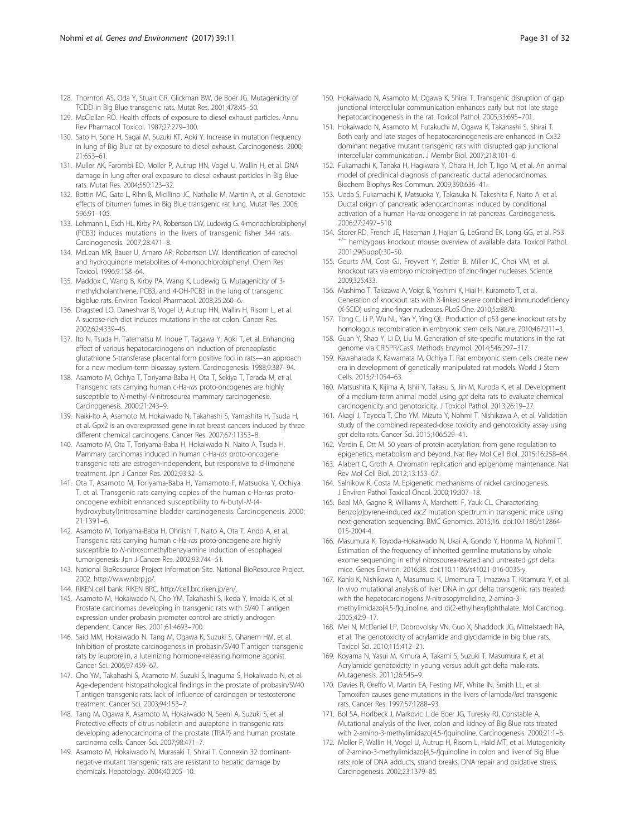- <span id="page-30-0"></span>128. Thornton AS, Oda Y, Stuart GR, Glickman BW, de Boer JG. Mutagenicity of TCDD in Big Blue transgenic rats. Mutat Res. 2001;478:45–50.
- 129. McClellan RO. Health effects of exposure to diesel exhaust particles. Annu Rev Pharmacol Toxicol. 1987;27:279–300.
- 130. Sato H, Sone H, Sagai M, Suzuki KT, Aoki Y. Increase in mutation frequency in lung of Big Blue rat by exposure to diesel exhaust. Carcinogenesis. 2000; 21:653–61.
- 131. Muller AK, Farombi EO, Moller P, Autrup HN, Vogel U, Wallin H, et al. DNA damage in lung after oral exposure to diesel exhaust particles in Big Blue rats. Mutat Res. 2004;550:123–32.
- 132. Bottin MC, Gate L, Rihn B, Micillino JC, Nathalie M, Martin A, et al. Genotoxic effects of bitumen fumes in Big Blue transgenic rat lung. Mutat Res. 2006; 596:91–105.
- 133. Lehmann L, Esch HL, Kirby PA, Robertson LW, Ludewig G. 4-monochlorobiphenyl (PCB3) induces mutations in the livers of transgenic fisher 344 rats. Carcinogenesis. 2007;28:471–8.
- 134. McLean MR, Bauer U, Amaro AR, Robertson LW. Identification of catechol and hydroquinone metabolites of 4-monochlorobiphenyl. Chem Res Toxicol. 1996;9:158–64.
- 135. Maddox C, Wang B, Kirby PA, Wang K, Ludewig G. Mutagenicity of 3 methylcholanthrene, PCB3, and 4-OH-PCB3 in the lung of transgenic bigblue rats. Environ Toxicol Pharmacol. 2008;25:260–6.
- 136. Dragsted LO, Daneshvar B, Vogel U, Autrup HN, Wallin H, Risom L, et al. A sucrose-rich diet induces mutations in the rat colon. Cancer Res. 2002;62:4339–45.
- 137. Ito N, Tsuda H, Tatematsu M, Inoue T, Tagawa Y, Aoki T, et al. Enhancing effect of various hepatocarcinogens on induction of preneoplastic glutathione S-transferase placental form positive foci in rats—an approach for a new medium-term bioassay system. Carcinogenesis. 1988;9:387–94.
- 138. Asamoto M, Ochiya T, Toriyama-Baba H, Ota T, Sekiya T, Terada M, et al. Transgenic rats carrying human c-Ha-ras proto-oncogenes are highly susceptible to N-methyl-N-nitrosourea mammary carcinogenesis. Carcinogenesis. 2000;21:243–9.
- 139. Naiki-Ito A, Asamoto M, Hokaiwado N, Takahashi S, Yamashita H, Tsuda H, et al. Gpx2 is an overexpressed gene in rat breast cancers induced by three different chemical carcinogens. Cancer Res. 2007;67:11353–8.
- 140. Asamoto M, Ota T, Toriyama-Baba H, Hokaiwado N, Naito A, Tsuda H. Mammary carcinomas induced in human c-Ha-ras proto-oncogene transgenic rats are estrogen-independent, but responsive to d-limonene treatment. Jpn J Cancer Res. 2002;93:32–5.
- 141. Ota T, Asamoto M, Toriyama-Baba H, Yamamoto F, Matsuoka Y, Ochiya T, et al. Transgenic rats carrying copies of the human c-Ha-ras protooncogene exhibit enhanced susceptibility to N-butyl-N-(4 hydroxybutyl)nitrosamine bladder carcinogenesis. Carcinogenesis. 2000; 21:1391–6.
- 142. Asamoto M, Toriyama-Baba H, Ohnishi T, Naito A, Ota T, Ando A, et al. Transgenic rats carrying human c-Ha-ras proto-oncogene are highly susceptible to N-nitrosomethylbenzylamine induction of esophageal tumorigenesis. Jpn J Cancer Res. 2002;93:744–51.
- 143. National BioResource Project Information Site. National BioResource Project. 2002. [http://www.nbrp.jp/.](http://www.nbrp.jp/)
- 144. RIKEN cell bank. RIKEN BRC.<http://cell.brc.riken.jp/en/>.
- 145. Asamoto M, Hokaiwado N, Cho YM, Takahashi S, Ikeda Y, Imaida K, et al. Prostate carcinomas developing in transgenic rats with SV40 T antigen expression under probasin promoter control are strictly androgen dependent. Cancer Res. 2001;61:4693–700.
- 146. Said MM, Hokaiwado N, Tang M, Ogawa K, Suzuki S, Ghanem HM, et al. Inhibition of prostate carcinogenesis in probasin/SV40 T antigen transgenic rats by leuprorelin, a luteinizing hormone-releasing hormone agonist. Cancer Sci. 2006;97:459–67.
- 147. Cho YM, Takahashi S, Asamoto M, Suzuki S, Inaguma S, Hokaiwado N, et al. Age-dependent histopathological findings in the prostate of probasin/SV40 T antigen transgenic rats: lack of influence of carcinogen or testosterone treatment. Cancer Sci. 2003;94:153–7.
- 148. Tang M, Ogawa K, Asamoto M, Hokaiwado N, Seeni A, Suzuki S, et al. Protective effects of citrus nobiletin and auraptene in transgenic rats developing adenocarcinoma of the prostate (TRAP) and human prostate carcinoma cells. Cancer Sci. 2007;98:471–7.
- 149. Asamoto M, Hokaiwado N, Murasaki T, Shirai T. Connexin 32 dominantnegative mutant transgenic rats are resistant to hepatic damage by chemicals. Hepatology. 2004;40:205–10.
- 150. Hokaiwado N, Asamoto M, Ogawa K, Shirai T. Transgenic disruption of gap junctional intercellular communication enhances early but not late stage hepatocarcinogenesis in the rat. Toxicol Pathol. 2005;33:695–701.
- 151. Hokaiwado N, Asamoto M, Futakuchi M, Ogawa K, Takahashi S, Shirai T. Both early and late stages of hepatocarcinogenesis are enhanced in Cx32 dominant negative mutant transgenic rats with disrupted gap junctional intercellular communication. J Membr Biol. 2007;218:101–6.
- 152. Fukamachi K, Tanaka H, Hagiwara Y, Ohara H, Joh T, Iigo M, et al. An animal model of preclinical diagnosis of pancreatic ductal adenocarcinomas. Biochem Biophys Res Commun. 2009;390:636–41.
- 153. Ueda S, Fukamachi K, Matsuoka Y, Takasuka N, Takeshita F, Naito A, et al. Ductal origin of pancreatic adenocarcinomas induced by conditional activation of a human Ha-ras oncogene in rat pancreas. Carcinogenesis. 2006;27:2497–510.
- 154. Storer RD, French JE, Haseman J, Hajian G, LeGrand EK, Long GG, et al. P53 +/<sup>−</sup> hemizygous knockout mouse: overview of available data. Toxicol Pathol. 2001;29(Suppl):30–50.
- 155. Geurts AM, Cost GJ, Freyvert Y, Zeitler B, Miller JC, Choi VM, et al. Knockout rats via embryo microinjection of zinc-finger nucleases. Science. 2009;325:433.
- 156. Mashimo T, Takizawa A, Voigt B, Yoshimi K, Hiai H, Kuramoto T, et al. Generation of knockout rats with X-linked severe combined immunodeficiency (X-SCID) using zinc-finger nucleases. PLoS One. 2010;5:e8870.
- 157. Tong C, Li P, Wu NL, Yan Y, Ying QL. Production of p53 gene knockout rats by homologous recombination in embryonic stem cells. Nature. 2010;467:211–3.
- 158. Guan Y, Shao Y, Li D, Liu M. Generation of site-specific mutations in the rat genome via CRISPR/Cas9. Methods Enzymol. 2014;546:297–317.
- 159. Kawaharada K, Kawamata M, Ochiya T. Rat embryonic stem cells create new era in development of genetically manipulated rat models. World J Stem Cells. 2015;7:1054–63.
- 160. Matsushita K, Kijima A, Ishii Y, Takasu S, Jin M, Kuroda K, et al. Development of a medium-term animal model using *apt* delta rats to evaluate chemical carcinogenicity and genotoxicity. J Toxicol Pathol. 2013;26:19–27.
- 161. Akagi J, Toyoda T, Cho YM, Mizuta Y, Nohmi T, Nishikawa A, et al. Validation study of the combined repeated-dose toxicity and genotoxicity assay using gpt delta rats. Cancer Sci. 2015;106:529–41.
- 162. Verdin E, Ott M. 50 years of protein acetylation: from gene regulation to epigenetics, metabolism and beyond. Nat Rev Mol Cell Biol. 2015;16:258–64.
- 163. Alabert C, Groth A. Chromatin replication and epigenome maintenance. Nat Rev Mol Cell Biol. 2012;13:153–67.
- 164. Salnikow K, Costa M. Epigenetic mechanisms of nickel carcinogenesis. J Environ Pathol Toxicol Oncol. 2000;19:307–18.
- 165. Beal MA, Gagne R, Williams A, Marchetti F, Yauk CL. Characterizing Benzo[a]pyrene-induced lacZ mutation spectrum in transgenic mice using next-generation sequencing. BMC Genomics. 2015;16. doi:[10.1186/s12864-](http://dx.doi.org/10.1186/s12864-015-2004-4) [015-2004-4](http://dx.doi.org/10.1186/s12864-015-2004-4).
- 166. Masumura K, Toyoda-Hokaiwado N, Ukai A, Gondo Y, Honma M, Nohmi T. Estimation of the frequency of inherited germline mutations by whole exome sequencing in ethyl nitrosourea-treated and untreated gpt delta mice. Genes Environ. 2016;38. doi:110.1186/s41021-016-0035-y.
- 167. Kanki K, Nishikawa A, Masumura K, Umemura T, Imazawa T, Kitamura Y, et al. In vivo mutational analysis of liver DNA in gpt delta transgenic rats treated with the hepatocarcinogens N-nitrosopyrrolidine, 2-amino-3 methylimidazo[4,5-f]quinoline, and di(2-ethylhexyl)phthalate. Mol Carcinog. 2005;42:9–17.
- 168. Mei N, McDaniel LP, Dobrovolsky VN, Guo X, Shaddock JG, Mittelstaedt RA, et al. The genotoxicity of acrylamide and glycidamide in big blue rats. Toxicol Sci. 2010;115:412–21.
- 169. Koyama N, Yasui M, Kimura A, Takami S, Suzuki T, Masumura K, et al. Acrylamide genotoxicity in young versus adult gpt delta male rats. Mutagenesis. 2011;26:545–9.
- 170. Davies R, Oreffo VI, Martin EA, Festing MF, White IN, Smith LL, et al. Tamoxifen causes gene mutations in the livers of lambda/lacl transgenic rats. Cancer Res. 1997;57:1288–93.
- 171. Bol SA, Horlbeck J, Markovic J, de Boer JG, Turesky RJ, Constable A. Mutational analysis of the liver, colon and kidney of Big Blue rats treated with 2-amino-3-methylimidazo[4,5-f]quinoline. Carcinogenesis. 2000;21:1–6.
- 172. Moller P, Wallin H, Vogel U, Autrup H, Risom L, Hald MT, et al. Mutagenicity of 2-amino-3-methylimidazo[4,5-f]quinoline in colon and liver of Big Blue rats: role of DNA adducts, strand breaks, DNA repair and oxidative stress. Carcinogenesis. 2002;23:1379–85.